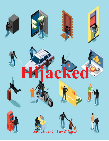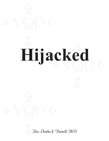# $\ast\forall\psi\in$ **Hijacked**

Rev. Charles E. Darnell, PhD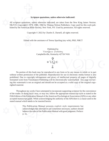#### **Scripture quotations, unless otherwise indicated:**

Scripture quotations, unless<br>All scripture quotations, unless otherwise indicated, a<br>NKJV®. Copyright© 1979, 1980, 1982 by Thomas Ne<br>lished by the American Bible Society, New York, NY. U lished by the American Bible Society, New York, NY. Used by permission. All rights reserved. All scripture quotations, unless otherwise indicated, are taken from the New King James Version. NKJV®. Copyright© 1979, 1980, 1982 by Thomas Nelson Publishers. Copy used for this work pub-

Copyright © 2022 by Charles E. Darnell, all rights reserved.

dited w Edited with the assistance of Teresa Spurling (my wife), PhD, NBCT

> Published by VisionQuest Publishing Campbellsville, Kentucky 42718-7416



prohibited. Due to copyright infringement and piracy of intellectual property all pages of digitally formatted work from VisionQuest Publishing will be electronically watermarked. Any page not having this watermark is not No portion of this book may be reproduced in any form or by any means in whole or in part without written permission of the publisher. Reproduction for use in electronic media format is also formatted work from VisionQuest Publishing will be electronically watermarked. Any page not having this watermark is not an original and should not be accepted as a valid copy of the original copyrighted material.

out my work<br>doing such I<br>the Publication<br>cript guide. V<br>hich needs to Throughout my works I have attempted to incorporate supporting scripture for the convenience of the reader. In doing such I may, or may not, follow the appropriate manuscript style as stated in the Fifth Edition of the Publication Manual of the American Psychological Association (APA) or any other accepted manuscript guide. While acknowledging the authority of the APA there is a clause used in the stated manual which needs to be inserted herein:

The Publication Manual presents exp<br>acknowledges that alternatives are sometical<br>alance the rules of the Publication Manua<br>p. xx. The Publication Manual presents explicit style requirements but acknowledges that alternatives are sometimes necessary; authors should balance the rules of the Publication Manual with good judgment. Preface:

p. xx.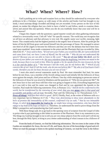# **What? When? Where? How?**

God is pushing me to write and examine face professes to be a Christian. I guess, as with many mind, I must stairstep things recorded and things n planet, no matter the religion that you claim to have selves and answer thi planet, no matter the religion that you claim to have a belief in and follow, needs to examine them-God is pushing me to write and examine facts as they should be understood by everyone who professes to be a Christian. I guess, as with many of the articles and books God has brought to my mind, I must stairstep things recorded and things not yet recorded. Every person on the face of this selves and answer this one question. When you die do you truthfully know that your soul will be in God's heaven?

> related to a newsworthy event. I left off "who" for specific reasons. The world may not recognize that we all have an advesary and that advesary is very real. His angelic name was Lucifer, meaning, light bearer. This creat I began this chapter with the questions a good reporter would ask when gathering information a murderer from the beginning, and does not stand in the<br>he speaks a lie, he speaks from his own resources, for he<br>I tell the truth, you do not believe Me. <sup>46</sup> Which of you<br>v do you not believe Me? <sup>47</sup> He who is of God of Satan. He<br>of Satan. He<br>he demons th<br>sees that was<br>ld love Me, fo<br>Why do you we all have an advesary and that advesary is very real. His angelic name was Lucifer, meaning, light bearer. This created entity had the highest position in the angelic host of heaven. After his pride got the better of him he fell from grace and turned himself into the personage of Satan. He managed to attract one third of all the angels to become his followers and they are now the demons that have been loosened upon mankind. Jesus made a statement to the priest and the Pharisees that was recorded by John, John 8:42-47, *42 Jesus said to them, "If God were your Father, you would love Me, for I proceeded forth and came from God; nor have I come of Myself, but He sent Me. 43 Why do you not understand My speech? Because you are not able to listen to My word. 44 You are of your father the devil, and the desires of your father you want to do. He was a murderer from the beginning, and does not stand in the truth, because there is no truth in him. When he speaks a lie, he speaks from his own resources, for he is a liar and the father of it. 45 But because I tell the truth, you do not believe Me. 46 Which of you convicts Me of sin? And if I tell the truth, why do you not believe Me? 47 He who is of God hears God's words; therefore you do not hear, because you are not of God."*

*e* transforme<br>*e* transforme<br><u>mgs</u>; hold fas<br>nnt fact in H<br>mise the imm were against the temple, chief priest and law of Moses. One day while attempting to persecute some of<br>the followers of Jesus he was struck by blindness and the question of: "Why do you persecute Me?" He<br>met Jesus face to f before he met Jesus, was a member of the Jewish ruling council and initially felt the followers of Jesus I must also attach several statements made by Paul. We must remember that Saul, his name the followers of Jesus he was struck by blindness and the question of: "Why do you persecute Me?" He met Jesus face to face and Jesus told him what was going to happen to him. Everything happened just as it was told to him and his name was changed to Paul and he was appointed the Apostle to the Gentiles. Paul made the following statements: First, in Romans 12:2, <sup>2</sup> And do not be conformed to this *world, but be transformed by the renewing of your mind, that you may prove what is that good and acceptable and perfect will of God.* Secondly, Paul said the following in 1st Thessalonians 5:21, *<sup>21</sup> Prove all things; hold fast that which is good.* (KJV) Thirdly, Paul, as the writer of Hebrews tells us a very important fact in Hebrews 6:17-18, *17 Thus God, determining to show more abundantly to the heirs of promise the immutability of His counsel, confirmed it by an oath, 18 that by two immutable things, in which it is impossible for God to lie, we might have strong consolation, who have fled for* Bible's prespective and remembering that God cannot lie.

*refuge to lay hold of the hope set before us.* Therefore, we understand the need to prove things from the Bible's prespective and remembering that God cannot lie.<br>With those things said, let us go back to the opening vers With those things said, let us go back to the opening verse of scripture from the Gospel of John to prove what it says pertaining to this father as ancestor of the Pharisees. Here is my statement to you. The things my God has brought to me to tell you are very deep subjects from His word and I will do my best, through the Holy Spirit, to bring to you a better understanding of what it means to be a follower of Jesus.

> e book<br>taphors<br>the pass From the book of Genesis, we find the following information. The two trees in the center of the Garden are metaphors for Jesus, the tree of Life, and Satan, the tree of the knowledge of good and evil. When we read the passage or listen to the spoken teaching of Genesis, we read the verse in the follow-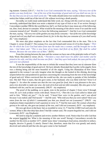nesis 2:16-1'<br> *t* freely eat: <sup>1</sup> ing manner. Genesis 2:16-17, *16 And the LORD God commanded the man, saying, "Of every tree of the garden you may freely eat; 17 but of the tree of the knowledge of good and evil you shall not eat, for in the day that you eat of it you shall surely die."* We really should notice two words in these verses. First, notice that Adam could eat of the tree of Life without receiving a death penalty.

of good and evil you shall not consume (from it), for in the day that you consume of it you shall surely die." (my emphasis)<br>We must also place emphasis on the fact that God commanded this to the man. This is in Chapter 2, *the man, saying, "Of every tree of the garden you may freely consume; 17 but of the tree of the knowledge* the day that you eat of it you shall surely die. We really<br>notice that Adam could eat of the tree of Life without re<br>Secondly, we really must understand this little w<br>necessity, understand that there was never a mention of Concordance number 398 for the word âkal (aw-kal'), we find out that it may mean any of the following: Secondly, we really must understand this little word, eat. Along with this word we must, out of necessity, understand that there was never a mention of any type of fruit or nut. If we review Strong's eat, dine, food, devour or consume. What would be the meaning of the above verse if we used the word consume instead of eat? Wouldn't we have the following statement*? 16 And the LORD God commanded die."* (my emphasis)

Chapter 2, verses 16 and 17. The woman, Eve, was not formed until verses 22-23 in this chapter. *<sup>2</sup> Then* the rib which the Lorp God had taken from man He made into a woman, and He brought her to the man. <sup>23</sup> And Adam sa We must also place emphasis on the fact that God commanded this to the man. This is in *the rib which the LORD God had taken from man He made into a woman, and He brought her to the man. 23 And Adam said: "This is now bone of my bones And flesh of my flesh; She shall be called Woman, Because she was taken out of Man."* (KJV)

From this joining between the man and the woman we have one of the principle truths of God's Holy Word. Recorded in verses 24-25, *24 Therefore a man shall leave his father and mother and be joined to his wife, and they shall become one flesh. 25 And they were both naked, the man and his wife, and were not ashamed.*

of good and evil. When convinced that she would not die, she was ready to partake of this forbidden<br>tree. She did! Then it states, that she gave some, to her husband, who was there with her! Verse 6 of<br>chapter 3: *'* So wh Sh. <sup>25</sup> And they were both naked, the man and his wife,<br>form the woman that they were not to consume from<br>we already illustrated that Lucifer, in his angelic form<br>all the angels. Using this illustration of how Satan<br>the t It was the responsibility of the man to inform the woman that they were not to consume from the tree of the knowledge of good and evil. We have already illustrated that Lucifer, in his angelic form was a shining being and the most beautiful of all the angels. Using this illustration of how Satan appeared to the woman I can only imagine what she thought as she looked at this shining, deceiving serpent before her and pondered its question concerning the consuming from the tree of the knowledge tree. She did! Then it states, that she gave some, to her husband, who was there with her! Verse 6 of chapter 3*: <sup>6</sup> So when the woman saw that the tree* was *good for food, that it* was *pleasant to the eyes, and a tree desirable to make one wise, she took of its fruit and ate* (did consume)*. She also gave to her husband with her, and he ate* (consumed)*.* (NKJV - my emphasis)

*r*, *and he are*<br>ook at these<br>*here* are *you*<br>*ked; and I h*<br>*ree of which* The proof of the pudding, so to speak, rests in the portion of chapter 3 from verse 9 through verse 20. Let's look at these verses with detail. Verses 9-11, *Phen the LORD God called to Adam and said to him, "Where* are *you?" 10 So he said, "I heard Your voice in the garden, and I was afraid because I was naked; and I hid myself." 11 And He said, "Who told you that you* were *naked? Have you eaten from the tree of which I commanded you that you should not eat (consume)?" (NKJV - my* emphasis) Adam responded to God's question in verse 12, *12 And the man said, The woman whom thou gavest to be with me, she gave me* (some) *of the tree, and I did eat* (consume)*.* (KJV - my emphasis)

gavest to be with me, she gave me (some) of the tree, and<br>We now get down to the basic fact as recorded in<br>woman, What is this that thou hast done? And the woman<br>(consume). (KJV - my Emphasis)<br>We need to stop for a moment We now get down to the basic fact as recorded in verse 13, *13 And the LORD God said unto the woman, What is this that thou hast done? And the woman said, The serpent beguiled me, and I did eat* (consume)*.* (KJV - my Emphasis)

beguile, deceive X greatly X utterly. Doesn't that, therefore, mean that Eve was greatly and utterly deceived and seduced and that she also gave some to her husband? We need to stop for a moment and review another Hebrew word. Notice that Eve tells God that the serpent beguiled her. What is the meaning of this one word? Strong's Concordance records the number for this term as number 5377, nâshâ' (naw-shaw') meaning to lead astray, (morally) to seduce, deceived and seduced and that she also gave some to her husband?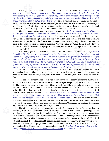Every beast of the field, On your beaty you shall go<br>
<sup>15</sup> And I will put enmity Between you and the woman<br>
bruise your head, And you shall bruise His heel."<br>
Adam, the man, instead this portion of the curse is pl<br>
seed an seed and her Seed. Notice that there are two seeds mentioned, your seed and her Seed. We understand, begins His prement: "Been God begins His placement of a curse upon the serpent first in verses 14-15, *14 So the LORD God said to the serpent: "Because you have done this, You are cursed more than all cattle, And more than every beast of the field; On your belly you shall go, And you shall eat dust All the days of your life. <sup>15</sup> And I will put enmity Between you and the woman, And between your seed and her Seed; He shall bruise your head, And you shall bruise His heel."* Notice in verse 15 that God makes no mention of Adam, the man, instead this portion of the curse is placed between the woman and Satan. Stated as your because of the use of the capital S, that the prophetic reference is to Jesus.

*for your husband, And he shall rule over you.*" There are two items we need to reflect upon in this verse. First, notice that conception and bringing forth children are brought into this curse upon Eve. My question is thi *multiply your sorrow and your conception; In pain you shall bring forth children; Your desire shall be* child birth? Then we have the second question: Why the statement "Your desire shall be for your husband?" If these are the only two people on the planet, who else is Eve going to have desire for? For Satan, God forbid! Go God then placed a curse upon the woman in verse 16, *16 To the woman He said: "I will greatly* verse. First, notice that conception and bringing forth children are brought into this curse upon Eve. My question is this: how did the discussion of eating of a tree have anything to do with conception or husband?" If these are the only two people on the planet, who else is Eve going to have desire for? For Satan, God forbid!

In thorns and thistles it shall bring forth for you, And you<br>t of your face you shall eat bread Till you return to the<br>lust you are, And to dust you shall return."  $\omega$  And Adam<br>the mother of all living.<br>have a curse plac God finally gets to the man and announces to him the following from verses 17-20, *17 Then to Adam He said, "Because you have heeded the voice of your wife, and have eaten from the tree of which I commanded you, saying, 'You shall not eat of it': "Cursed is the ground for your sake; In toil you shall eat of it All the days of your life. 18 Both thorns and thistles it shall bring forth for you, And you shall eat the herb of the field. 19 In the sweat of your face you shall eat bread Till you return to the ground, For out of it you were taken; For dust you are, And to dust you shall return." 20 And Adam called his wife's name Eve, because she was the mother of all living.*

We see that all three parties involved have a curse placed upon them and the man and woman are expelled from the Garden. It seems funny that the formed beings, the man and the woman, are expelled but the created being, Satan, isn't even mentioned as being removed or expelled from the Garden.

first, therefore<br>first, therefore<br>as 1 and 2 of<br>*have acquin*<br>as *a keeper c*<br>leed is the fir erve the<br>he wom<br>lo is sho<br>.et's rev The basis for our search has been stated and we now need to observe the results. Turn with me to chapter 4. The first verse retells us the result of the curse placed upon the woman in chapter 2, verse 16. The verse is above and I will not repeat it here. What I would like to do is show the results of verse 15. We had two seeds mentioned in verse 15, Satan's seed and her Seed. Let's review the actions. Satan seduced Eve first, therefore the first seed is Satan's seed, then we have her Seed, as the second Seed. Look at verses 1 and 2 of chapter 4, <sup>*1</sup> Now Adam knew Eve his wife, and she conceived and bore Cain,*</sup> and said, "I have acquired a man from the Lorp." <sup>2</sup> Then she bore again, this time his brother Abel. *Now Abel was a keeper of sheep, but Cain was a tiller of the ground.* These two are twins, but notice that Satan's seed is the first and her Seed is the second. Abel was to be the designated blood line to lead to God's chosen people. But we also know that Cain killed Abel. Once again, isn't Satan a deceiver and a murderer? What would we expect his offspring to be?

Abel. Seth becomes the new progenitor of the Godly line. This is the reason why there are two genealogies given in the Bible. Notice what it says about Seth in verse 3, *<sup>3</sup> And Adam lived one hundred and thirty years, and* a murderer? What would we expect his offspring to l<br>Now, there is another interesting portion of cl<br>genealogy for Cain given between verses 17-24. Any<br>you that you can only have one father and not two. I<br>what is stated in Now, there is another interesting portion of chapter 4 that must be shown. Notice that there is a genealogy for Cain given between verses 17-24. Anyone who has ever worked on genealogy can tell you that you can only have one father and not two. If you look at the last two verses in chapter 4 and what is stated in chapter 5, verse 1, we see that there is another genealogy for Adam. Remember there were two seeds shown in relationship to the act in the Garden and the second seed was called her Seed. Abel is her seed. I dropped the capital S because the designated bloodline was broken with the death of given in the Bible. Notice what it says about Seth in verse 3, *<sup>3</sup> And Adam lived one hundred and thirty years, and begot a son in his own likeness, after his image, and named him Seth.*

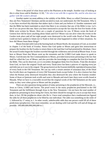the proof of<br>
us said in Ma There is the proof of what Jesus said to the Pharisees at the temple. Another way of looking at this is what Jesus said in Matthew 12:30, *30 He who is not with Me is against Me, and he who does not gather with Me scatters abroad.*

Garden took place and all but eight people were destroyed in the world wide flood of Noah. Moses<br>could not have spoken to Adam nor to Noah to find out what happened in either of their situations. So<br>how did Moses learn the Genesis how did he know anything about Adam and Eve? Moses was not alive when the events in the Another matter we must address is the validity of<br>Another matter we must address is the validity of<br>they are New Testament Christians and do not need to re<br>it you have received this doctrine that makes such a cla<br>that the that the Bible has been translated so much that there is no certainty that any of the Bible is true. Let's Another matter we must address is the validity of the Bible. Many so called Christians now say they are New Testament Christians and do not need to read, nor understand, the Old Testament. Why is it you have received this doctrine that makes such a claim and you believe it? Another statement said see if we can prove this one. Have you been instructed to accept the fact that the first five books of the Bible were written by Moses. Here are a couple of questions for you. If Moses wrote the book of could not have spoken to Adam nor to Noah to find out what happened in either of their situations. So how did Moses learn these things?

here we<br>ld Testa:<br>necies o:<br>es proc des the knowledge to complete the first five books of<br>throughout these first five books. From this dictation<br>Torah since has been a process of copying every jot<br>nown as the Essenes faithfully reproduced manuscripts<br>with a Moses first met with God at the burning bush on Mount Horeb, the mountain of God, as recorded ter 3 of the book of Exodus. Notice that God spoke to Moses and gave him instructions to the Isralites for the Exodus to return in chapter 3 of the book of Exodus. Notice that God spoke to Moses and gave him instructions to prepare the Isralites for the Exodus to return them to the land that God had promised to Abraham. Once the actual Exodus began the Isralites traveled through the wilderness and arrived at Mount Sinai. It was here at Mount Sinai that Moses went up the mountain and the LORD God came down to speak to Moses. God dictates the Ten Commandments to Moses, provided instructions pertaining to the law that shall be called the Law of Moses, and also provides the knowledge to complete the first five books of the Bible. This can be observed, as it is recorded, throughout these first five books. From this dictation from God, we have the original Torah and every Torah since has been a process of copying every jot and tittle just as it was in the orignal. The group known as the Essenes faithfully reproduced manuscripts of every book in the Old Testament. We can say with a certain amount of assurance that, of the Dead Sea Scrolls there are fragments of every Old Testament book except Esther. It is also a known fact that when the Roman army destroyed Jerusalem they also destroyed the area where the Essenes resided. Some of those at Qumram took scrolls and went to Masada and much later there were scrolls found at Masada. What we have is a traceable record that the original words of the Old Testament are the same today as they were when given to Moses and the prophets.

possible. 100,000,000,000,000,000 to 1 Testament and the fulfillment through Jesus in the New Testament. I do not have the total number of prophecies pertaining to Jesus being the Christ, but there should be enough for you to accept that Jesus does, in fact, fi There are also questions being spoken of today pertaining to the prophecies of the Messiah, i.e., Jesus as Christ, LORD and Savior. The proof exists in the many prophecies proclaimed in the Old prophecies pertaining to Jesus being the Christ, but there should be enough for you to accept that Jesus does, in fact, fill the prophecies about who He is. I have read someplace that a mathematician figured the odds for all these prophecies to be filled by one individual. The odds was something on the order of 1, followed by 17 zeros, to 1. In other words, unbelievable odds that one person could fill all of these predictions (prophecies). One must remember, we are dealing with God and His will and all things are possible. 100,000,000,000,000,000 to 1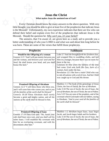## **Jesus the Christ What makes Jesus the anointed one of God?**

 defend their belief and explain even five of the prophecies that indicate Jesus is the What makes Jesus the Branch<br>Every Christian should know the many<br>little thought, you should be able to give at lea<br>is the Messiah! Unfortunately, my own expe little thought, you should be able to give at least five of the prophecies that indicate Jesus Every Christian should know the many answers to the above question. With very is the Messiah! Unfortunately, my own experience indicates that there are few who can

Messiah. Should the question be: *Why can't you, it's your belief?*<br>The answers, that I'm aware of, are given here as a study<br>better understanding of who your LORD is and what was said abo<br>was born. These are some of the v The answers, that I'm aware of, are given here as a study aid to provide you a better understanding of who your LORD is and what was said about him long before he was born. These are some of the verses that fulfill those prophecies.

| <b>Prophecies</b>                                                                                                                                                                                                                                                                                                                            | <b>Fulfillment</b>                                                                                                                                                                                                                                                                                                                                                                                                                                         |
|----------------------------------------------------------------------------------------------------------------------------------------------------------------------------------------------------------------------------------------------------------------------------------------------------------------------------------------------|------------------------------------------------------------------------------------------------------------------------------------------------------------------------------------------------------------------------------------------------------------------------------------------------------------------------------------------------------------------------------------------------------------------------------------------------------------|
| Would be the Offspring of a woman<br>Genesis 3:15 "And I will put enmity between you<br>and the woman, and between your seed and her<br>Seed; He shall bruise your head, and you shall<br>bruise His heel."                                                                                                                                  | Luke 2:7 And she brought forth her firstborn Son,<br>and wrapped Him in swaddling cloths, and laid<br>Him in a manger, because there was no room for<br>them in the inn.<br>Galatians 4:4 But when the fullness of the time<br>had come, God sent forth His Son, born of a<br>woman, born under the law.<br>Revelation 12:5 She bore a male Child who was<br>to rule all nations with a rod of iron. And her Child<br>was caught up to God and His throne. |
| <b>Promised Offspring of Abraham</b><br>Genesis 12:3 "I will bless those who bless you,<br>and I will curse him who curses you; and in you<br>all the families of the earth shall be blessed."<br>Genesis 18:18 Since Abraham shall surely<br>become a great and mighty nation, and all the<br>nations of the earth shall be blessed in him. | Matthew 1:1 The book of the genealogy of Jesus<br>Christ, the Son of David, the Son of Abraham.<br>Luke 3:34 The son of Jacob, the son of Isaac, the<br>son of Abraham, the son of Terah, the son of Nahor.<br>Acts 3:25 You are sons of the prophets, and of the<br>covenant which God made with our fathers, saying<br>to Abraham, "And in your seed all the families of<br>the earth shall be blessed."                                                 |
| <b>Promised Offspring of Isaac</b><br>Genesis 17:19 Then God said: "No, Sarah your<br>wife shall bear you a son, and you shall call his<br>name Isaac; I will establish My covenant with<br>him for an everlasting covenant, and with his<br>descendants after him."                                                                         | Matthew 1:2 Abraham begot Isaac, Isaac begot<br>Jacob, and Jacob begot Judah and his brothers.<br>Luke 3:34 The son of Jacob, the son of Isaac, the<br>son of Abraham, the son of Terah, the son of Nahor.                                                                                                                                                                                                                                                 |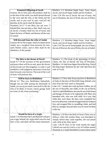| <b>Promised Offspring of Jacob</b><br>Genesis 28:14 Also your descendants shall be<br>as the dust of the earth; you shall spread abroad<br>to the west and the east, to the north and the<br>south; and in you and in your seed all the<br>families of the earth shall be blessed.<br>Numbers 24:17 "I see Him, but not now; I<br>behold Him, but not near; a Star shall come out<br>of Jacob; a Scepter shall rise out of Israel, and<br>batter the brow of Moab, and destroy all the sons<br>of tumult. | Matthew 1:2 Abraham begot Isaac, Isaac begot<br>Jacob, and Jacob begot Judah and his brothers.<br>Luke 3:34 The son of Jacob, the son of Isaac, the<br>son of Abraham, the son of Terah, the son of Nahor.                                                                                                                                                                                                                                                                                                                                                                                                                                                                                  |  |
|-----------------------------------------------------------------------------------------------------------------------------------------------------------------------------------------------------------------------------------------------------------------------------------------------------------------------------------------------------------------------------------------------------------------------------------------------------------------------------------------------------------|---------------------------------------------------------------------------------------------------------------------------------------------------------------------------------------------------------------------------------------------------------------------------------------------------------------------------------------------------------------------------------------------------------------------------------------------------------------------------------------------------------------------------------------------------------------------------------------------------------------------------------------------------------------------------------------------|--|
| Will descend from the tribe of Judah<br>Genesis 49:10 The scepter shall not depart from<br>Judah, nor a lawgiver from between his feet,<br>until Shiloh comes; and to Him shall be the<br>obedience of the people.                                                                                                                                                                                                                                                                                        | Matthew 1:2 Abraham begot Isaac, Isaac begot<br>Jacob, and Jacob begot Judah and his brothers.<br>Luke 3:33 The son of Amminadab, the son of Ram,<br>the son of Hezron, the son of Perez, the son of Judah.                                                                                                                                                                                                                                                                                                                                                                                                                                                                                 |  |
| The Heir to the throne of David<br>Isaiah 9:7 Of the increase of His government<br>and peace there will be no end, upon the throne<br>of David and over His kingdom, to order it and<br>establish it with judgment and justice from that<br>time forward, even forever. The zeal of the Lord<br>of hosts will perform this.                                                                                                                                                                               | Matthew 1:1 The book of the genealogy of Jesus<br>Christ, the Son of David, the Son of Abraham.<br>Matthew 1:6 And Jesse begot David the king. David<br>the king begot Solomon by her who had been the<br>wife of Uriah.                                                                                                                                                                                                                                                                                                                                                                                                                                                                    |  |
| Will be born in Bethlehem<br>Micah 5:2 "But you, Bethlehem Ephrathah,<br>though you are little among the thousands of<br>Judah, yet out of you shall come forth to Me the<br>One to be Ruler in Israel, whose goings forth<br>are from of old, from everlasting."                                                                                                                                                                                                                                         | Matthew 2:1 Now after Jesus was born in Bethlehem<br>of Judea in the days of Herod the king, behold, wise<br>men from the East came to Jerusalem.<br>Luke 2:4-7 Joseph also went up from Galilee, out of<br>the city of Nazareth, into Judea, to the city of David,<br>which is called Bethlehem, because he was of the house<br>and lineage of David, to be registered with Mary, his<br>betrothed wife, who was with child. So it was, that<br>while they were there, the days were completed for<br>her to be delivered. And she brought forth her firstborn<br>Son, and wrapped Him in swaddling cloths, and laid<br>Him in a manger, because there was no room for them<br>in the inn. |  |
| Would be born of a virgin<br>Isaiah 7:14 Therefore the Lord Himself will give<br>you a sign: behold, the virgin shall conceive and<br>bear a Son, and shall call His name Immanuel.                                                                                                                                                                                                                                                                                                                       | Matthew 1:18 Now the birth of Jesus Christ was as<br>follows: After His mother Mary was betrothed to<br>Joseph, before they came together, she was found<br>with child of the Holy Spirit.<br>Luke 1:26-35 Now in the sixth month the angel<br>Gabriel was sent by God to a city of Galilee named<br>Nazareth, to a virgin betrothed to a man whose name                                                                                                                                                                                                                                                                                                                                    |  |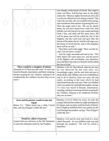|                                                 | was Joseph, of the house of David. The virgin's<br>name was Mary. And having come in, the angel<br>said to her, "Rejoice, highly favored one, the Lord                                   |
|-------------------------------------------------|------------------------------------------------------------------------------------------------------------------------------------------------------------------------------------------|
|                                                 |                                                                                                                                                                                          |
|                                                 |                                                                                                                                                                                          |
|                                                 |                                                                                                                                                                                          |
|                                                 | is with you; blessed are you among women!" But                                                                                                                                           |
|                                                 | when she saw him, she was troubled at his saying,                                                                                                                                        |
|                                                 | and considered what manner of greeting this was.                                                                                                                                         |
|                                                 | Then the angel said to her, "Do not be afraid,                                                                                                                                           |
|                                                 | Mary, for you have found favor with God. And                                                                                                                                             |
|                                                 | behold, you will conceive in your womb and bring                                                                                                                                         |
|                                                 | forth a Son, and shall call His name Jesus. He                                                                                                                                           |
|                                                 | will be great, and will be called the Son of the                                                                                                                                         |
|                                                 | Highest; and the Lord God will give Him the                                                                                                                                              |
|                                                 | throne of His father David. And He will reign over                                                                                                                                       |
|                                                 | the house of Jacob forever, and of His kingdom                                                                                                                                           |
|                                                 | there will be no end."                                                                                                                                                                   |
|                                                 | Then Mary said to the angel, "How can this be,                                                                                                                                           |
|                                                 | since I do not know a man?"                                                                                                                                                              |
|                                                 | And the angel answered and said to her, "The                                                                                                                                             |
|                                                 | Holy Spirit will come upon you, and the power                                                                                                                                            |
|                                                 | of the Highest will overshadow you; therefore,                                                                                                                                           |
|                                                 | also, that Holy One who is to be born will be called                                                                                                                                     |
|                                                 | the Son of God."                                                                                                                                                                         |
| There would be a slaughter of infants           | Matthew 2:16-18 Then Herod, when he saw that                                                                                                                                             |
| Jeremiah 31:15 Thus says the Lord: "A voice was | he was deceived by the wise men, was                                                                                                                                                     |
| heard in Ramah, lamentation and bitter weeping, | exceedingly angry; and he sent forth and put to                                                                                                                                          |
| Rachel weeping for her children, refusing to be | death all the male children who were in Bethlehem                                                                                                                                        |
| comforted for her children, because they are no | and in all its districts, from two years old and                                                                                                                                         |
| more."                                          | under, according to the time which he had                                                                                                                                                |
|                                                 | determined from the wise men. Then was fulfilled                                                                                                                                         |
|                                                 | what was spoken by Jeremiah the prophet, saying:                                                                                                                                         |
|                                                 | "A voice was heard in Ramah, lamentation,                                                                                                                                                |
|                                                 | weeping, and great mourning, Rachel weeping for                                                                                                                                          |
|                                                 | her children, refusing to be comforted, because                                                                                                                                          |
|                                                 | they are no more."                                                                                                                                                                       |
|                                                 |                                                                                                                                                                                          |
|                                                 | Matthew 2:14-15 When he arose, he took the                                                                                                                                               |
|                                                 | young Child and His mother by night and departed                                                                                                                                         |
|                                                 | for Egypt, and was there until the death of Herod,                                                                                                                                       |
|                                                 | that it might be fulfilled which was spoken by the                                                                                                                                       |
|                                                 | Lord through the prophet, saying, "Out of Egypt I                                                                                                                                        |
|                                                 | called My Son."                                                                                                                                                                          |
|                                                 |                                                                                                                                                                                          |
|                                                 | Matthew 2:23 and he went and lived in a town                                                                                                                                             |
| Cannot find any reference in the Old Testament  | called Nazareth. So was fulfilled what was said                                                                                                                                          |
|                                                 |                                                                                                                                                                                          |
| to meet the statement made by the Prophets.     | through the prophets: "He will be called a                                                                                                                                               |
|                                                 | Nazarene."                                                                                                                                                                               |
|                                                 | Jesus and his parents would escape into<br>Egypt<br>Hosea 11:1 "When Israel was a child, I loved<br>him, and <i>out of Egypt I called My son.</i> "<br><b>Would be called a Nazarene</b> |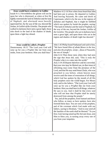| Jesus would have a ministry in Galilee<br>Isaiah 9:1-2 Nevertheless the gloom will not be<br>upon her who is distressed, as when at first He<br>lightly esteemed the land of Zebulun and the land<br>of Naphtali, and afterward more heavily<br>oppressed her, by the way of the sea, beyond the<br>Jordan, in Galilee of the Gentiles. The people who<br>walked in darkness have seen a great light; those<br>who dwelt in the land of the shadow of death,<br>upon them a light has shined. | Matthew 4:12-16 Now when Jesus heard that John<br>had been put in prison, He departed to Galilee.<br>And leaving Nazareth, He came and dwelt in<br>Capernaum, which is by the sea, in the regions of<br>Zebulun and Naphtali, that it might be fulfilled<br>which was spoken by Isaiah the prophet, saying:<br>"The land of Zebulun and the land of Naphtali, by<br>the way of the sea, beyond the Jordan, Galilee of<br>the Gentiles: The people who sat in darkness have<br>seen a great light, and upon those who sat in the<br>region and shadow of death Light has dawned."                                                                                                                                                                                                                                                                                                                                                                                                                                                                                                                                                                                                                                                                                                                                                                                                                                                                                                                                              |
|-----------------------------------------------------------------------------------------------------------------------------------------------------------------------------------------------------------------------------------------------------------------------------------------------------------------------------------------------------------------------------------------------------------------------------------------------------------------------------------------------|-------------------------------------------------------------------------------------------------------------------------------------------------------------------------------------------------------------------------------------------------------------------------------------------------------------------------------------------------------------------------------------------------------------------------------------------------------------------------------------------------------------------------------------------------------------------------------------------------------------------------------------------------------------------------------------------------------------------------------------------------------------------------------------------------------------------------------------------------------------------------------------------------------------------------------------------------------------------------------------------------------------------------------------------------------------------------------------------------------------------------------------------------------------------------------------------------------------------------------------------------------------------------------------------------------------------------------------------------------------------------------------------------------------------------------------------------------------------------------------------------------------------------------|
| <b>Jesus would be called a Prophet</b><br>Deuteronomy 18:15 "The Lord your God will<br>raise up for you a Prophet like me from your<br>midst, from your brethren. Him you shall hear."                                                                                                                                                                                                                                                                                                        | John 1:45 Philip found Nathanael and said to him,<br>"We have found Him of whom Moses in the law,<br>and also the prophets, wrote-Jesus of Nazareth,<br>the son of Joseph."<br>John 6:14 Then those men, when they had seen<br>the sign that Jesus did, said, "This is truly the<br><i>Prophet</i> who is to come into the world."<br>Acts 3:19-26 Repent therefore and be converted,<br>that your sins may be blotted out, so that times of<br>refreshing may come from the presence of the<br>Lord, and that He may send Jesus Christ, who was<br>preached to you before, whom heaven must<br>receive until the times of restoration of all things,<br>which God has spoken by the mouth of all His<br>holy prophets since the world began. For Moses<br>truly said to the fathers, "The Lord your God will<br>raise up for you a Prophet like me from your<br>brethren. Him you shall hear in all things, whatever<br>He says to you. And it shall be that every soul<br>who will not hear that Prophet shall be utterly<br>destroyed from among the people."<br>Yes, and all the prophets, from Samuel and those<br>who follow, as many as have spoken, have also<br>foretold these days. You are sons of the prophets,<br>and of the covenant which God made with our<br>fathers, saying to Abraham, "And in your seed all<br>the families of the earth shall be blessed." To you<br>first, God, having raised up His Servant Jesus, sent<br>Him to bless you, in turning away every one of<br>you from your iniquities. |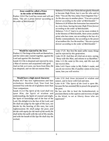|                                                                                                                                                                                                                                                                                                                                                                                                                                                                                                                                                                                                                                                                                                                                                                                  | us, even Jesus, having become High Priest forever<br>according to the order of Melchizedek.<br>Hebrews 7:15-17 And it is yet far more evident if,<br>in the likeness of Melchizedek, there arises another<br>priest who has come, not according to the law of a<br>fleshly commandment, but according to the power<br>of an endless life. For He testifies: "You are a priest"<br>forever according to the order of Melchizedek." |
|----------------------------------------------------------------------------------------------------------------------------------------------------------------------------------------------------------------------------------------------------------------------------------------------------------------------------------------------------------------------------------------------------------------------------------------------------------------------------------------------------------------------------------------------------------------------------------------------------------------------------------------------------------------------------------------------------------------------------------------------------------------------------------|-----------------------------------------------------------------------------------------------------------------------------------------------------------------------------------------------------------------------------------------------------------------------------------------------------------------------------------------------------------------------------------------------------------------------------------|
| Would be rejected by the Jews<br>Psalms 2:2 The kings of the earth set themselves,<br>and the rulers take counsel together, against the<br>Lord and against His Anointed.<br>Isaiah 53:3 He is despised and rejected by men,<br>a Man of sorrows and acquainted with grief.<br>And we hid, as it were, our faces from Him; He<br>was despised, and we did not esteem Him.                                                                                                                                                                                                                                                                                                                                                                                                        | Luke 17:25 But first He must suffer many things<br>and be rejected by this generation.<br>Luke 23:18 And they all cried out at once, saying,<br>"Away with this Man, and release to us Barabbas."<br>John 1:11 He came to His own, and His own did<br>not receive Him.<br>John 5:43 I have come in My Father's name, and<br>you do not receive Me; if another comes in his own<br>name, him you will receive.                     |
| Would have a high moral character<br>Psalms 45:7 You love righteousness and hate<br>wickedness; therefore God, Your God, has<br>anointed You with the oil of gladness more than<br>Your companions.<br>Isaiah 11:2-4 The Spirit of the Lord shall rest<br>upon Him, the Spirit of wisdom and<br>understanding, the Spirit of counsel and might,<br>the Spirit of knowledge and of the fear of the<br>Lord. His delight is in the fear of the Lord, and<br>He shall not judge by the sight of His eyes, nor<br>decide by the hearing of His ears; but with<br>righteousness He shall judge the poor, and<br>decide with equity for the meek of the earth; He<br>shall strike the earth with the rod of His mouth,<br>and with the breath of His lips He shall slay the<br>wicked. | Luke 2:52 And Jesus increased in wisdom and<br><i>stature</i> , and in favor with God and men.<br>Luke 4:18 "The Spirit of the Lord is upon Me,<br>because He has anointed Me to preach the gospel to<br>the poor;<br>He has sent Me to heal the brokenhearted, to<br>proclaim liberty to the captives and recovery of sight<br>to the blind, to set at liberty those who are<br>oppressed."                                      |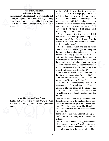| <b>He would enter Jerusalem</b><br>riding on a donkey<br>Zechariah 9:9 "Rejoice greatly, O daughter of Zion!<br>Shout, O daughter of Jerusalem! Behold, your King<br>is coming to you; He is just and having salvation,<br>lowly and riding on a donkey, a colt, the foal of a<br>donkey. | Matthew 21:1-11 Now when they drew near<br>Jerusalem, and came to Bethphage, at the Mount<br>of Olives, then Jesus sent two disciples, saying<br>to them, "Go into the village opposite you, and<br>immediately you will find a donkey tied, and a<br>colt with her. Loose them and bring them to Me.<br>And if anyone says anything to you, you shall<br>say, 'The Lord has need of them,' and<br>immediately he will send them."<br>All this was done that it might be fulfilled                                                                                                                                                                                                                                                                                                                                                                                                                    |  |
|-------------------------------------------------------------------------------------------------------------------------------------------------------------------------------------------------------------------------------------------------------------------------------------------|-------------------------------------------------------------------------------------------------------------------------------------------------------------------------------------------------------------------------------------------------------------------------------------------------------------------------------------------------------------------------------------------------------------------------------------------------------------------------------------------------------------------------------------------------------------------------------------------------------------------------------------------------------------------------------------------------------------------------------------------------------------------------------------------------------------------------------------------------------------------------------------------------------|--|
|                                                                                                                                                                                                                                                                                           | which was spoken by the prophet, saying: "Tell<br>the daughter of Zion, 'behold, your King is<br>coming to you, lowly, and sitting on a donkey,<br>a colt, the foal of a donkey."<br>So the disciples went and did as Jesus                                                                                                                                                                                                                                                                                                                                                                                                                                                                                                                                                                                                                                                                           |  |
|                                                                                                                                                                                                                                                                                           | commanded them. They brought the donkey and<br>the colt, laid their clothes on them, and set Him<br>on them. And a very great multitude spread their<br>clothes on the road; others cut down branches<br>from the trees and spread them on the road. Then<br>the multitudes who went before and those who<br>followed cried out, saying: "Hosanna to the Son<br>of David! Blessed is He who comes in the name<br>of the Lord! Hosanna in the highest!"<br>And when He had come into Jerusalem, all<br>the city was moved, saying, "Who is this?"<br>So the multitudes said, "This is Jesus, the<br>prophet from Nazareth of Galilee."<br>John 12:13-14 Took branches of palm trees and<br>went out to meet Him, and cried out: "Hosanna!<br>Blessed is He who comes in the name of the<br>Lord! The King of Israel!" Then Jesus, when<br>He had found a young donkey, sat on it; as it is<br>written. |  |
| Would be betrayed by a friend<br>Psalms 41:9 Even my own familiar friend in whom<br>I trusted, who ate my bread, has lifted up his heel<br>against me.                                                                                                                                    | Matthew 26:14-16 Then one of the twelve, called<br>Judas Iscariot, went to the chief priests and said,<br>"What are you willing to give me if I deliver Him<br>to you?" And they counted out to him thirty pieces<br>of silver. So from that time he sought opportunity<br>to betray Him.                                                                                                                                                                                                                                                                                                                                                                                                                                                                                                                                                                                                             |  |
| 10                                                                                                                                                                                                                                                                                        | Mark 14:10 Then Judas Iscariot, one of the<br>twelve, went to the chief priests to betray Him<br>to them.<br>Mark 14:43-45 And immediately, while He was<br>still speaking, Judas, one of the twelve, with a great<br>multitude with swords and clubs, came from the<br>chief priests and the scribes and the elders. Now                                                                                                                                                                                                                                                                                                                                                                                                                                                                                                                                                                             |  |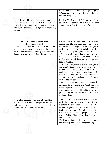|                                                                                                                                                                                                                                                                         | His betrayer had given them a signal, saying,<br>"Whomever I kiss, He is the One; seize Him and<br>lead Him away safely."                                                                                                                                                                                                                                                                                                                                                                                                                                                                                                                                                                                                                                                                                                                                                                                                                                                                                                     |
|-------------------------------------------------------------------------------------------------------------------------------------------------------------------------------------------------------------------------------------------------------------------------|-------------------------------------------------------------------------------------------------------------------------------------------------------------------------------------------------------------------------------------------------------------------------------------------------------------------------------------------------------------------------------------------------------------------------------------------------------------------------------------------------------------------------------------------------------------------------------------------------------------------------------------------------------------------------------------------------------------------------------------------------------------------------------------------------------------------------------------------------------------------------------------------------------------------------------------------------------------------------------------------------------------------------------|
| Betrayed by thirty pieces of silver<br>Zechariah 11:12 Then I said to them, "If it is<br>agreeable to you, give me my wages; and if not,<br>refrain." So they weighed out for my wages thirty<br>pieces of silver.                                                      | Matthew 26:15 And said, "What are you willing<br>to give me if I deliver Him to you?" And they<br>counted out to him thirty pieces of silver.                                                                                                                                                                                                                                                                                                                                                                                                                                                                                                                                                                                                                                                                                                                                                                                                                                                                                 |
| Betrayal money to be returned<br>for a potter's field<br>Zechariah 11:13 And the Lord said to me, "Throw<br>it to the potter"-that princely price they set on<br>me. So I took the thirty pieces of silver and threw<br>them into the house of the Lord for the potter. | Matthew 27:3-10 Then Judas, His betrayer,<br>seeing that He had been condemned, was<br>remorseful and brought back the thirty pieces<br>of silver to the chief priests and elders, saying,<br>"I have sinned by betraying innocent blood."<br>And they said, "What is that to us? You see<br>to it!" Then he threw down the pieces of silver<br>in the temple and departed, and went and<br>hanged himself.<br>But the chief priests took the silver pieces<br>and said, "It is not lawful to put them into the<br>treasury, because they are the price of blood."<br>And they consulted together and bought with<br>them the potter's field, to bury strangers in.<br>Therefore that field has been called the Field<br>of Blood to this day.<br>Then was fulfilled what was spoken by<br>Jeremiah the prophet, saying, "And they took<br>the thirty pieces of silver, the value of Him who<br>was priced, whom they of the children of Israel<br>priced, and gave them for the potter's field, as<br>the Lord directed me." |
| Judas' position to be taken by another<br>Psalms 109:7-8 When he is judged, let him be found<br>guilty, and let his prayer become sin. Let his days<br>be few, and let another take his office.                                                                         | Acts 1:18-20 Now this man purchased a field<br>with the wages of iniquity; and falling<br>headlong, he burst open in the middle and all<br>his entrails gushed out. And it became known<br>to all those dwelling in Jerusalem; so that field<br>is called in their own language, Akel Dama,<br>that is, Field of Blood. "For it is written in the<br>book of Psalms:<br>'Let his dwelling place be desolate, and let no<br>one live in it;' and, 'Let another take his office.'"                                                                                                                                                                                                                                                                                                                                                                                                                                                                                                                                              |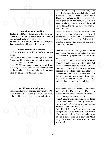| <b>False witnesses accuse him</b><br>Psalms 27:12 Do not deliver me to the will of my<br>adversaries; for false witnesses have risen against<br>me, and such as breathe out violence.<br>Psalms 35:11 KJV False witnesses did rise up; they<br>laid to my charge things that I knew not.                                                                                                                                                   | Acts 1:24-26 And they prayed and said, "You,<br>O Lord, who know the hearts of all, show which<br>of these two You have chosen to take part in<br>this ministry and apostleship from which Judas<br>by transgression fell, that he might go to his own<br>place." And they cast their lots, and the lot fell<br>on Matthias. And he was numbered with the<br>eleven apostles.<br>Matthew 26:60-61 But found none. Even<br>though many false witnesses came forward,<br>they found none. But at last two false witnesses<br>came forward and said, "This fellow said, 'I<br>am able to destroy the temple of God and to<br>build it in three days." |
|--------------------------------------------------------------------------------------------------------------------------------------------------------------------------------------------------------------------------------------------------------------------------------------------------------------------------------------------------------------------------------------------------------------------------------------------|----------------------------------------------------------------------------------------------------------------------------------------------------------------------------------------------------------------------------------------------------------------------------------------------------------------------------------------------------------------------------------------------------------------------------------------------------------------------------------------------------------------------------------------------------------------------------------------------------------------------------------------------------|
| Would be silent when accused<br>Psalms 38:13-14 But I, like a deaf man, do not<br>hear;<br>and I am like a mute who does not open his mouth.<br>Thus I am like a man who does not hear, and in<br>whose mouth is no response.<br>Isaiah 53:7 He was oppressed and He was afflicted,<br>yet He opened not His mouth; He was led as a lamb<br>to the slaughter, and as a sheep before its shearers<br>is silent, so He opened not His mouth. | Matthew 26:62-63 And the high priest arose and<br>said to Him, "Do You answer nothing? What is<br>it these men testify against You?" But Jesus kept<br>silent.<br>And the high priest answered and said to Him,<br>"I put You under oath by the living God: Tell<br>us if You are the Christ, the Son of God!"<br>Matthew 27:12-14 And while He was being<br>accused by the chief priests and elders, He<br>answered nothing. Then Pilate said to Him, "Do<br>You not hear how many things they testify<br>against You?" But He answered him not one<br>word, so that the governor marveled greatly.                                               |
| Would be struck and spit on<br>Isaiah 50:6 I gave My back to those who struck Me,<br>and My cheeks to those who plucked out the beard;<br>I did not hide My face from shame and spitting.                                                                                                                                                                                                                                                  | Mark 14:65 Then <i>some began to spit on Him</i> ,<br>and to blindfold Him, and to beat Him, and to<br>say to Him, "Prophesy!" And the officers struck<br>Him with the palms of their hands.<br>John 18:22 And when He had said these things,<br>one of the officers who stood by struck Jesus<br>with the palm of his hand, saying, "Do You<br>answer the high priest like that?"<br>John 19:1-3 So then Pilate took Jesus and<br>scourged Him. And the soldiers twisted a crown<br>of thorns and put it on His head, and they put<br>on Him a purple robe. Then they said, "Hail,<br>King of the Jews!" And they struck Him with<br>their hands. |
| 12                                                                                                                                                                                                                                                                                                                                                                                                                                         |                                                                                                                                                                                                                                                                                                                                                                                                                                                                                                                                                                                                                                                    |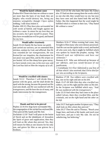| Would be hated without cause<br>Psalms 69:4 Those who hate me without a cause<br>are more than the hairs of my head; they are<br>mighty who would destroy me, being my<br>enemies wrongfully; though I have stolen<br>nothing, I still must restore it.<br>Psalms 109:3-5 They have also surrounded me<br>with words of hatred, and fought against me<br>without a cause. In return for my love they are<br>my accusers, but I give myself to prayer. Thus<br>they have rewarded me evil for good, and hatred<br>for my love. | John 15:23-25 He who hates Me hates My Father<br>also. If I had not done among them the works which<br>no one else did, they would have no sin; but now<br>they have seen and also hated both Me and My<br>Father. But this happened that the word might be<br>fulfilled which is written in their law, "They hated<br>Me without a cause."                                                                                                                                                                                                                                                     |
|-------------------------------------------------------------------------------------------------------------------------------------------------------------------------------------------------------------------------------------------------------------------------------------------------------------------------------------------------------------------------------------------------------------------------------------------------------------------------------------------------------------------------------|-------------------------------------------------------------------------------------------------------------------------------------------------------------------------------------------------------------------------------------------------------------------------------------------------------------------------------------------------------------------------------------------------------------------------------------------------------------------------------------------------------------------------------------------------------------------------------------------------|
| <b>Would suffer vicariously</b><br>Isaiah 53:4-6 Surely He has borne our griefs<br>and carried our sorrows; yet we esteemed Him<br>stricken, smitten by God, and afflicted. But He<br>was wounded for our transgressions, He was<br>bruised for our iniquities; the chastisement for<br>our peace was upon Him, and by His stripes we<br>are healed. All we like sheep have gone astray;<br>we have turned, every one, to his own way; and<br>the Lord has laid on Him the iniquity of us all.                                | Matthew 8:16-17 When evening had come, they<br>brought to Him many who were demon-possessed.<br>And He cast out the spirits with a word, and healed<br>all who were sick, that it might be fulfilled which<br>was spoken by Isaiah the prophet, saying: "He<br>Himself took our infirmities and bore our<br>sicknesses."<br>Romans 4:25 Who was delivered up because of<br>our offenses, and was raised because of our<br>justification.<br>1 Corinthians 15:3 For I delivered to you first of<br>all that which I also received: that Christ died for<br>our sins according to the Scriptures. |
| Would be crucified with sinners<br>Isaiah 53:12 Therefore I will divide Him a<br>portion with the great, and He shall divide the<br>spoil with the strong, because He poured out His<br>soul unto death, and He was numbered with the<br><i>transgressors</i> ; and He bore the sin of many, and<br>made intercession for the transgressors.                                                                                                                                                                                  | Matthew 27:38 Two robbers were crucified with<br>him, one on his right and one on his left.<br>Mark 15:27-28 With Him they also crucified two<br>robbers, one on His right and the other on His left.<br>So the Scripture was fulfilled which says, "And<br>He was numbered with the transgressors."<br>Luke 23:33 And when they had come to the place<br>called Calvary, there they crucified Him, and the<br>criminals, one on the right hand and the other on<br>the left.                                                                                                                   |
| Hands and feet to be pierced<br>Psalms 22:16 For dogs have surrounded Me;<br>the congregation of the wicked has enclosed Me.<br>They pierced My hands and My feet.<br>Zechariah 12:10 "And I will pour on the house<br>of David and on the inhabitants of Jerusalem<br>the Spirit of grace and supplication; then they<br>will look on Me whom they pierced. Yes, they<br>will mourn for Him as one mourns for his only<br>son, and grieve for Him as one grieves for a<br>firstborn.                                         | John 19:37 And again another Scripture says, "They<br>shall look on Him whom they pierced."<br>John 20:27 Then He said to Thomas, "Reach your<br>finger here, and look at My hands; and reach your<br>hand here, and put it into My side. Do not be<br>unbelieving, but believing."                                                                                                                                                                                                                                                                                                             |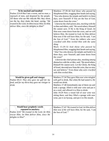| To be mocked and insulted<br>Psalms 22:6-8 But I am a worm, and no man; a<br>reproach of men, and despised by the people.<br>All those who see Me ridicule Me; they shoot<br>out the lip, they shake the head, saying, "He<br>trusted in the Lord, let Him rescue Him; let Him | Matthew 27:39-44 And those who passed by<br>blasphemed Him, wagging their heads and saying,<br>"You who destroy the temple and build it in three<br>days, save Yourself! If You are the Son of God,<br>come down from the cross."<br>Likewise the chief priests also, <i>mocking</i> with the                                                                                                                                                                                                                                                                                                                                                                                                                                                                                                                                                                                          |  |
|--------------------------------------------------------------------------------------------------------------------------------------------------------------------------------------------------------------------------------------------------------------------------------|----------------------------------------------------------------------------------------------------------------------------------------------------------------------------------------------------------------------------------------------------------------------------------------------------------------------------------------------------------------------------------------------------------------------------------------------------------------------------------------------------------------------------------------------------------------------------------------------------------------------------------------------------------------------------------------------------------------------------------------------------------------------------------------------------------------------------------------------------------------------------------------|--|
| deliver Him, since He delights in Him!"                                                                                                                                                                                                                                        | scribes and elders, said, "He saved others; Himself<br>He cannot save. If He is the King of Israel, let<br>Him now come down from the cross, and we will<br>believe Him. He trusted in God; let Him deliver<br>Him now if He will have Him; for He said, 'I am<br>the Son of God." Even the robbers who were<br>crucified with Him reviled Him with the same<br>thing.<br>Mark 15:29-32 And those who passed by<br>blasphemed Him, wagging their heads and saying,<br>"Aha! You who destroy the temple and build it in<br>three days, save Yourself, and come down from<br>the cross!"<br>Likewise the chief priests also, mocking among<br>themselves with the scribes, said, "He saved others;<br>Himself He cannot save. Let the Christ, the King<br>of Israel, descend now from the cross, that we may<br>see and believe." Even those who were crucified<br>with Him reviled Him. |  |
| Would be given gall and vinegar<br>Psalms 69:21 They also gave me gall for my<br>food, and for my thirst they gave me vinegar to<br>drink.                                                                                                                                     | Matthew 27:34 They gave Him sour wine mingled<br>with gall to drink. But when He had tasted it, He<br>would not drink.<br>Matthew 27:48 Immediately one of them ran and<br>took a sponge, filled it with sour wine and put it<br>on a reed, and offered it to Him to drink.<br>John 19:29 Now a vessel full of sour wine was<br>sitting there; and they filled a sponge with sour<br>wine, put it on hyssop, and put it to His mouth.                                                                                                                                                                                                                                                                                                                                                                                                                                                  |  |
| Would hear prophetic words<br>repeated in mockery<br>Psalms 22:8 "He trusted in the Lord, let Him<br>rescue Him; let Him deliver Him, since He<br>delights in Him!"                                                                                                            | Matthew 27:43 "He trusted in God; let Him deliver<br>Him now if He will have Him; for He said, 'I am<br>the Son of God."                                                                                                                                                                                                                                                                                                                                                                                                                                                                                                                                                                                                                                                                                                                                                               |  |
|                                                                                                                                                                                                                                                                                | 14                                                                                                                                                                                                                                                                                                                                                                                                                                                                                                                                                                                                                                                                                                                                                                                                                                                                                     |  |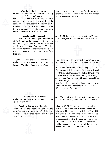| Would pray for his enemies<br>Psalms 109:4 In return for my love they are my<br>accusers, but I give myself to prayer.<br>Isaiah 53:12 Therefore I will divide Him a<br>portion with the great, and He shall divide the<br>spoil with the strong, because He poured out His<br>soul unto death, and He was numbered with the<br>transgressors, and He bore the sin of many, and<br>made intercession for the transgressors. | Luke 23:34 Then Jesus said, "Father, forgive them,<br>for they do not know what they do." And they divided<br>His garments and cast lots.                                                                                                                                                                                                                                                                                                                                                                                                                         |
|-----------------------------------------------------------------------------------------------------------------------------------------------------------------------------------------------------------------------------------------------------------------------------------------------------------------------------------------------------------------------------------------------------------------------------|-------------------------------------------------------------------------------------------------------------------------------------------------------------------------------------------------------------------------------------------------------------------------------------------------------------------------------------------------------------------------------------------------------------------------------------------------------------------------------------------------------------------------------------------------------------------|
| His side would be pierced<br>Zechariah 12:10 "And I will pour on the house<br>of David and on the inhabitants of Jerusalem<br>the Spirit of grace and supplication; then they<br>will look on Me whom they pierced. Yes, they<br>will mourn for Him as one mourns for his only<br>son, and grieve for Him as one grieves for a<br>firstborn."                                                                               | John 19:34 But one of the soldiers pierced His side<br>with a spear, and immediately blood and water came<br>out.                                                                                                                                                                                                                                                                                                                                                                                                                                                 |
| Soldiers would cast lots for his clothes<br>Psalms 22:18 They divide My garments among<br>them, and for My clothing they cast lots.                                                                                                                                                                                                                                                                                         | Mark 15:24 And they crucified Him. Dividing up<br>His clothes, they cast lots to see what each would<br>get.<br>John 19:24 They said therefore among themselves,<br>"Let us not tear it, but cast lots for it, whose it shall<br>be," that the Scripture might be fulfilled which says:<br>"They divided My garments among them, and for<br>My clothing they cast lots." Therefore the soldiers<br>did these things.<br>Luke 23:34 Then Jesus said, "Father, forgive them,<br>for they do not know what they do." And they divided<br>His garments and cast lots. |
| Not a bone would be broken<br>Psalms 34:20 He guards all his bones; not one<br>of them is broken.                                                                                                                                                                                                                                                                                                                           | John 19:33 But when they came to Jesus and saw<br>that He was already dead, they did not break His<br>legs.                                                                                                                                                                                                                                                                                                                                                                                                                                                       |
| Would be buried with the rich<br>Isaiah 53:9 And they made His grave with the<br>wicked—but with the rich at His death, because<br>He had done no violence, nor was any deceit in<br>His mouth.                                                                                                                                                                                                                             | Matthew 27:57-60 Now when evening had come,<br>there came a rich man from Arimathea, named Joseph,<br>who himself had also become a disciple of Jesus. This<br>man went to Pilate and asked for the body of Jesus.<br>Then Pilate commanded the body to be given to him.<br>When Joseph had taken the body, he wrapped it in a<br>clean linen cloth, and <i>laid it in his new tomb</i> which he<br>had hewn out of the rock; and he rolled a large stone<br>against the door of the tomb, and departed.                                                          |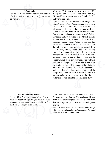| corruption. | <b>Would arise</b><br>Psalms 16:10 For You will not leave my soul in<br>Sheol, nor will You allow Your Holy One to see                                                                                                | Matthew 28:9 And as they went to tell His<br>disciples, behold, Jesus met them, saying,<br>"Rejoice!" So they came and held Him by the feet<br>and worshiped Him.<br>Luke 24:36-46 Now as they said these things, Jesus<br>Himself stood in the midst of them, and said to them,<br>"Peace to you." But they were terrified and<br>frightened, and supposed they had seen a spirit.<br>And He said to them, "Why are you troubled?<br>And why do doubts arise in your hearts? Behold<br>My hands and My feet, that it is I Myself. Handle<br>Me and see, for a spirit does not have flesh and<br>bones as you see I have." When He had said this,<br>He showed them His hands and His feet. But while<br>they still did not believe for joy, and marveled, He<br>said to them, "Have you any food here?" So they<br>gave Him a piece of a broiled fish and some<br>honeycomb. And He took it and ate in their<br>presence. Then He said to them, "These are the<br>words which I spoke to you while I was still with<br>you, that all things must be fulfilled which were<br>written in the Law of Moses and the Prophets and<br>the Psalms concerning Me." And He opened their<br>understanding, that they might comprehend the<br>Scriptures. Then He said to them, "Thus it is<br>written, and thus it was necessary for the Christ to<br>suffer and to rise from the dead the third day." |  |
|-------------|-----------------------------------------------------------------------------------------------------------------------------------------------------------------------------------------------------------------------|-----------------------------------------------------------------------------------------------------------------------------------------------------------------------------------------------------------------------------------------------------------------------------------------------------------------------------------------------------------------------------------------------------------------------------------------------------------------------------------------------------------------------------------------------------------------------------------------------------------------------------------------------------------------------------------------------------------------------------------------------------------------------------------------------------------------------------------------------------------------------------------------------------------------------------------------------------------------------------------------------------------------------------------------------------------------------------------------------------------------------------------------------------------------------------------------------------------------------------------------------------------------------------------------------------------------------------------------------------------------------------------------------|--|
|             | <b>Would ascend into Heaven</b><br>Psalms 68:18 You have ascended on high, you<br>have led captivity captive; you have received<br>gifts among men, even from the rebellious, that<br>the Lord God might dwell there. | Luke 24:50-51 And He led them out as far as<br>Bethany, and He lifted up His hands and blessed<br>them. Now it came to pass, while He blessed them,<br>that He was parted from them and carried up into<br>heaven.<br>Acts 1:9 Now when He had spoken these things,<br>while they watched, He was taken up, and a cloud<br>received Him out of their sight.                                                                                                                                                                                                                                                                                                                                                                                                                                                                                                                                                                                                                                                                                                                                                                                                                                                                                                                                                                                                                                   |  |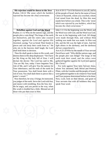| His rejection would be shown to the Jews<br>Psalms 118:22 The stone which the builders<br>rejected has become the chief cornerstone.                                                                                                                                                                                                                                                                                                                                                                                                                                                                                                                                                                                                                                                                                                                                                                                                                                                                                                                                                                                                                                                                                       | Acts 4:10-11 "Let it be known to you all, and to<br>all the people of Israel, that by the name of Jesus<br>Christ of Nazareth, whom you crucified, whom<br>God raised from the dead, by Him this man<br>stands here before you whole. This is the 'stone<br>which was rejected by you builders, which has<br>become the chief cornerstone.'"                                                                                                                                                                                                                                                                                                                                                                                                                                                                                                                                                                                                                                                                              |
|----------------------------------------------------------------------------------------------------------------------------------------------------------------------------------------------------------------------------------------------------------------------------------------------------------------------------------------------------------------------------------------------------------------------------------------------------------------------------------------------------------------------------------------------------------------------------------------------------------------------------------------------------------------------------------------------------------------------------------------------------------------------------------------------------------------------------------------------------------------------------------------------------------------------------------------------------------------------------------------------------------------------------------------------------------------------------------------------------------------------------------------------------------------------------------------------------------------------------|---------------------------------------------------------------------------------------------------------------------------------------------------------------------------------------------------------------------------------------------------------------------------------------------------------------------------------------------------------------------------------------------------------------------------------------------------------------------------------------------------------------------------------------------------------------------------------------------------------------------------------------------------------------------------------------------------------------------------------------------------------------------------------------------------------------------------------------------------------------------------------------------------------------------------------------------------------------------------------------------------------------------------|
| <b>Rebellion against God and the Word</b><br>Psalms 2:1-12 Why do the nations rage, and the<br>people plot a vain thing? The kings of the earth<br>set themselves, and the rulers take counsel<br>together, against the Lord and against His<br>Anointed, saying, "Let us break Their bonds in<br>pieces and cast away their cords from us." He<br>who sits in the heavens shall laugh; the Lord<br>shall hold them in derision.<br>Then He shall speak to them in His wrath, and<br>distress them in His deep displeasure: "Yet I have<br>set My King on My holy hill of Zion. I will<br>declare the decree: The Lord has said to Me,<br>'You are My Son, today I have begotten You.<br>Ask of Me, and I will give You the nations for<br>Your inheritance, and the ends of the earth for<br>Your possession. You shall break them with a<br>rod of iron; You shall dash them to pieces like a<br>potter's vessel."<br>Now therefore, be wise, O kings; be instructed,<br>you judges of the earth. Serve the Lord with fear,<br>and rejoice with trembling. Kiss the Son, lest<br>He be angry, and you perish in the way, when<br>His wrath is kindled but a little. Blessed are all<br>those who put their trust in Him. | John 1:1-5 In the beginning was the Word, and<br>the Word was with God, and the Word was God.<br>He was in the beginning with God. All things<br>were made through Him, and without Him<br>nothing was made that was made. In Him was<br>life, and the life was the light of men. And the<br>light shines in the darkness, and the darkness<br>did not comprehend it.<br>Acts 4:25-29 Who by the mouth of Your servant<br>David have said: "Why did the nations rage, and<br>the people plot vain things? The kings of the<br>earth took their stand, and the rulers were<br>gathered together against the Lord and against<br>His Christ."<br>For truly against Your holy Servant Jesus,<br>whom You anointed, both Herod and Pontius<br>Pilate, with the Gentiles and the people of Israel,<br>were gathered together to do whatever Your hand<br>and Your purpose determined before to be done.<br>Now, Lord, look on their threats, and grant to<br>Your servants that with all boldness they may<br>speak Your word. |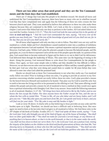# are two of **There are two other areas that need proof and they are the Ten Commandments and the feast days that God established.**

*keep* if<br>*reely eal*<br>*at of it y*<br>w what *Eden to tend and keep it. 16 And the Lord God commanded the man, saying, "Of every tree of the* There are 17 things that God asks His people to<br>understand the Ten Commandments, however, there ha<br>God that they have complained time and again that the<br>between church and state. They want mankind to believ<br>religious becau religious because they are contained in the Bible. Let's look at this for a moment. Look at Genesis There are 17 things that God asks His people to be obedient toward. We should all know and understand the Ten Commandments, however, there have been so many who are in rebellion toward God that they have complained time and again that the following of these ten rules crosses the line between church and state. They want mankind to believe that adherence to these ten rules make them chapter 2 and notice that Adam had only one duty to perform in the Garden. All God asked Adam to do was tend the Garden, Genesis 2:15-17, *15Then the Lord God took the man and put him in the garden of garden you may freely eat; 17 but of the tree of the knowledge of good and evil you shall not eat, for in the day that you eat of it you shall surely die."*

ses. This same time was the beginning of testing in the<br>to write down Ten Commandments for the people to<br>o follow and they shouldn't be that difficult to follow.<br>for the people to follow and they created a golden calf to<br>c t didn't turn of<br>into a conditi<br>and not a phy<br>His beloved<br>n the earth. In<br>to their God We all know what happened with only one duty or rule to follow. That didn't turn out very well for mankind as a whole. Adam and Eve's disobedience caused mankind to enter into a condition of sinfulness and separation between God and mankind. This means a spiritual separation and not a physical separation. However, God had a plan. Within God's plan He selected a people to become His beloved people, and His goal (plan, etc.) was for them to represent God to all the rest of the peoples upon the earth. In a portion of this plan, God caused them to become enslaved in Egypt and for them to cry out to their God for deliverance. God delivered them through the leadership of Moses. This same time was the beginning of testing in the desert. Along this journey, God instructed Moses to write down Ten Commandments for the people to follow. Once again, we have some simple rules to follow and they shouldn't be that difficult to follow. However, we see that even ten rules were too much for the people to follow and they created a golden calf to be their god. God saw what they were doing and caused them to wander for 40 years before they were allowed to enter into what God called the promised land.

elationship w<br>1; Matthew 1<br>*xcept the Foxells to reveal*<br>*cake My yoke<br>vour souls.* Fraction concerning whether mankind can really follow these ten rules. God's plan provided a means for the breech between Himself and mankind to be healed. That plan was for God to send His only Son to earth to become the really follow ten rules? Prior to looking at these ten rules, I'm going to provide an answer to my first Maybe we should look at these Ten Commandments to see what they really say. Can mankind for the breech between Himself and mankind to be healed. That plan was for God to send His only Son to earth to become the living sacrifice to be presented as the offering to God. That same offering would redeem His people and provide a means for all of mankind to have a method so they would once again have a spiritual relationship with Almighty God. Here is my answer: Jesus made the following statement to all of mankind; Matthew 11:27-30, *27All things have been delivered to Me by My Father, and no one knows the Son except the Father. Nor does anyone know the Father except the Son, and the one to whom the Son wills to reveal Him. 28Come to Me, all you who labor and are heavy laden, and I will give you rest. 29 Take My yoke upon you and learn from Me, for I am gentle and lowly in heart, and you will find rest for your souls. 30For My yoke is easy and My burden is light."*

as *m*<br>iathers of<br>housand<br>rd your *<sup>5</sup> you shall not bow down to them nor serve them. For I, the Lord your God, am a jealous God, visiting* Look at verse 50 above. It clearly tens us that be<br>burden upon us is light. Therefore, we should not have<br>again we need to look at the ten rules that God gave to all<br> $20^{th}$  chapter of the book of Exodus. Exodus  $20:1-17$  *the Lord your God, who brought you out of the land of Egypt, out of the house of bondage. 3 You shall* Look at verse 30 above. It clearly tells us that believing in Jesus provides an easy yoke and His burden upon us is light. Therefore, we should not have a difficult task in believing Jesus. But once again we need to look at the ten rules that God gave to all mankind to follow. We find these rules in the 20th chapter of the book of Exodus. Exodus 20:1-17; *1 And God spoke all these words, saying: 2 "I am have no other gods before Me. 4 "You shall not make for yourself a carved image, or any likeness of anything that is in heaven above, or that is in the earth beneath, or that is in the water under the earth; the iniquity of the fathers on the children to the third and fourth generations of those who hate Me, 6 but showing mercy to thousands, to those who love Me and keep My commandments. 7 "You shall not take the name of the Lord your God in vain, for the Lord will not hold him guiltless who takes His name in*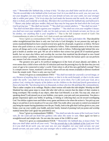*his donkey, nor anything that is your neighbor's."* That is the full scripture record of God's Ten *Not your daugmer, nor your mate servant, nor your*<br>who is within your gates.<sup>11</sup> For in six days the Lord<br>that is in them, and rested the seventh day. Therefore<br><sup>12</sup> "Honor your father and your mother, that your da<br>God i *God is giving you. 13 "You shall not murder. 14 "You shall not commit adultery. 15 "You shall not steal. 16 vain. 8 "Remember the Sabbath day, to keep it holy. 9 Six days you shall labor and do all your work, 10but the seventh day is the Sabbath of the Lord your God. In it you shall do no work: you, nor your son, nor your daughter, nor your male servant, nor your female servant, nor your cattle, nor your stranger who is within your gates. 11 For in six days the Lord made the heavens and the earth, the sea, and all that is in them, and rested the seventh day. Therefore the Lord blessed the Sabbath day and hallowed it. 12 "Honor your father and your mother, that your days may be long upon the land which the Lord your "You shall not bear false witness against your neighbor. 17"You shall not covet your neighbor's house; you shall not covet your neighbor's wife, nor his male servant, nor his female servant, nor his ox, nor*

Commandments or rules in Exodus. Let's look at each one individually.<br>Verse 3 gives us commandment ONE: <sup>3</sup> You shall have no other got rather straightforward that there is only one God who is God Almighty.<br>seems mankind t seems mankind themselves have created several new gods for all people, in general, to follow. We have those who push science as a new god for mankind to follow. Their statement seems to be that science proves all things an Verse 3 gives us commandment ONE: *3 You shall have no other gods before Me.* That should be rather straightforward that there is only one God who is God Almighty. In our present day and age it those who push science as a new god for mankind to follow. Their statement seems to be that science proves all things and is to be worshipped as the only truth to follow. Following right behind this new god is health as another new god. We are all to believe that science has given all of mankind greater health, but we must also follow and worship the vaccines that mankind has developed as new found answers to today's problems. A third new god is humanism whereby the human spirit can out perform any unseen God who created the entire universe.

Frametally in the form of smart phones and tablets. It<br>fection and must be pressing keys by the time they are two<br>l. From where is all of this new god belief coming? There<br>ry. Satan will use any means available to distract The greatest new god is AI (artifical inteligence) in the form of smart phones and tablets. It even seems that a child is born with this AI infection and must be pressing keys by the time they are two years of age to be connected to today's world. From where is all of this new god belief coming? There is a simple answer: Satan, mankind's adversary. Satan will use any means available to distract mankind from the simple truth: There is only one true God!

you being the master having dominion over the pet. Final<br>house, your car, your wealth, your health, and your fam<br>material items that God's grace has provided to you.<br>Verse 7 gives us commandment THREE: <sup>7</sup> "*Youin, for the* That is rather complex in its verolage. Maybe a short version win make this rule simpler. Worsing to idon.<br>Mankind has taken great steps to create idol after idol with no concern that the object of their creation is<br>being any likeness of anything that is in heaven above, or that is in the earth beneath, or that is in the water under the earth; <sup>5</sup> you shall not bow down to them nor serve them. For I, the Lord your God, am a jealous God, vis Verses 4-6 gives us commandment TWO: *4 "You shall not make for yourself a carved image, or under the earth;* <sup>5</sup> you shall not bow down to them nor serve them. For I, the Lord your God, am a *jealous God, visiting the iniquity of the fathers on the children to the third and fourth generations of those who hate Me, 6 but showing mercy to thousands, to those who love Me and keep My commandments.* That is rather complex in its verbiage. Maybe a short version will make this rule simpler: Worship no idol! being worshiped. The worship of any object, other than God Himself, is an idol. You may ask, what am I speaking about? Look around you at your hobbies, your sports, your pets and your possessions. You place a greater importance upon your hobby of quilting, or fishing or collecting than you do toward worshipping God. You idolize a sports team and follow every game and desire to be where the action is. You pick up your dog or cat and kiss it on its mouth as if it was your child. You really allow your pets to control you instead of you being the master having dominion over the pet. Finally, look at the gifts that God has given to you; your house, your car, your wealth, your health, and your family. Instead of praising God you praise and worship material items that God's grace has provided to you.

Verse 7 gives us commandment THREE: *7 "You shall not take the name of the Lord your God in vain, for the Lord will not hold him guiltless who takes His name in vain.* Once again we have a straightforward and simple rule. Do not take the name of the LORD in vain!

*labor al*<br>*do no* 1<br>*nor yo* Verse 8-11 gives us commandment FOUR: *8 "Remember the Sabbath day, to keep it holy. 9 Six days you shall labor and do all your work, 10 but the seventh day is the Sabbath of the Lord your God. In it you shall do no work: you, nor your son, nor your daughter, nor your male servant, nor your female servant, nor your cattle, nor your stranger who is within your gates. 11 For in six days the Lord*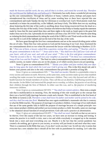makes Jesus out to be a liar. I personally do not intend to call Jesus a liar. DO YOU? Isn't that the same thing the university of the commandment. Through the influence of S<br>misunderstood the crucifixion of Jesus and by some<br>commandment and made Sunday the day for Christians<br>mankind is to honor the seventh day, or the Sabbath, and<br>a about honoring the first day of the week or anything about Jesus being resurrected from the dead on a ns and the ed<br>ns and the ed<br>l the Sabbath *made the heavens and the earth, the sea, and all that is in them, and rested the seventh day. Therefore the Lord blessed the Sabbath day and hallowed it.* Christianity has really done a wonderful job messing up this one commandment. Through the influence of Satan, Catholic priest, bishops and popes have misunderstood the crucifixion of Jesus and by some wording here or there have rejected this one commandment and made Sunday the day for Christians to worship God. God's Word plainly reads that mankind is to honor the seventh day, or the Sabbath, and keep it holy. The Bible does not say anything Sunday (the first day of the week). Every Christian who believes that Friday to Sunday equals the statement made by Jesus that He must spend three days and three nights in the tomb as Jonah spent in the great fish says that He is Lord of the Sabbath and not the lord of the first day of the week.

as violating the third commandment by taking the word of the LORD in vain? Final words on this rule: Jesus says that He is Lord of the Sabbath and not the lord of the first day of the week.<br>We have gone through the first f our God. Jesu<br>bllowing in Nazying, <sup>36</sup> "Te<br>the Lord yout and great We have gone through the first four commandments and are at the natural dividing point within this set of rules. These first four rules pertain to God and the honoring of our God. Jesus shortened the ten commandments down to two when He answered the lawyer with the following in Matthew 22:35- 40, *35 Then one of them, a lawyer, asked Him a question, testing Him, and saying, 36 "Teacher, which is the great commandment in the law?" 37 Jesus said to him, "'You shall love the Lord your God with all your heart, with all your soul, and with all your mind.' 38 This is the first and great commandment. 39And the second is like it: 'You shall love your neighbor as yourself.' 40 On these two commandments* orderly society, no matter where you are on the planet, or of which society (race) you are speaking.

*hang all the Law and the Prophets.*" The final six rules (commandments) represent a moral code for an orderly society, no matter where you are on the planet, or of which society (race) you are speaking.<br>Verse 12 gives us Verse 12 gives us commandment FIVE: *<sup>12</sup> "Honor your father and your mother, that your days may be long upon the land which the Lord your God is giving you.* This is the first moral rule and it honors your parents and also is the only commandment that provides a promise of long life.

wording that make excuses for murdering innocence children. They carry this forward and call this a<br>health function for female members of society. They call this act an abortion, God fearing societies call<br>this murder. In Verse 13 gives us commandment SIX: *13 "You shall not murder.* Murder is a punishable crime in every society and nation on earth. However, at the same time, some societies make up laws that establish health function for female members of society. They call this act an abortion, God fearing societies call this murder. In the Bible God instructed His people not to worship, or follow, the practice of sacrificing their children through the fires of Moloch. In either case this was, and is, the practice of murdering innocence children.

that are of the same gender fails to fulfill the purpose of<br>men cannot produce children and neither can two women<br>is the unnatural sexual function of sexual perversion. Go<br>Verse 15 gives us commandment EIGHT: <sup>15 "</sup>You<br>be Verse 14 gives us commandment SEVEN: <sup>14</sup> "*You shall not commit adultery*. Here rests a simple t is multifacited in its meaning. First, the meaning of this rule would give us the concept that as a lawful Godly marriage be rule that is multifacited in its meaning. First, the meaning of this rule would give us the concept that there was a lawful Godly marriage between a male and a female. This is established in the first book of the Bible in Genesis 2:24, *Therefore a man shall leave his father and mother and be joined to his wife, and they shall become one flesh.* Mankind has once again established a manmade rule that is contrary to what the Bible teaches. The purpose of marriage is to produce children. A marriage of two individuals that are of the same gender fails to fulfill the purpose of marriage because of a simple principle: two men cannot produce children and neither can two women produce a child. Secondly, same sex marriage is the unnatural sexual function of sexual perversion. God calls such a practice an abomination.

ng, get it<br>t in the<br>w minds be thieves. Over the course of the last two years, we have seen an increase in rioting and looting. It Verse 15 gives us commandment EIGHT: *<sup>15</sup> "You shall not steal.* God tells us that we are not to seems the practice is to instill a crisis, start a riot and while everybody is wrapped up in the moment break into a store and steal everything you can. Maybe it is the fact that the current pandemic has created a do nothing, get it given to you society, or society will just break in and steal what they want. There is a statement in the Bible that says, if you don't work you don't eat. So tell me why it seems that everyone has a new mindset that it should all be free with no punishment for stealing. Let's take this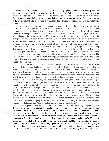an exchange between sener and buyer. The set of w<br>for one set and the drilled out portion to be filled w<br>seller would use the lighter set when they purchase<br>product.<br>Today, we see engineered obsolescence in r<br>plastic parts ther. Manufa<br>ave a fair and one step further. Manufacturers have lost sight of producing a quality item for a reasonable price. God tells us to have a fair and honest set of weights. In the days of the Bible, a balance was used to provide an exchange between seller and buyer. The set of weights used were not to be drilled out to be lighter for one set and the drilled out portion to be filled with lead to be heavier for the other set. A cheating seller would use the lighter set when they purchased an item and the heavier set when they sold their product.

greater because the least expensive building material is used. Let's use another example. Look at the corruption in our present day government system. In days gone by our forefathers would call it a bribe. Today, they call products are all engineered to fail as quickly as possible so another one must be bought, or the profit is Today, we see engineered obsolescence in many of today's products. There is a desire to use the taxes you have to pay to the government. These laws do not take into consideration how many times a tax has already been paid, somehow the government will now tax you again on the same thing. The incentives to work har plastic parts instead of metal for the wear and tear to quickly be influenced upon a product. At one time this nation produced the best the world could build. Today it seems that cars, buildings, and consumable corruption in our present day government system. In days gone by our forefathers would call it a bribe. Today, they call it a law and use these type laws to manipulate everything from your bank account to times a tax has already been paid, somehow the government will now tax you again on the same thing. The incentives to work hard and produce the best you can has gone by the wayside. You will pay taxes on your wages. Take part of your wages and invest it in savings for the future and you will be taxed on the interest. Sell stock or property and you will be taxed on capital gain. Die and your children will be taxed on their inheritance. That is a form of manipulated deception and it is the same thing as stealing. It really doesn't matter the form it may take, it is still, in truth, committing thievery by illegally cheating, stealing or deceiving.

you this, but every action toward that one world government is a stamp of approval for Satan, his antichrist and the false prophet. Those three are the trinity of hell. Every step this nation takes away from the God who ma That history, these present days, seems like something that we no longer need to know about. Society<br>has turned its back toward our God, our Constitution, our Bill of Rights, and all things that have helped<br>make us a natio is still, in truth, committing thievery by illegally cheating,<br>e forgotten the fact that this nation and the nation of Israel<br>venant with our God. God blessed us as a nation when we<br>been on a road of self destruction ever The people of this nation seem to have forgotten the fact that this nation and the nation of Israel are the only two nations that have made a covenant with our God. God blessed us as a nation when we acted in a godly manner. However, we have been on a road of self destruction ever since the end of World War II and our blessings have been getting less and less as we travel down that forbidden pathway. It is time this nation takes a moment to think about the history of this nation and our constitution. has turned its back toward our God, our Constitution, our Bill of Rights, and all things that have helped make us a nation of united people. We are now split 50/50 on just about everything. We are either Republican or Democrat, right or left, for or against, just or unjust, fair or unfair. Many of those who desire a socialistic, one world government believe it will solve the problems of our planet. I hate to tell antichrist and the false prophet. Those three are the trinity of hell. Every step this nation takes away from the God who made a covenant with our forefathers only brings these three closer. Wake up sleeping giant! Wake up all you believers of the one true God! Repent, change your ways, stand up for the blood of Christ and be the Godly people you were meant to be! God's warning is now, God's wrath is near. Remember what Jesus said, "You are either for me or you are against me!"

Jeremiah, we should understand what the prophet told the nation of Judah about what was going to happen to them because of their unbelief. The same destiny is about to overtake this nation, and there doesn't seem to be man Verse 16 gives us commandment NINE: <sup>16</sup> "You"<br>To state this in simple terms is to say "you should no<br>we shall tell the truth, the whole truth and nothing by<br>tells the truth in every broadcast that they make? It d<br>listenin Verse 16 gives us commandment NINE: *16"You shall not bear false witness against your neighbor.* To state this in simple terms is to say "you should not lie." Even in a court of law we take an oath that we shall tell the truth, the whole truth and nothing but the truth. Do you really believe that fake media tells the truth in every broadcast that they make? It does not matter if you are reading the newspaper, listening to radio or television, or streaming on the Internet, you don't know what is truth and what is propaganda. There is no unity in this nation and the country is now divided just about 50/50. United We Stand, Divided We Fall is the motto of both the states of Kentucky and Missouri. In reading the book of happen to them because of their unbelief. The same destiny is about to overtake this nation, and there doesn't seem to be many who understand the warnings that God is sending. The fires, heavy rains,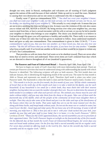st, snow in<br>ons of the ear drought out west, snow in Hawaii, earthquakes and volcanoes are all warning of God's judgment against the nations of the earth because of their unbelief. Wake up and try to smell the roses. Mankind is causing their own destruction and no one seems to understand why this is happening.

His grace<br>se ten r<br>only on<br>*ive to* y your neighbor to obtain what belongs to your neighbor. The choice you should make is to believe in Is causing their own destruction and no one seems to the Finally, verse 17 gives us commandment TEN:<br>
you shall not covet your neighbor's wife, nor his male s<br>
his donkey, nor anything that is your neighbor's." This a<br>
are are not to envy anything that does not belong to you. In many ways the violation of this rule also causes m som 13.5<br>you, that you<br>for one ano<br>d be no reaso<br>ward. There Finally, verse 17 gives us commandment TEN: *17"You shall not covet your neighbor's house; you shall not covet your neighbor's wife, nor his male servant, nor his female servant, nor his ox, nor his donkey, nor anything that is your neighbor's."* This actually is a very simple rule. It means that you you to violate rule SIX, SEVEN or EIGHT. By being envious over what your neighbor has, you may want to steal from him, or have a sexual encounter with his wife or servant, or you my be led to murder God and through His grace you will experience a healthy and wealthy life. There really is no reason to violate any of these ten rules that God has given to mankind to follow. Jesus understood mankind's heart and gave us only one commandment. That commandment is given in John 13:34-35, *34"A new commandment I give to you, that you love one another; as I have loved you, that you also love one another. 35By this all will know that you are My disciples, if you have love for one another."* Consider what Jesus actually said: if we loved one another as He loves us there would be no reason to violate any of God's Ten Commandments.

That provides us with ten items that God wants us to be obedient toward. There are seven other items that we need to review and understand. These seven items are God's ordained feast days which we are directed to observe throughout all of our (mankind's) generations.

#### **The Passover and Feast of Unleavened Bread** — Passover April 14th, Feast April 15th

must eat bread made without yeast. On the first day hold a sacred assembly and do no regular work.<br> *For seven days present an offering made to the Lord by fire. And on the seventh day hold a sacred*<br> *assembly and do no r* along with bitter herbs, and bread made without yeast. D<br>roast it over the fire—head, legs and inner parts. Do not<br>morning, you must burn it. This is how you are to eat it<br>sandals on your feet and your staff in your hand. *nousehout. If any househout is too small for a whole tamp, they mast share one will their heartst neighbor, having taken into account the number of people there are. You are to determine the amount of lamb needed in a* Abib or Nissan and represents our month of April. Therefore April tenth is when you select your Passover lamb. The fourteenth is when the lamb is slain and the Passover meal is eaten. Exodus 12:2-<br>11: "This month is to be (mankind's) generations.<br> **Bread** — Passover April 14th, Feast April 15th<br>
st days with more information than normal. There are<br>
stood along with understanding the month with which<br>
will give us both answers. The first mon We have to begin our study of God's feast days with more information than normal. There are certain pre-Passover activities that must be understood along with understanding the month with which Passover is identified. The following scripture will give us both answers. The first month does not indicate January, this is identifying the beginning month of the sacred year. The name for that month is Passover lamb. The fourteenth is when the lamb is slain and the Passover meal is eaten. Exodus 12:2- 11: *"This month is to be for you the first month, the first month of your year. Tell the whole community of Israel that on the tenth day of this month each man is to take a lamb for his family, one for each household. If any household is too small for a whole lamb, they must share one with their nearest lamb needed in accordance with what each person will eat. The animals you choose must be year-old males without defect, and you may take them from the sheep or the goats. Take care of them until the fourteenth day of the month, when all the people of the community of Israel must slaughter them at twilight. Then they are to take some of the blood and put it on the sides and tops of the doorframes of the houses where they eat the lambs. That same night they are to eat the meat roasted over the fire, along with bitter herbs, and bread made without yeast. Do not eat the meat raw or cooked in water, but roast it over the fire—head, legs and inner parts. Do not leave any of it till morning; if some is left till morning, you must burn it. This is how you are to eat it: with your cloak tucked into your belt, your sandals on your feet and your staff in your hand. Eat it in haste; it is the Lord's Passover."* (NIV) Leviticus 23:4-8: *"These are the Lord's appointed feasts, the sacred assemblies you are to proclaim at their appointed times: The Lord's Passover begins at twilight on the fourteenth day of the first month. On the fifteenth day of that month the Lord's Feast of Unleavened Bread begins; for seven days you For seven days present an offering made to the Lord by fire. And on the seventh day hold a sacred assembly and do no regular work."* (NIV)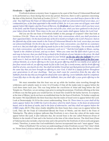# **April 18t**<br>**April 18t**<br>fruits is almo **Firstfruits — April 18th**

the date of this festival. First look at Exodus 23:14-1<br>year: You shall keep the Feast of Unleavened Bread<br>commanded you, at the time appointed in the month<br>appear before Me empty); and the Feast of Harvest,<br>in the field; *appear before Me empty); and the Feast of Harvest, the firstfruits of your labors which you have sown* Firstfruits is almost a mystery feast. It appears to be a part of the Feast of Unleavened Bread and to be performed as a feast during that seven day period. However, there is still a question concerning the date of this festival. First look at Exodus 23:14-17: *"Three times you shall keep a feast to Me in the year: You shall keep the Feast of Unleavened Bread (you shall eat unleavened bread seven days, as I commanded you, at the time appointed in the month of Abib, for in it you came out of Egypt; none shall in the field; and the Feast of Ingathering at the end of the year, when you have gathered in the fruit of your labors from the field. Three times in the year all your males shall appear before the Lord God.*

> $-16: T$ <br> $d \text{ times.}$ <br> $dy \text{ of the}$ <br> $d \text{ bread.}$  Did you see the one feast of Firstfruits hidden in this passage of scripture? After that look at when you wave the sheaf, **a male lamb of the first year**,<br>ord. Its grain offering shall be two-tenths of an ephah of<br>fire to the Lord, for a sweet aroma; and its drink offering<br>l eat neither bread nor parched grain nor fre *eat unleavened bread. On the first day you shall have a holy convocation; you shall do no customary*<br>work on it. But you shall offer an offering made by fire to the Lord for seven days. The seventh day shall<br>be a holy con Leviticus 23:4-16: *'These are the feasts of the Lord, holy convocations which you shall proclaim at their appointed times. On the fourteenth day of the first month at twilight is the Lord's Passover. And on the fifteenth day of the same month is the Feast of Unleavened Bread to the Lord; seven days you must work on it. But you shall offer an offering made by fire to the Lord for seven days. The seventh day shall be a holy convocation; you shall do no customary work on it.' "And the Lord spoke to Moses, saying, "Speak to the children of Israel, and say to them: 'When you come into the land which I give to you, and reap its harvest, then you shall bring a sheaf of the firstfruits of your harvest to the priest. He shall wave the sheaf before the Lord, to be accepted on your behalf; on the day after the Sabbath the priest shall wave it. And you shall offer on that day, when you wave the sheaf, a male lamb of the first year, without blemish, as a burnt offering to the Lord. Its grain offering shall be two-tenths of an ephah of fine flour mixed with oil, an offering made by fire to the Lord, for a sweet aroma; and its drink offering shall be of wine, one-fourth of a hin. You shall eat neither bread nor parched grain nor fresh grain until the same day that you have brought an offering to your God; it shall be a statute forever throughout your generations in all your dwellings. 'And you shall count for yourselves from the day after the Sabbath, from the day that you brought the sheaf of the wave offering: seven Sabbaths shall be completed. Lord.*

*bread, and in the feast of weeks, and in the feast of tabernacles: and they shall not appear before the LORD empty.* (KJV) This verse clearly identifies the three feasts that a man was to appear before the Lord. They are Therefore, w<br>Therefore, w<br>s the first gra<br>Moses, we c<br>Ve must ident<br>teronomy 16 *Count fifty days to the day after the seventh Sabbath; then you shall offer a new grain offering to the*<br>*Lord*.<br>We must remember that this feast was set up while the Isralites were traveling through the<br>wilderness and it We must remember that this feast was set up while the Isralites were traveling through the wilderness and it plainly states in verse 14 of Exodus 23 that all the males were to appear before the Lord three times each year. This was long before the crucifixion of Jesus and long before the 2nd Temple era. Therefore, we are seeing a type prior to seeing the prototype. Firstfruits offering at the time of Moses was the first grain you would harvest. In Israel this would be the barley harvest. In scripture, at the time of Moses, we do not have an established time for the feast of firstfruits. To further complicate the matter: We must identify the three feast days that the males of Israel were to appear before the Lord. Look at Deuteronomy 16:16 for the correct understanding. Verse 16: *Three times in a year shall all thy males appear before the LORD thy God in the place which he shall choose; in the feast of unleavened LORD empty.* (KJV) This verse clearly identifies the three feasts that a man was to appear before the Lord. They are the Feast of Unleavened Bread; the Feast of Weeks; and the third is the Feast of Tabernacles. The above scripture indicates that Firstfruits is not a feast day when all the males must appear before the Lord. It also indicates that, the second feast is the one called Pentecost (Feast of Weeks) in the month of June and is the festival at the time of the wheat harvest. The third feast (Feast of Tabernacles) also includes a harvest time and is the period for the firstfruits of olives (oil) and grapes (wine). Therefore, it seems that God established a harvest incorporated into each "must appear" feast.

pre, it se<br>s Firstfr<br>l Levitic When is Firstfruits? Do we have an understanding of when Firstfruits occurs? No! I don't think so. Verses from Leviticus indicate that firstfruits are offered on the day after the Sabbath. Here is where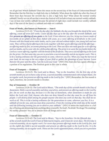subbath? Surely we can all see that a seven day festival w<br>I say at least one weekly sabbath because the period of<br>days if the start of the feast is a sabbath and ends on a s<br>**Feast of Weeks, also known as Pentecost** — **Ju** Which Sabba<br>the first day we all get lost! Which Sabbath? Does this mean on the second day of the Feast of Unleavened Bread? Remember that the first day is a high holy day (a Sabbath). What about the eighth day after the close of these feast days because the seventh day is also a high holy day? What about the normal weekly sabbath? Surely we can all see that a seven day festival will include at least one normal weekly sabbath. I say at least one weekly sabbath because the period of eight days could include two weekly sabbath days if the start of the feast is a sabbath and ends on a sabbath.

#### **Feast of Weeks, also known as Pentecost — June 6**

*seven*<br>**ffering**<br>ephah of<br>pread seraburnt<br>a burnt *offering, count off seven full weeks. Count off fifty days up to the day after the seventh Sabbath, and* Field or gather the gleanings of your harvest. Leave<br>
ur God." (NIV) This feast also has a grain offering as<br>
i this case is wheat.<br>
Soses, "Say to the Israelites: On the first day of the *resem with this bread seven made tambs, each a year old and without defect, one young butt and two* rams. They will be a burnt offering to the Lord, together with their grain offerings and drink offerings—an offering made Leviticus 23:15-22: *"From the day after the Sabbath, the day you brought the sheaf of the wave then present an offering of new grain to the Lord. From wherever you live, bring two loaves made of two-tenths of an ephah of fine flour, baked with yeast, as a wave offering of firstfruits to the Lord. Present with this bread seven male lambs, each a year old and without defect, one young bull and two an offering made by fire, an aroma pleasing to the Lord. Then sacrifice one male goat for a sin offering and two lambs, each a year old, for a fellowship offering. The priest is to wave the two lambs before the Lord as a wave offering, together with the bread of the firstfruits. They are a sacred offering to the Lord for the priest. On that same day you are to proclaim a sacred assembly and do no regular work. This is to be a lasting ordinance for the generations to come, wherever you live. When you reap the harvest of your land, do not reap to the very edges of your field or gather the gleanings of your harvest. Leave them for the poor and the alien. I am the Lord your God."* (NIV) This feast also has a grain offering as a portion of its regulations. The firstfruit grain in this case is wheat.

#### **Feast of Trumpets — October 1**

*no regular work, but present an offering made to the Lord by fire.*" (NIV) Remember, the first month is April, therefore, the seventh month is October.<br> **Day of Atonement — October 10**<br>
Leviticus 23:26-32: *The Lord said* Leviticus 23:23-25: *The Lord said to Moses, "Say to the Israelites: On the first day of the seventh month you are to have a day of rest, a sacred assembly commemorated with trumpet blasts. Do* April, therefore, the seventh month is October.

#### **Day of Atonement — October 10**

until the following evening you are to observe your sabbles and the day of fasting and abstaining from anything (deny yoursel:<br>No earthly pleasure! You are to abstain from all things a<br>Feast of Tabernacles — October 15<br>Lev a sacred as<br>d a sacred as<br>d a sacred as<br>stroy from an<br>is to be a la Leviticus 23:26-32: *The Lord said to Moses, "The tenth day of this seventh month is the Day of Atonement. Hold a sacred assembly and deny yourselves, and present an offering made to the Lord by fire. Do no work on that day, because it is the Day of Atonement, when atonement is made for you before the Lord your God. Anyone who does not deny himself on that day must be cut off from his people. I will destroy from among his people anyone who does any work on that day. You shall do no work at all. This is to be a lasting ordinance for the generations to come, wherever you live. It is a sabbath of rest for you, and you must deny yourselves. From the evening of the ninth day of the month until the following evening you are to observe your sabbath.*" (NIV) It seems the implication is a full day of fasting and abstaining from anything (deny yourself). No food!, No drink! No drugs! No smoking! No earthly pleasure! You are to abstain from all things and to rest!

#### **Feast of Tabernacles — October 15**

do no 1<br>hold a s<br>do no re Leviticus 23:33-43: *The Lord said to Moses, "Say to the Israelites: On the fifteenth day of the seventh month the Lord's Feast of Tabernacles begins, and it lasts for seven days. The first day is a sacred assembly; do no regular work. For seven days present offerings made to the Lord by fire, and on the eighth day hold a sacred assembly and present an offering made to the Lord by fire. It is the closing assembly; do no regular work. These are the Lord's appointed feasts, which you are to proclaim*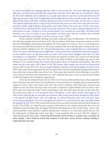*Israelites are to live in booths so your descendants will know that I had the Israelites live in booths* for the Lora's subbants and in datation to your gijts<br>offerings you give to the Lord. So beginning with the<br>gathered the crops of the land, celebrate the festival<br>rest, and the eighth day also is a day of rest. On the j<br>an *and palm fronds, leafy branches and poplars, and rejoice before the Lord your God for seven days.* s<br>semblies fois<br>semblies and *as sacred assemblies for bringing offerings made to the Lord by fire—the burnt offerings and grain offerings, sacrifices and drink offerings required for each day. These offerings are in addition to those* for the Lord's Sabbaths and in addition to your gifts and whatever you have vowed and all the freewill *offerings you give to the Lord. So beginning with the fifteenth day of the seventh month, after you have gathered the crops of the land, celebrate the festival to the Lord for seven days; the first day is a day of rest, and the eighth day also is a day of rest. On the first day you are to take choice fruit from the trees, Celebrate this as a festival to the Lord for seven days each year. This is to be a lasting ordinance for the generations to come; celebrate it in the seventh month. Live in booths for seven days: All native-born when I brought them out of Egypt. I am the Lord your God."* (NIV)

to the the<br>is anoth<br>is grapes<br>rings as when Jesus was crucified on the cross, the veil of the Holy of Holies at the temple was torn in half.<br>Matthew 27:51: At that moment the curtain of the temple was torn in two from top to bottom. The earth<br>shook and the rock and burnt offerings as documented throughout the 23rd chapter of Leviticus. Now we can bring Jesus<br>into the picture and what He did for us. We must remember that Jesus did not come to destroy the Law,<br>instead to fulfill it There is another firstfruit offering to be made within the Feast of Tabernacles. The firstfruit for this offering is grapes (wine) and olives (oil). The procedures of the feast ceremonies require sacrifice into the picture and what He did for us. We must remember that Jesus did not come to destroy the Law, instead to fulfill it. Matthew 5:17-18: *"Do not think that I have come to abolish the Law or the Prophets; I have not come to abolish them but to fulfill them. I tell you the truth, until heaven and earth disappear, not the smallest letter, not the least stroke of a pen, will by any means disappear from the Law until everything is accomplished."* (NIV) Jesus became the required sacrifice once and for all. Recall that Matthew 27:51: *At that moment the curtain of the temple was torn in two from top to bottom. The earth shook and the rocks split.* (NIV) Mark 15:38: *The curtain of the temple was torn in two from top to bottom.* (NIV) Luke 23:45: *For the sun stopped shining. And the curtain of the temple was torn in two.* (NIV) This removed the separation between mankind and God and completed the healing of the breech. Jesus effectively removed the curse of the Law: Those parts that required a burnt offering or a sacrifice were removed. However, the instructions for God's ordained feast days were not removed and remain in effect throughout all of mankind's generations.

on the 27th of May. It is hard for me to practice the<br>included in my teachings from the largest Protestant<br>and reread these verses and have marked calendar af<br>the importance of observing God's feast days. I p<br>understanding simple to read. The three reast days that every male is required to appear before God are shown. Thow<br>did we get so far from the truth? I find it interesting to note that Jesus spent 40 days on the earth after<br>His resurrec e these f<br>uthfully<br>od's fea<br>chefore These are the ordained Feasts of God. Why is it we do not celebrate these feast at their appointed times? We have been deceived in our disobedience to the point that we truthfully do not understand the request of God to obey seven feasts each year. The words to identify God's feast days are given and simple to read. The three feast days that every male is required to appear before God are shown. How His resurrection. Acts 1:1-3: *In my former book, Theophilus, I wrote about all that Jesus began to do and to teach until the day he was taken up to heaven, after giving instructions through the Holy Spirit to the apostles he had chosen. After his suffering, he showed himself to these men and gave many convincing proofs that he was alive. He appeared to them over a period of forty days and spoke about the kingdom of God.* (NIV) That would indicate that Jesus was taken from the earth just before Pentecost on the 27th of May. It is hard for me to practice these days for the simple reason that they were not included in my teachings from the largest Protestant denomination in the United States. I have read, and reread these verses and have marked calendar after calendar to try and teach myself and my wife the importance of observing God's feast days. I pray earnestly that you may find this helpful in understanding God's feast days. I know that the feast day of First Fruits is, in many ways, a mystery for many people. I have found an article that explains it with more clarity. Please continue reading to understand this one feast.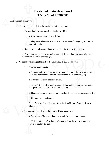## **Feasts and Festivals of Israel The Feast of Firstfruits**

I. Introduction and review:

I. Introduction and review:<br>A. We have been considering the feasts and fest A. We have been considering the feasts and festivals of God.

1. We saw that they were considered to be two things:

a. They were appointments with God.

 $\begin{array}{c} a. \\ b. \\ \text{pas} \end{array}$ et was going<br>with hindsigl<br>em prospecti b. They were rehearsals of some event or action God was going to bring to pass in the future.

2. Some have already occurred and we can examine them with hindsight.

3. Others have not yet occurred and we can only look at them prospectively, that is without the precision of hindsight.

B. We began by looking at the first of the Spring feasts, that is Passover:

1. The Passover requirements:

Spring feasts, that is Passover:<br>
Sover begins on the tenth of Nisan when each family a. Preparation for the Passover begins on the tenth of Nisan when each family takes into their home a yearling, unblemished, male lamb (or goat).

b. It has to be without spot or blemish.

blood c. On the 14th day of Nisan, the lamb is killed and his blood painted on the door posts and the lentil of the family's home.

door p<br>d. The<br>father.<br>e. The d. There is a Passover meal served to the family which is administered by the father.

e. The lamb is the main course.

Christ.<br>
2. The second Spring feast is the Feast of<br>
2. On the day of Passover, there is f. This feast is a dress rehearsal of the death and burial of our Lord Jesus Christ.

2. The second Spring feast is the Feast of Unleavened Bread:

a. On the day of Passover, there is a search for leaven in the home.

leaven b. All leaven found of the home is burned and for the next seven days no leaven is used in the home.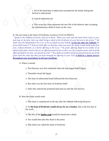$\begin{array}{c} \begin{array}{c} c \\ c \end{array} \end{array}$ c. All of the bread that is baked and consumed by the family during this festival is unleavened.

d. Leaven represents sin.

d. Leaven represents sin.<br>
e. This seven day feast repres<br>
the substitutionary death of J the substitutionary death of Jesus on the cross. e. This seven day feast represents the new life of the believer after accepting

#### II. The next feast is the Feast of Firstfruits; Leviticus 23:10-14 (NKJV):

ast is th $\cdot$  *childre*<br>*arvest, arvest, arvest*<br> $\cdot$  *sheaf b*<br>*we it.*  $^{12}$ n the day afi<br>he sheaf, a m<br>fering shall l<br>for a sweet a<br>ead nor parc<br>od: it shall l  *"Speak to the children of Israel, and say to them: 'When you come into the land which I give to you, and reap its harvest, then you shall bring a sheaf of the firstfruits of your harvest to the priest. 11 He shall wave the sheaf before the LORD, to be accepted on your behalf; on the day after the Sabbath the priest shall wave it. 12 And you shall offer on that day, when you wave the sheaf, a male lamb of the first year, without blemish, as a burnt offering to the LORD. 13 Its grain offering* shall be *two-tenths* of an ephah *of fine flour mixed with oil, an offering made by fire to the LORD, for a sweet aroma; and its drink offering* shall be *of wine, one-fourth of a hin. 14 You shall eat neither bread nor parched grain nor fresh grain until the same day that you have brought an offering to your God; it shall be a statute forever throughout your generations in all your dwellings.*

#### A. When it started:

- ellings.<br>brated when the last plague befell Egypt. 1. The Passover was first celebrated when the last plague befell Egypt.
- 2. Thereafter Israel left Egypt.
- ver.<br>2 3. The feast of unleavened bread followed the first Passover.
- 4. But when was the first feast of firstfruits held?
- 5. After they entered the promised land and not until the first harvest.
- 5. After th<br>ow the Feast<br>1 This fea B. How the Feast would work:
	- 1. This feast is commenced on the day after the Sabbath following Passover.

2. So the feast of firstfruits would a<br>the week.<br>3. The first of the <u>barley crop</u> would 2. So **the feast of firstfruits would always be on a Sunday**, that is the first day of the week.

3. The first of the **barley crop** would be bound into a sheaf.

4. You would then take this sheaf to the priest.

-5. This sheaf was called the sheaf of firstfruits.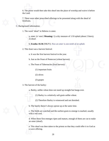S. The priest 6. The priest would then take this sheaf into the place of worship and waive it before the Lord.

7. There were other proscribed offerings<br>firstfruits.<br>C. Background information: 7. There were other proscribed offerings to be presented along with the sheaf of firstfruits.

#### C. Background information:

1. The word 'sheaf' in Hebrew is omer.

a. (2)<br>2)<br>b. l a. omer {o'-mer} **Meaning:** 1) a dry measure of 1/10 ephah (about 2 liters); 2) sheaf.

b. **Exodus 16:36** (NKJV): *Now an omer* is *one-tenth of an ephah.*

2. This feast was a harvest festival:

a. It was the first harvest festival in the year.

tecost (wheat harvest).<br>
es (fruit harvest):<br>
s b. Just as the Feast of Pentecost (wheat harvest).

c. The Feast of Tabernacles (fruit harvest):

(1) important fruits

(2) olives

(3) grapes

3. The harvest of the barley:

a. Bar a. Barley, unlike wheat does not stand up straight but hangs over.

(1) Barley is a relatively soft grain unlike wheat.

(2) Therefore Barley is winnowed and not threshed.

b. The barely doesn't always sprout up at the same time.

b. The barely doesn't always spro<br>
c. The fields are watched and the<br>
with a red cord.<br>
d When these first emerges rinen c. The fields are watched and the earliest grain to emerge is marked, usually with a red cord.

d. When these first emerges ripen and mature, enough of them are cut to make an omer (sheaf).

e. T<br>a w e. This sheaf was then taken to the priests so that they could offer it to God as a wave offering.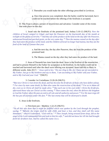f. Thereafter you would make the other offerings prescribed in Leviticus.

> g. Once that process was completed, then the barley could be harvested, but it could not be touched before the offering of the firstfruits is accepted.

g. Once that process was con<br>could not be touched before t<br>D. This Feast is about a picture of resurrection<br>that took place on this day: D. This Feast is about a picture of resurrection and salvation. Consider some of the events that took place on this day:

raet car<br>plains dead and<br>the propole of Ca *children of Israel camped in Gilgal, and kept the Passover on the fourteenth day of the month at* 1. Israel eats the firstfruits of the promised land; Joshua 5:10-12 (NKJV): *Now the twilight on the plains of Jericho. 11 And they ate of the produce of the land on the day after the Passover, unleavened bread and parched grain, on the very same day. 12 Then the manna ceased on the day after they had eaten the produce of the land; and the children of Israel no longer had manna, but they ate the food of the land of Canaan that year.*

ger naa mar<br>, ate from th a. And the next day, the day after Passover, they ate from the produce of the promised land.

b. The Manna ceased on the day after they had eaten the produce of the land.

from the dead. Jesus is the firstfruit of the resurrection<br>acceptance as the firstfruit. As the barley could not be<br>ave offering was accepted. Jesus told this to Mary in<br>ther, "Do not cling to Me, for I have not yet ascend 2. Jesus of Nazareth has risen from the dead. Jesus is the firstfruit of the resurrection and had to present Himself to the Father for acceptance as the firstfruit. As the barley could not be touched and harvested until after the sheaf wave offering was accepted. Jesus told this to Mary in different words. John 20:17, *17 Jesus said to her, "Do not cling to Me, for I have not yet ascended to My Father; but go to My brethren and say to them, 'I am ascending to My Father and your Father, and to My God and your God.'* "(NKJV)

#### 3. Consider 1st Corinthians 15:20-26 (NKJV):

*in Christ all*<br>*ose* who are<br>*ather, when I*<br>*ll enemies us*<br>sus is the firs those w *20But now Christ is risen from the dead,* and *has become the firstfruits of those who have fallen asleep. <sup>21</sup> For since by man* came *death, by Man also* came *the resurrection of the dead. 22 For as in Adam all die, even so in Christ all shall be made alive. 23 But each one in his own order: Christ the firstfruits, afterward those* who are *Christ's at His coming. 24 Then* comes *the end, when He delivers the kingdom to God the Father, when He puts an end to all rule and all authority and power. 25 For He must reign till He has put all enemies under His feet. 26 The last enemy* that *will be destroyed* is *death.*

#### E. Jesus is the firstfruits.

#### 1. First born son – Matthew 1:22-25 (NKJV):

1. First born son – Matthew 1:22-25 (<br><sup>22</sup>So all this was done that it might be fulfilled whis saying: <sup>23</sup> "Behold, the virgin shall be with child,<br>Immanuel," which is translated, "God with us." <sup>24</sup> T<br>angel of the Lord *Immanuel," which is translated, "God with us." 24 Then Joseph, being aroused from sleep, did as the 22So all this was done that it might be fulfilled which was spoken by the Lord through the prophet, saying: 23 "Behold, the virgin shall be with child, and bear a Son, and they shall call His name angel of the Lord commanded him and took to him his wife, 25 and did not know her till she had brought forth her firstborn Son. And he called His name JESUS.*

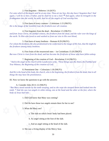# 2. First begot<br>of the angel. 2. First begotten – Hebrews 1:6 (KJV):

*For unto which of the angels said he at any time, Thou art my Son, this day have I begotten thee? And again, I will be to him a Father, and he shall be to me a Son? 6 And again, when he bringeth in the firstbegotten into the world, he saith, And let all the angels of God worship him.*

digital, I will be to him a Fainer, and he shall be to he<br>firstbegotten into the world, he saith, And let all the any<br>3. First born of every creature – Colossis<br>He is the image of the invisible God, the firstborn over *He is the image of the invisible God, the firstborn over all creation.* 3. First born of every creature – Colossians 1:15 (NKJV):

4. First begotten from the dead – Revelation 1:5 (NKJV):

 *and from Jesus Christ, the faithful witness, the firstborn from the dead, and the ruler over the kings of the earth. To Him who loved us and washed us from our sins in His own blood,*

5. First born of many brethren – Romans 8:29 (NKJV):

*a as*, *as*<br>*who los*<br>First bo:<br>*knew*, *E For whom He foreknew, He also predestined to be conformed to the image of His Son, that He might be*<br>the firstborn among many brethren.<br>**6.** First fruits of the resurrected ones – 1st Corinthians 15:20 (NKJV):<br>But now Chr *the firstborn among many brethren.*

6. First fruits of the resurrected ones – 1st Corinthians 15:20 (NKJV): *But now Christ is risen from the dead,* and *has become the firstfruits of those who have fallen asleep.*

7. Beginning of the creation of God – Revelation 3:14 (NKJV):

od – Revelation 3:14 (NKJV):<br> *s write, 'These things says the Amen, the Faithful and*<br> *od:*<br>
18 (NKJV):<br> *s the beginning, the firstborn from the dead, that in all "And to the angel of the church of the Laodiceans write, 'These things says the Amen, the Faithful and True Witness, the Beginning of the creation of God:*

8. Preeminent One – Colossians 1:18 (NKJV):

*And He is the head of the body, the church, who is the beginning, the firstborn from the dead, that in all things He may have the preeminence.*

III. Now we know the questions to go with the answers:

#### A. Consider John 20:11-12 (NKJV):

*tomb.* <sup>12</sup> *And she saw two angels in white sitting, one at the head and the other at the feet, where the*<br>body of Jesus had lain.<br>1. Did God know that Mary was coming? Fig. Now we know the questions to go with the answers:<br> **11 But Mary stood outside by the tomb weeping, and as she wept she stooped down and looked** *into the***<br>
<b>11 But Mary stood outside by the tomb weeping, and as she wep** *body of Jesus had lain.*

1. Did God know that Mary was coming?

2. Did He have those two angels remain there for her to see?

3. What did Mary see?

3. What did Mary see?<br>
a. The slab on which Jesus' body<br>
b. An angel sitting at the foot of the a. The slab on which Jesus' body had been placed.

b. An angel sitting at the foot of the slab.

c. And an angel sitting at the head of the slab.

c. A<br>the saw 4. She saw a living display of the Mercy Seat.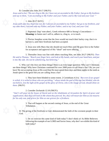# $\frac{1}{2}$  here  $\frac{1}{2}$  here  $\frac{1}{2}$  here  $\frac{1}{2}$  here  $\frac{1}{2}$  here  $\frac{1}{2}$  here  $\frac{1}{2}$ B. Consider also John 20:17 (NKJV):

*Jesus said to her, "Do not cling to Me, for I have not yet ascended to My Father; but go to My brethren and say to them, 'I am ascending to My Father and your Father, and* to *My God and your God.' "*

#### 1. John 20:17 (KJV):

and say to them, 1 am ascending to my Father and<br>1. John 20:17 (KJV):<br>Jesus saith unto her, Touch me not; for I am not yet a<br>say unto them, I ascend unto my Father, and your F *say unto them, I ascend unto my Father, and your Father; and to my God, and your God. Jesus saith unto her, Touch me not; for I am not yet ascended to my Father: but go to my brethren, and*

2. Haptomai {hap'-tom-ahee}, Greek reference 680 in Strong's Concordance — **Meaning:** to fasten one's self to, adhere to, cling to, or to touch.

Mean<br>3. Flav<br>harves 3. Flavius Josephus wrote that the Jews would not touch their barley crop, that is to harvest it, until their firstfruits had been accepted.

until He goe<br>ffering.<br>, see John 20 4. Jesus now tells Mary that she should not touch Him until He goes first to the Father for acceptance and approval of His "sheaf" and wave offering.

5. Thereafter Jesus was fine with others touching Him, see John 20:27 (NKJV): *Then He said to Thomas, "Reach your finger here, and look at My hands; and reach your hand* here, *and put* it *into My side. Do not be unbelieving, but believing."*

elieving."<br>
Selieving."<br>
Selieving."<br>
Selieving."<br>
Selieving."<br>
Selieving."<br>
Selieving."<br>
Selieving."<br>
Oh, yes you<br>
He must spend three days and three nights in the tomb as<br>
Sesus a liar! see these things? Why have Christians continued for over 2000 years to call Jesus a liar? Oh, yes you C. Why can't the Jews see these things? Here is an even larger question: Why can't Christians have! By not accepting Jesus at His word that He must spend three days and three nights in the tomb as Jonah spent in the great fish you are calling Jesus a liar!

 $4:3-4, \frac{3}{5}$ <br>  $\frac{3}{5}$  this age of 1. They have been blinded to some extent. 2 Corinthians 4:3-4, <sup>3</sup> But even if our gospel *is veiled, it is veiled to those who are perishing, 4 whose minds the god of this age has blinded, who do not believe, lest the light of the gospel of the glory of Christ, who is the image of God, should shine on them.* (NKJV)

#### 2. Consider Zechariah 12:10 (NKJV):

2. Conside<br>bour on the<br>then they w<br>son, and grie *"And I will pour on the house of David and on the inhabitants of Jerusalem the Spirit of grace and supplication; then they will look on Me whom they pierced. Yes, they will mourn for Him as one mourns for* his *only* son, *and grieve for Him as one grieves for a firstborn.*

> 3. That will happen at the second coming of Jesus, at the end of the Great Tribulation.

Tribulation.<br>
D. The giving of the firstfruits to God, demo.<br>
God.<br>
1 Do we exercise this same kind of f D. The giving of the firstfruits to God, demonstrated the faith of the covenent people in their God.

faith today? 1. Do we exercise this same kind of faith today? I don't think so! As Bible Believers following the example of our LORD and Savior Jesus, why don't we exhibit this kind of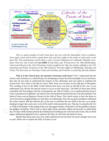

by said the engins in the tomo as bonan spent in the<br>re accurate illustration of a Maundy Thursday view-<br>hat Jesus said. If Passover is the 14th (Wednesday),<br>ny would be the 16th, the weekly sabbath on the 17th<br>nday). The Once again, Jesus said he had to spend three days and three nights in the tomb as Jonah spent in the great fish. This presentation would reflect a more accurate illustration of a Maundy Thursday viewpoint. However, that would still **not fulfill** all that Jesus said. If Passover is the 14th (Wednesday), Unleavened Bread on the 15th (Thursday), Friday would be the 16th, the weekly sabbath on the 17th (Saturday) and finally, Firstfruits on the 18th (Sunday). The three nights are Wednesday, Thursday and Friday. The three days are Thursday, Friday and Saturday and Firstfruits is on the day after the sabbath.

reading to longer days and a new cycle of the earth is orbit<br>or 22nd of December. In the spring of the year the pagan<br>the goddess of fertility. That is why we have baby chicks<br>day of Christ. Both of these present day holid pagan celebrations glossed over to represent the days for the birth and death of Jesus. , He has His<br>Yom Kippur,<br>t for manking<br>as on Passov<br>o pagan holi<br>ce after the s The wording of text in the Bible would indicate that Jesus was born in the fall of the year. If you<br>The wording of text in the Bible would indicate that Jesus was born in the fall of the year. If you<br>The wording of text in **Why is it the Church does not question Christmas and Easter?** Yes! I understand that the church, and Christians as a unified body, are attempting to honor the birth and death of our Lord Jesus. But, they do not seem to understand the manner of the celebration and even when to celebrate the actual event. First, there is the date for Jesus' birth. Jesus was not born on the 25th day of December. understand God, He has His special events to occur on His feast days. The birth of Jesus most likely coincided with Yom Kippur, the day of Atonement, the 10th of Tishrei. Let us understand that Jesus is God's atonement for mankind's sin and the One who healed the breech between God and mankind. The death of Jesus was on Passover, Pesach on the 14th of Nisan. The church seems to have the desire to carry forward two pagan holidays in what they are celebrating. First, the sun god worshipers celebrated the winter solstice after the shortest day of the year to celebrate the new birth of the sun, so to speak, leading to longer days and a new cycle of the earth's orbit around the sun. That day is normally the 21st or 22nd of December. In the spring of the year the pagan holiday celebrated is for the goddess Ashanti, the goddess of fertility. That is why we have baby chicks and baby rabbits tied into the so called death day of Christ. Both of these present day holidays have nothing to do with Jesus the Christ, they are both

Beside these facts, have you ever really understood why the date for Easter changes from year to year? Allow me to explain the folly of Easter to you.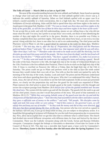# **f** Easter — **The Folly of Easter — March 20th to as late as April 24th**

number of days and nights He would be in the grave. Besides, there is no possible way Friday to Sunday completes three days and three nights. This totals only about forty hours, or not even a two day period. Along with thi mean what He said! I'm sorry, but I prefer to accept Jesus' own words, not those of men identifying the to change what God said and what Jesus did. When v<br>indicates the weekly sabbath of Saturday. When v<br>termed a sacred assembly or a holy convocation, the<br>foolishness of Jewish reckoning. Jesus said He had t<br>Jonah spent in th Jonah spent in the great fish. Matthew 12:40: *"For just as Jonah was three days and three nights in the* viewpoint. Constantine charged the bishops at Alexandria to determine a fixed date for Easter at the Council of Nicea in 325. This date was a movable date based upon a lunar cycle by Constantine's decree. **Therefore, Easte** satisfy him and keep you out of trouble." <sup>15</sup> So they took the money and did as they were directed. <u>And<br>this story has been spread among the Jews to this day.</u> Any person who has ever served as a guard in<br>the military wi *like dead men.* The women left the tomb to go and tell the disciples. The guards *left* the tomb to go and tell the chief priest. I know you don't recall that portion of the story. The proof of that statement is in Matthe what Jesus said about spending three days in the grave. Why don't we understand this today? Read my book, *Jesus, the Life of Christ*, if you desire to see the full truth explained. In the account just presented above, we by sealing the stone and setting a guard. Recall<br>e high holy day or the 1st day of Unleavened Bread is on<br>assover. There is to be no work on the high holy day of the<br>14th as a Friday, then the high holy day of the 15th is<br> the term of the term of the chief priests<br>cor said, while<br>cure until the dead, 'and Because of the misunderstanding between the term sabbath and Sabbath, Satan found an opening to change what God said and what Jesus did. When we find sabbath spelled with a lower case *s,* it indicates the weekly sabbath of Saturday. When we find Sabbath spelled with an upper case *S* or termed a sacred assembly or a holy convocation, this is a high holy day. We must also remove this foolishness of Jewish reckoning. Jesus said He had to spend three days and three nights in the tomb as *belly of the great fish, so will the Son of Man be three days and three nights in the heart of the earth."* To not accept this as truth, and with full understanding, means we are calling Jesus a liar who did not Sunday completes three days and three nights. This totals only about forty hours, or not even a two day period. Along with this fact, there is one other fact to aid in our understanding. The chief priest and the Pharisees went to Pilate to ask that a guard detail be stationed at the tomb for three days. Matthew 27:62-66: *62 The next day, that is, after the day of Preparation, the chief priests and the Pharisees gathered before Pilate 63 and said, "Sir, we remember how that impostor said, while he was still alive, 'After three days I will rise.' 64 Therefore order the tomb to be made secure until the third day, lest his disciples go and steal him away and tell the people, 'He has risen from the dead,' and the last fraud will be worse than the first." 65 Pilate said to them, "You have a guard of soldiers. Go, make it as secure as you can." 66 So they went and made the tomb secure by sealing the stone and setting a guard.* Recall the order of the feast. Passover is the 14th, the high holy day or the 1st day of Unleavened Bread is on the 15th. Firstfruits is the first sabbath after Passover. There is to be no work on the high holy day of the 15th. If Jesus is crucified on Passover the 14th as a Friday, then the high holy day of the 15th is Saturday. The priest could not go to Pilate and perform work at the time to have the tomb sealed because they would violate their own rule of law. Text tells us that the tomb was opened by early the morning of the first day of the week, Sunday. Look and read! The priest and the Pharisees understood book, *Jesus, the Life of Christ,* if you desire to see the full truth explained. In the account just presented above, we clearly see the preperation day and how the guard for the tomb was requested of Pilate. Pilate instructs the chief priest to place his temple guard at the tomb. Continue with this thought and review the scripture passage from Matthew 28:4 *And for fear of him the guards trembled and became* tell the chief priest. I know you don't recall that portion of the story. The proof of that statement is in Matthew 28:11-15: *11 While they were going, behold, some of the guard went into the city and told the chief priests all that had taken place. 12 And when they had assembled with the elders and taken counsel, they gave a sufficient sum of money to the soldiers 13 and said, "Tell people, 'His disciples came by night and stole him away while we were asleep.' 14 And if this comes to the governor's ears, we will this story has been spread among the Jews to this day.* Any person who has ever served as a guard in the military will tell you, if you go to sleep while on duty, you are subject to disciplinary action. It is hoped that this grouping of scripture will illustrate for you the truth from preparation day to ressurection day. Now, allow me to explain how we get this false date to celebrate what is called Easter. The church had divided into several different viewpoints with different dates for feast and festival by the time of Constantine. There was the Catholic viewpoint along with the Greek, Syrian and Russian Orthodox Council of Nicea in 325. This date was a movable date based upon a lunar cycle by Constantine's decree. **Therefore, Easter is the first Sunday after the full moon after the Spring Equinox!** Even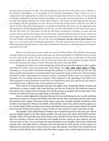Here is<br>
Independent<br>
Sch in al<br>
tion for another week to get the first Sunday after the full moon. Therefore the latter date for Easter could be as the date of a least to be<br>to the dates ordained by God and quoted in the Bible. If<br>see that if the Spring Equinox was on the 19th of Marc<br>was Sunday, thus the parameters are met. We can see t<br>March. On the other end of thi March. On the other end of this equation, we should see that **if** the full moon was the night before the Example 10 and the emisphere. is from God<br>Ilowed ourse<br>, Why and H<br>of World Wa this has some variance for the date. The Spring Equinox may be on the 19th, 20th or 21st of March, in the Northern Hemisphere, or in September in the Southern Hemisphere. What I desire for you to understand is that mankind has set a date for a feast to be equivalent to Passover. But, it is not according to the dates ordained by God and quoted in the Bible. If we use the structure given here, we should all see that if the Spring Equinox was on the 19th of March, a full moon was that night and the next day was Sunday, thus the parameters are met. We can see that the earliest Easter could be is the 20th of Spring Equinox and the Spring Equinox was the 21st, we must add 28 days for the lunar cycle to get to the next full moon. If at that point we find the full moon occurring on a Sunday, we must also add late as April 24th. Here is my question. Do you find any of this foolishness in the instructions ordained by God? Plainly and absolutely, I do not! My God said **Passover was the 14th of April (Nisan)** and that it is to be such in all of mankind's generations. The full instructions from God is given in the following explanation for Passover and Unleavened Bread. Why have we allowed ourselves to listen to men and not to God?

There is one final area to review under our search of When, Where, Why and How. Russia just invaded Ukraine and the entire world could easily say that the possibility of World War III now looms over the head of the world. I'll ask my question up front and give you an indication of where this review might take us. My question is: Do you know how many wars are in prophecy for today until the end of the thousand year reign of Christ? Here goes the answer from the Bible!

Freemalist who are calling themselves analysts. What happened to the gathering of provable facts?<br>What happened to the presentation of truth that was supported by these facts and not the spin doctor's<br>rewording that put a presented is either a chastisement of someone's actions, a statistical number count or an opinion of the over the head of the world. The ask hily question up front and give you an indication of where this review might take us. My question is: Do you know how many wars are in prophecy for today until the end of the thousand ye In bygone days there were certain things that you found any journalist asking in order to gather information to make a newscast presentation. Those things were **who**, **what**, **when**, **where** and **how**. thing a modern day journalist is concerned about is how to get their image on television. The presentation What happened to the presentation of truth that was supported by these facts and not the spin doctor's rewording that put a different slant on the statement or situation.

There used to be honored people who gave the nightly news. People like Walter Cronkite and Paul Harvey, to name a couple, who would also give you the rest of the story. We could also expect to learn about news worthy events in Europe, Asia, South America or anyplace else for that matter. Now we hear very little news from any other point on the planet. Why?

name a coup<br>s worthy eve<br>le news from<br>society digre<br>ted in a man<br>esn't agree. T Has our society digressed to the point that only the riots and looting are news worthy and those facts must be stated in a manner that blames and finds obvious fault concerning someone with whom the presenter doesn't agree. This nation really needs to stop, take a breathe and look at itself for a brief moment of introspection. What are our beliefs, where did they come from, and how do they apply to us as a society today? What occurred in our history that helped form our great nation? Maybe we should return to some of those facts and do a review of who we were and how we got to this point in time.

servants who owed their labors to someone else who had paid for their journey to this country. As indentured servants they had to work as slaves to repay that expense. Even those who worked the land on farms worked side by were not alone in this. Let us not forget that many Europeans were brought to this land as indentured as a society today? What occurred in our history that help<br>return to some of those facts and do a review of who we<br>The peoples of the United States of America are<br>not pay enough respect to our First Nation peoples. We<br>heri not pay enough respect to our First Nation peoples. We took away their lands, their beliefs and their The peoples of the United States of America are of imported descent for the most part. We do heritage. Those who came later were from Europe, Africa and the Far East and not all of them came by their own initiative. Africans and Orientals were brought into this country as slave laborers, but they indentured servants they had to work as slaves to repay that expense. Even those who worked the land on farms worked side by side as black and white share croppers who worked long hard hours just to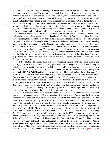or fault to believe in the son of God. These were an<br>attion and who have gone to war to protect our free<br>greed and idolatry has stepped in and caused a gre<br>citizens who will step up to the task to represent our<br>all for a c all for a couple of years and then return home. Politicians have become the norm with their perks and h to raise a fa<br>tre of our soc make enough to raise a family. They never got rich from their labors but they did make a vast investment in the structure of our society. Both races went to church, learned about Jesus and made their testimonies of faith to believe in the Son of God. These were all strong minded individuals who helped form our nation and who have gone to war to protect our freedom thus our great God blessed society. Today **greed and idolatry** has stepped in and caused a great schism in our society. We no longer have those citizens who will step up to the task to represent our fellowman and work toward the betterment of us high minded ideas that they are better then the rest of society, can do no wrong and their way is right. Follow the money as it pertains to politicians because money is the root of all evil.

> ystem of<br>places to<br>places to<br>place word Our forefathers penned documents that caused the entire world to be envious. They laid out a perspective. In other words they praced God first in their entertwors and we as a people were bessed by and through these words and ideas. Our Constitution, Declaration of Independence and Bill of Rights are the standards tri-branched system of checks and balances that allowed all of us to be free. They laid down the tyranny they left in the places they came from, and picked up the moral ideas and concepts of the Judo-Christian perspective. In other words they placed God first in their endeavors and we as a people were blessed by are the standards of freedom and other documents around the world are modeled after these documents. Can I prove any of what I have said. Yes! Most definitely! Look into our history at the men who penned our Constitution. They wrote other articles, made great speeches and lived by the values they incorporated into the Bill of Rights. Along with these other writings and speeches you will find the heart felt serious respect for God and His Son Jesus. They were not ashamed to use their belief in honoring God within their work or their life.

nt roots.<br>Prestand v<br>Pople of I<br>Iken into<br>Ih repre what I'm saying. I am an American with a heritage that<br>e goes much further than just Europe. In my searching for<br>Biblical history. Many of us do not read the Old Testament<br>ent believers and the Old Testament doesn't really I'll be bold and go one step further in what I'm saying. I am an American with a heritage that initially goes back to Europe. But that heritage goes much further than just Europe. In my searching for truth I ran across a most interesting tidbit of Biblical history. Many of us do not read the Old Testament as we should. We say that we are New Testament believers and the Old Testament doesn't really pertain to us. **WRONG ANSWER!** As Christians we are the grafted in branch and not the original stem. Our roots are Jewish and that is the true branch that goes back to our roots in Adam and Eve as the first of God's people. We really don't know that much about our Old Testament roots. Let me make a short clear statement. There are three groups of people that we all should understand who they are. There is the People of Israel, the House of Israel and the House of Judah! The People of Israel means all Israel. The House of Israel identifies the ten tribe, Northern Kingdom that was taken into captivity and has not returned to the present day country of Israel. Finally, the House of Judah represents the modern day

Many others of European descent are the children of the other lost tribes and all of these are the descendents of Abraham. These are the peoples of the lost ten tribes. They represent some of those that Jesus told the Apos and with genealogy records. My website contains the they pertain to the Bible. My website is www.vqpul format and all items are available for free download  $Tree^{\text{TM}}$ . It took eight years to research, identify and genealog Jews and they are the peoples who presently live in the country of Israel.<br>There have been those who have made attempts to identify the location<br>have made documentary movies of Jewish sects in Africa, Northern and I<br>such s There have been those who have made attempts to identify the location of the lost ten tribes and have made documentary movies of Jewish sects in Africa, Northern and Eastern Asia. By locating ten such sects these producers have felt that they have answered where in the world you find the ten lost tribes of Israel. Not so! My very nature of persistence means I will search ten, fifteen, twenty or more years to find the definitive end to my search. I've done it with old tombstones, with Biblical passages and with genealogy records. My website contains the results of some of these searches, especially as they pertain to the Bible. My website is www.vqpub.org and the website has all of my work in PDF format and all items are available for free download. Take for instance the *Adam and Eve Family Tree*™. It took eight years to research, identify and lay out the 1500 plus names identified on this genealogy chart. It took twenty years to research, study and learn the truth concerning the lost Ten Tribes of Israel. The record is recorded in my book, *The Thirteenth Tribe of Israel*. It is this record that will show that many of Irish, Scottish and English descent are descendants of the children of Joseph. descendents of Abraham. These are the peoples of the lost ten tribes. They represent some of those that Jesus told the Apostles to proclaim to them the truth of the Gospels. Matthew 10:6, But go rather to the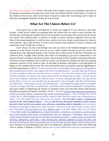The Choice of the contract of the lost ten those of the House of Israel<br>their sins and humble themselves before the God of Israel<br>**What Are The Choice**<br>I have given you a short introduction to whon Example 3 and 5 and 5 and 5 and 6 and 6 and 6 and 6 and 6 and 6 and 6 and 6 and 6 and 6 and 6 and 6 and 6 and 6 and 6 and 6 and 6 and 6 and 6 and 6 and 6 and 6 and 6 and 6 and 6 and 6 and 6 and 6 and 6 and 6 and 6 and 6 an lost sheep of the house of Israel (KJV). The truth of the Gospels came to our forefathers and some of the greatest missionaries of all ages have come from Great Britain and the United States. It is time for the children of the lost ten tribes of the House of Israel to realize their true heritage and to repent of their sins and humble themselves before the God of Israel.

## **What Are The Choices Before Us?**

ment an<br>could be<br>nt pande<br>ut is tha<br>' I really Stop for just a moment and consider that for every situation you encounter there will always be at least I have given you a short introduction to whom you might be if your ancestors came from Europe. I really haven't asked you anything about the choices that you make in your everyday life. two choices that could be made. It could be as simple as yes/no; up/down; right/left; in/out or true/ false. In the present pandemic, it could be wear a mask or not wear a mask; social distance or refuse to social distance. But is that all there is to the current situation that mankind is facing in America and around the world? I really don't think so.

*them.* Paul gives us an explanation why God is revealing only a glimpse of His wrath in the following verse in chapter 2, Romans 2:5 (NIV), *But because of your stubbornness and your unrepentant heart*, *practice such things are deserving of death, not only do the same but also approve of those who practice* burned in their tust for one another, men with men complements then themselves the penalty of their error which was due. <sup>28</sup> A their knowledge, God gave them over to a debased mi<br><sup>29</sup> being filled with all unrighteousness *full of envy, murder, strife, deceit, evil-mindedness; they are whisperers, 30 backbiters, haters of God,* Fristantify<br>
Frish of Chap<br>
Frish Chap<br>
Frish Contains and Contains and Worshipe<br>
Frish Chap<br>
State is and Contains and Contains and Contains and Contains and Contains and Contains and Contain<br>
Frish Contains and Contains e made,<br>ey knew<br>, and th<br>glory o,<br>mals an *invisible attributes are clearly seen, being understood by the things that are made, even His eternal* The first book of Paul's epistles is the book of Romans<br>show you the present situation and why God is giving<br>e book of Romans, Paul doesn't wait long before he<br>rns us that there is a wrath to come for ungodliness in<br>f God nd is facing<br>|orthern Kin<sub>|</sub><br>|use we are n<br>|of the New<br>|t you to und I have shown you that your heritage may lead you back to the Northern Kingdom of Israel, referred to as the House of Israel. Even so, we are called Gentiles because we are not Jewish. The Apostle Paul is the appointed Apostle to the Gentiles and a major portion of the New Testament was written by Paul. It might reflect greatly upon what I'm attempting to get you to understand if I use portions of Paul's writings to illustrate my point. The first book of Paul's epistles is the book of Romans and there are many statements that I could use to show you the present situation and why God is giving mankind a preview of His wrath to come. In the book of Romans, Paul doesn't wait long before he begins to show mankind their errors. He even warns us that there is a wrath to come for ungodliness in the following, Romans 1:18-23, *18 For the wrath of God is revealed from heaven against all ungodliness and unrighteousness of men, who suppress the truth in unrighteousness, 19 because what may be known of God is manifest in them, for God has shown it to them. 20 For since the creation of the world His power and Godhead, so that they are without excuse, 21 because, although they knew God, they did not glorify Him as God, nor were thankful, but became futile in their thoughts, and their foolish hearts were darkened. 22 Professing to be wise, they became fools, 23 and changed the glory of the incorruptible God into an image made like corruptible man—and birds and four-footed animals and creeping things.* Paul goes further in identifying the manner of mankind's heart and what their desires had become. Read the next portion of Chapter 1, Romans 1:24-32, <sup>24</sup> *Therefore God also gave them up to uncleanness*, *in the lusts of their hearts, to dishonor their bodies among themselves, 25 who exchanged the truth of God for the lie, and worshiped and served the creature rather than the Creator, who is blessed forever. Amen. 26 For this reason God gave them up to vile passions. For even their women exchanged the natural use for what is against nature. 27 Likewise also the men, leaving the natural use of the woman, burned in their lust for one another, men with men committing what is shameful, and receiving in themselves the penalty of their error which was due. 28 And even as they did not like to retain God in their knowledge, God gave them over to a debased mind, to do those things which are not fitting; <sup>29</sup> being filled with all unrighteousness, sexual immorality, wickedness, covetousness, maliciousness; violent, proud, boasters, inventors of evil things, disobedient to parents, <sup>31</sup> <i>undiscerning, untrustworthy, unloving, unforgiving, unmerciful; 32 who, knowing the righteous judgment of God, that those who* verse in chapter 2, Romans 2:5 (NIV), *But because of your stubbornness and your unrepentant heart,*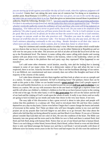*an avenger to execute wrath on him who practices evil. <sup>5</sup> Therefore you must be subject, not only because of wrath but also for conscience' sake. <i><sup>6</sup>* For because of this you also pay taxes, for they are God's minis *for good. But if you do evil, be afraid; for he does not bear the sword in vain; for he is God's minister,* another point. Read Romans 5.15 (NY), for before<br>not taken into account when there is no law. Paul also<br>authority. Read the following, Romans 13:1-7, <sup>1</sup> Let<br>For there is no authority except from God, and <u>the aut<br>whoever </u> *whoever resists the authority resists the ordinance of God, and those who resist will bring judgment on* ing up wrath<br>I know that *you are storing up wrath against yourself for the day of God's wrath, when his righteous judgment will be revealed.* I know that I am taking the next verse out of contexts but I'm doing so to transition to another point. Read Romans 5:13 (NIV), *for before the law was given, sin was in the world. But sin is not taken into account when there is no law.* Paul also gives us instructions toward those in positions of authority. Read the following, Romans 13:1-7, *<sup>1</sup> Let every soul be subject to the governing authorities. For there is no authority except from God, and the authorities that exist are appointed by God. <sup>2</sup> Therefore themselves. <sup>3</sup> For rulers are not a terror to good works, but to evil. Do you want to be unafraid of the authority? Do what is good, and you will have praise from the same. <sup>4</sup> For he is God's minister to you because of wrath but also for conscience' sake. <sup>6</sup> For because of this you also pay taxes, for they are God's ministers attending continually to this very thing. <sup>7</sup> Render therefore to all their due: taxes to*

*whom taxes are due, customs to whom customs, fear to whom fear, honor to whom honor.*<br>**Stop for a moment and consider politics in today's view. We have two sides which up two choices that we have in viewing an election; w** Stop for a moment and consider politics in today's view. We have two sides which would make up two choices that we have in viewing an election; we can be either Democrat or Republican and we will vote for one party or the other. The airwaves are full of ad after ad from the local level all the way up to the Presidential level. The rhetoric is name calling after name calling with slander and cussing spoken with just about every sentence. Where is the honesty, where is the leadership, where are the moral values, and what is the platform that each party says they represent? What happened to our morality?

each party says they represent? What happened to our<br>al tension, anarchy, riots and the looting that is running<br>re a democratic nation of law and when the law is not<br>the rule! That is not the backbone ideology of our natio Let's add some other elements: racial tension, anarchy, riots and the looting that is running rampant in some of our major cities. We are a democratic nation of law and when the law is not respected, there is no law. Anarchy becomes the rule! That is not the backbone ideology of our nation. It is not Biblical, nor constitutional and most certainly does not reflect the thoughts and heart of the majority of the citizens of this nation.

and He will allow our children's, children's children to live life as we have known it prior to the coming of the end of the age. On the other hand, it will be **this generation** that will see the failure and the fall of ou Let's take these elements and mix them together and then look at where we are as a people and<br>ion. To make a simple statement: All hell is breaking loose! The primary choice that can be<br>it this point is this: Either we are as a nation. To make a simple statement: All hell is breaking loose! The primary choice that can be made at this point is this: Either we are headed toward a **great revival** when God's people repent of their sins and humble themselves; or, we are headed toward the second **civil war and revolution** in our history as a nation. We can say with assurance that on the one hand we might get a reprieve from God of the end of the age. On the other hand, it will be **this generation** that will see the failure and the fall of our land and the coming of God's wrath upon the whole of earth. It really is our choice and we really are going to have to make up our minds and make that choice in the very near future, if not now.

There is no such thing as white blood, brown blood, black blood, yellow blood or even red skin blood;<br>there is only one blood amongst the human race and that is red blood. I served proudly with those of<br>different races for themselves on a day-to-day basis. I know even before<br>of everyone in this nation. Yes! There are those who<br>prayers are as my prayers that God will forgive us<br>others who feel that they are being abused by society<br>please cons The easy side of this discussion is that a great revival is about to take place and people will realize that this pandemic is a wakeup call. They need to reevaluate their life and how they conduct themselves on a day-to-day basis. I know even before I begin that I cannot change the hearts and minds of everyone in this nation. Yes! There are those who will have thoughts similar to my own and their prayers are as my prayers that God will forgive us and allow us to go forward. But what about the others who feel that they are being abused by society and that Black Lives Matter. If you are a Christian please consider that God does not see color of skin, He sees the condition of the heart. The Bible cast humanity into one group and the term used in the Bible for race is flesh and there is animal flesh, bird flesh and fish flesh along with human flesh. Notice that we are of one blood and that is human blood. there is only one blood amongst the human race and that is red blood. I served proudly with those of different races for twenty-seven years in the Air Force and had respect for all who wore the uniform of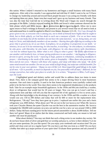*grace given to me, to everyone who is among you, not to think of himself more highly than he ought to* to change my leadersing around and toward black peop<br>and making them my peers. Satan won that round and l<br>was also the time that God led me to writing about F<br>passages of the Bible. I always enjoyed reading the Bib<br>little little phrase which said Bible means - **B**asic **I**nstructions **B**efore **L**eaving **E**arth. Allow me to once en I retired land<br>er only a few this nation. When I retired I returned to my hometown and began a small business with many black employees. After only a few months I was approached and told that if I didn't want to be cut I'd have to change my leadership around and toward black people because I was acting too friendly with them and making them my peers. Satan won that round and I gave up my business and many friends. That was also the time that God led me to writing about His Word and I began my search through the passages of the Bible. I always enjoyed reading the Bible and loved it when someone showed me the again return to Paul's writings in Romans and present to you several verses that we all need to look at and understand how it could be applied to Black Lives Matter. Romans 12:3-19, *<sup>3</sup> For I say, through the*

*think, but to think soberly, as God has dealt to each one a measure of faith. <sup>4</sup> For as we have many members in one body, but all the members do not have the same function, <sup><i>5</sup> so we, being many, are one body in Chris*</sup> given to hospitality. <sup>14</sup> Bless those who persecute you;<br>
b rejoice, and weep with those who weep. <sup>16</sup> Be of the<br>
ind on high things, but associate with the humble. Do<br>
evil for evil. Have regard for good things in the s *grace that is given to us, let us use them: if prophecy, let us prophesy in proportion to our faith; <sup><i>7*</sup> or ministry, let us use it in our ministering; he who teaches, in teaching; *<sup>\*</sup>* he who exhorts, in exhortation; members in one body, but all the members do not have the same function, <sup>*5*</sup> so we, being many, are one body in Christ, and individually members of one another. *<sup>6</sup> Having then gifts differing according to the* ministry, let us use it in our ministering; he who teaches, in teaching;  $\delta$  he who exhorts, in exhortation; *he who gives, with liberality; he who leads, with diligence; he who shows mercy, with cheerfulness. 9 Let love be without hypocrisy. Abhor what is evil. Cling to what is good. 10 Be kindly affectionate to one another with brotherly love, in honor giving preference to one another; <sup><i>11</sup>* not lagging in diligence,</sup> *fervent in spirit, serving the Lord; 12 rejoicing in hope, patient in tribulation, continuing steadfastly in prayer; 13 distributing to the needs of the saints, given to hospitality. 14 Bless those who persecute you; bless and do not curse. 15 Rejoice with those who rejoice, and weep with those who weep. 16 Be of the same mind toward one another. Do not set your mind on high things, but associate with the humble. Do not be wise in your own opinion. 17 Repay no one evil for evil. Have regard for good things in the sight of all men. 18 If it is possible, as much as depends on you, live peaceably with all men. 19 Beloved, do not avenge yourselves, but rather give place to wrath; for it is written, "Vengeance is Mine, I will repay," says the Lord.*

took over Chrysler Motors the name Chrysler was not the instigated the 100,000 mile warranty on a new car and the dollars. Today the basis starting price for the lowest price there isn't greed. Many of us realize that the dryer or refrigerator that would last for 20 years or longer. Now you can go to Lowe's and buy a replacement item and they will tell you that the expected life of the appliance is five to seven years. Along with that knowl I highlighted greed and idolatry earlier and would like to address these two items in more<br>First, there is the rampant greed that seems to be a major driving force in most businesses<br>re. One such item is quality. It used t detail. First, there is the rampant greed that seems to be a major driving force in most businesses anymore. One such item is quality. It used to be that American products were carefully crafted with pride to be the best in the world. Now days there seems to be engineered obsolescence in the products built. Take for an example major household appliances. In the 1950s and 60s you could buy a washer, replacement item and they will tell you that the expected life of the appliance is five to seven years. Along with that knowledge is the devaluing of our currency. In the 1950s and 60s a washer or a dryer would cost you 150 to 200 dollars and today that will be 600 or more for the replacement item. Refrigerators, "Oh my!" how they have gone up in price. I replaced one earlier this year and a basis refrigerator was 2000 dollars. What about cars? We are not in the Lee Iacocca era! When Mr. Iacocca took over Chrysler Motors the name Chrysler was not the best in the automotive market. Mr. Iacocca instigated the 100,000 mile warranty on a new car and the cost for a new car was around 1500 to 2000 dollars. Today the basis starting price for the lowest priced automobile is about 20,000 dollars. Tell me there isn't greed. Many of us realize that the items constructed and built today are meant to fail and another one must be purchased.

tions. D<br>
bur car q<br>
up a ma What about idolatry? You may not think that such a thing exists in our modern day society. We do not have house idols of silver and gold that we worship and pray to, so how is there idolatry? Let me ask you some questions. Do you like sports? Do you enjoy your weekends and vacation time? Do you polish and clean your car on a regular basis? Do you have a pet that you treat as a child? Do you have a hobby that takes up a major portion of your spare time? Evaluate those questions and ask yourself if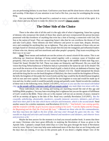orming idola<br>
. If the object you are performing idolatry in your heart. God knows your heart and He alone knows what you cherish and worship. If the object of your attention is not God or His Son, you may be worshipping the wrong thing.

Are you starting to see the need for a natior<br>your choice and you do have to make the choice for<br>**The Other Side** Are you starting to see the need for a national or even a world wide revival of the spirit. It is your choice and you do have to make the choice for yourself. **Choose wisely!**

### **The Other Side of the Choice**

o overp<br>h the ov<br>ion of I<br>'s place<br>empt fo of demons who overpower the minds of those they attack and once overpowered the person becomes the cause hate<br>the emotions of<br>the same of the variation of the control<br>citizen of this There is the other side of all this and it is the ugly side of what is happening. Satan has a group possessed with the overthrow of anything that even has a hint of having a connection with God, His Son or the nation of Israel. They are supporting Satan's idea that he can overthrow the throne of God and take God's place. These demons use their influence and power to cause hate, despair, division, envy and contempt for anything they see as righteous. They play on the emotions of those who are not strongly based in Christian principals. These people then become the instigators and influential leaders of those who riot, destroy and loot storefronts and other people's property. They want everything to be their way or no way!

with its east and west capitals. The toes would be the last kingdom to exist and would be made up of<br>iron and clay. In other words it would be partially strong and partially weak. Daniel records the condition<br>of these toes the belly the kingdom of Alexander the Great (Greek) and the legs would be the divided Roman kingdom united together with a common cause of freedom and<br>states that the logo in the middle of their state flag says:<br>wo states are Kentucky and Missouri. Do you recall the<br>had as it pertained to the statue he saw in his dream? you recall the structure of the statue? It had a head of gold, a chest of silver, an abdomen of bronze, legs **Stop!** These means and methods are not the actions of a moral citizen of this nation. This is not reflecting our American ideology of being united together with a common cause of freedom and prosperity. Did you know that there are two states that the logo in the middle of their state flag says: United We Stand, Divided We Fall. These two states are Kentucky and Missouri. Do you recall the vision that King Nebuchadnezzar of Babylon had as it pertained to the statue he saw in his dream? Do of iron and toes that were a mixture of iron and clay (Daniel 2:32-33). Daniel interpreted the dream and told the king that he was the head (kingdom of Babylon), the chest would be the kingdom of Persia, iron and clay. In other words it would be partially strong and partially weak. Daniel records the condition of these toes in the following verse, Daniel 2:43 (NIV), *And just as you saw the iron mixed with baked clay, so the people will be a mixture and will not remain united, any more than iron mixes with clay.*

another source for a similar statement, read Revelational My reward is with Me, to give to every one accord the Beginning and the End, the First and the Last."<br>that they may have the right to the tree of life, and outside *outside are dogs and sorcerers and sexually immoral and murderers and idolaters, and whoever loves* e individuals<br>le prophecy.<br>tth in the Bil<br>ernity of age<br>believing, a<br>eix nart in the Those individuals who are rioting and looting are marching toward the end of this age and fulfilling Bible prophecy. You may hate everything that is righteous but you are the agents of fulfillment of God's wrath in the Bible. Those who act is this manner will not see an eternity of peace, instead it will be an eternity of agony in the lake of fire. Read very carefully Revelation 21:8 (NIV), *But the cowardly, unbelieving, abominable, murderers, sexually immoral, sorcerers, idolaters, and all liars shall have their part in the lake which burns with fire and brimstone, which is the second death.* Need another source for a similar statement, read Revelation 22:12-15, *<sup>12</sup> "And behold, I am coming quickly, and My reward is with Me, to give to every one according to his work. <sup>13</sup> I am the Alpha and the Omega, the Beginning and the End, the First and the Last." <sup>14</sup> Blessed are those who do His commandments, that they may have the right to the tree of life, and may enter through the gates into the city. 15 But and practices a lie.*

strans<br>
I penned<br>
Days to<br>
re comi are many Christians who have great difficulty in studying the Revelation of Jesus as given to the Maybe the best answer for the moment is to lead you toward another book. It seems that there Apostle John. I penned a simple book titled *Days to Come* that goes through the book of Revelation verse by verse. Days to Come may help some understand more of the days that we are living today and the days that are coming, if we stay on this present path. If you desire a slightly deeper view of the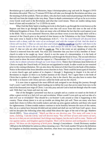that will run from the simple to the very deep. These in-<br>every Greek word used in the Revelation and what that<br>hours of time and recorded on 7 to 12 DVDs or more.<br>What I feel the Holy Spirit is leading me to do in<br>Rapture D<br>Lamb and l<br>caled. This is Revelation go to Lamb and Lion Ministries, https://christinprophecy.org/ and seek Dr. Reagan's DVD *Revelation Revealed.* This is a 75 minute DVD that will take you through the Revelation and show you the meaning of all the symbols. There are others, who also have study material pertaining to the Revelation that will run from the simple to the very deep. These in-depth commentaries will go so far as to review every Greek word used in the Revelation and what that word means. These are studies taking many hours of time and recorded on 7 to 12 DVDs or more.

nurch pr<br>s found<br>*put, with*<br>*st.* " The in the Bible. That is a true statement! However, there are those verses in text that imply there will be a What I feel the Holy Spirit is leading me to do in this book is, go through the event known as the is 1 Thessalonians 5:9, For God did not appoint us to<br>Jesus Christ. Notice that Christians (true believers of<br>ot appointed to wrath. In other words we are removed<br>the removal of the Church in the book of Revelation.<br>urches *Christ will rise first. <sup><i>i*</sup> Then we who are alive and remain *shall be caught up* together with them in the clouds to meet the Lord in the air. And thus we shall always be with the Lord. Notice what is said in vers Rapture and then to go through the possible wars that will occur from this time to the end of the Millennial Kingdom of Jesus. First, there are many who will debate the fact that the word rapture is not removal of the Church prior to the period of time known as the Tribulation or the Great Tribulation. One such verse is found in First Thessalonians 4:16-17, *16 For the Lord Himself will descend from heaven with a shout, with the voice of an archangel, and with the trumpet of God. And the dead in clouds to meet the Lord in the air. And thus we shall always be with the Lord.* Notice what is said in verse 17, that we who are alive shall be caught up. This is the event we are speaking of when the Church is removed from the earth. You must also remember that you have to be a member of Jesus' church in order to be caught up. Jesus' church is not the name of a denomination, it is the body of believers that have been justified and sanctified by and through the blood of Jesus. The second reference that is used to show the event called the rapture is 1 Thessalonians 5:9, *For God did not appoint us to wrath, but to obtain salvation through our Lord Jesus Christ.* Notice that Christians (true believers of Christ or simply the Church body of Christ) are not appointed to wrath. In other words we are removed prior to the coming tribulation. We can also show the removal of the Church in the book of Revelation. Notice in Revelation that Jesus identifies seven churches in Asia. These could be seven types of churches or seven church ages and spoken of in chapters 1 through 3. Beginning in chapter 4 to the end of Revelation in chapter 22 there is no further mention of the Church. Yes! I agree there is the bride of the bride is in heaven with Christ and now called the bride and not the church.

Christ that is spoken of in chapters 19-22 and yes, that is the church. But you also have to notice that the bride is in heaven with Christ and now called the bride and not the church.<br>It is now time to approach the most d It is now time to approach the most difficult task assigned to me during this journey through God's word. I said I felt the Holy Spirit leading me to define the wars that are to come from now to the end of the thousand year reign of Christ. I can only pray and ask God to lead me through what He wants

*ure the l*<br>nition fo<br>si*leia* m for righteousness. If these trouble makers continue to in<br>then we as a nation have become divided and not united<br>told his disciples the following when they asked Him at<br>24:4-8 (NIV), *4 Jesus answered: "Watch out that no o name, claiming, 'I am the Christ,' and will deceive many. 6 You will hear of wars and rumors of wars,* said. With that I say Amen and start my task.<br>One of the thoughts I presented was a<br>either a great revival or a 2nd civil war and r<br>2nd civil war or revolution? That should be<br>country. Those whose intent is to stir up trou One of the thoughts I presented was that as a people and as a nation we stand on the brink of either a great revival or a 2nd civil war and revolution. Where would I even pick up such an idea of a 2nd civil war or revolution? That should be a no-brainer! Look around at what is happening in this country. Those whose intent is to stir up trouble are doing their job well. There are many who have made their choice to follow the trouble makers and take up arms against authority and those who stand for righteousness. If these trouble makers continue to incite hostility between the races of this nation, then we as a nation have become divided and not united and shall see our fall from God's grace. Jesus told his disciples the following when they asked Him about the signs of the end of the age. Matthew 24:4-8 (NIV), *<sup>4</sup> Jesus answered: "Watch out that no one deceives you. 5 For many will come in my but see to it that you are not alarmed. Such things must happen, but the end is still to come. 7 Nation will rise against nation, and kingdom against kingdom. There will be famines and earthquakes in various places. 8 All these are the beginning of birth pains.* Strong's Concordance - Greek Dictionary number 1484 gives the definition for nation as *ethnos* meaning a race. The Greek number 932 gives the definition for kingdom as *basileia* meaning realm, therefore, what Jesus was saying was that race will fight race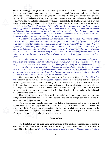Satan's influence has become so strong in one group<br>to the words of Paul and look once again at Roman<br>use of the New Living Translation (NLT) in this wo<br>a When Adam sinned, sin entered the world<br>everyone, for everyone sinn Example 1<br>
Solutry is unit<br>
trust, no unit and realm (country) will fight realm. If lawlessness prevails in this nation, we are at that point where there is no trust, no unity and most certainly no common ground. You would think that the blood of Christ was shed only for one particular group of people and all other groups are left out. Somehow Satan's influence has become so strong in one group or the other that truth no longer applies. Go back to the words of Paul and look once again at Romans. Romans 5:12-21 (NLT) NOTE: This is my first use of the New Living Translation (NLT) in this work and I needed to identify this reference source.

 *time of Moses—even those who did not disobey an explicit commandment of God, as Adam did. Now <sup>12</sup> When Adam sinned, sin entered the world. Adam's sin brought death, so death spread to everyone, for everyone sinned.13 Yes, people sinned even before the law was given. But it was not counted as sin because there was not yet any law to break.14 Still, everyone died—from the time of Adam to the*

*Adam is a symbol, a representation of Christ, who was yet to come.*<br>
<sup>15</sup> *But there is a great difference between Adam's sin and Godone man, Adam, brought death to many. But even greater is God<sup>1</sup> <i>forgiveness to many th forgiveness to many through this other man, Jesus Christ.*<sup>*16</sup></sup> And the result of God's gracious gift is very* different from the result of that one man's sin. For Adam's sin led to condemnation, but God's free gift lead</sup> *<sup>15</sup> But there is a great difference between Adam's sin and God's gracious gift. For the sin of this one man, Adam, brought death to many. But even greater is God's wonderful grace and his gift of different from the result of that one man's sin. For Adam's sin led to condemnation, but God's free gift leads to our being made right with God, even though we are guilty of many sins.17 For the sin of this one man, Adam, caused death to rule over many. But even greater is God's wonderful grace and his gift of righteousness, for all who receive it will live in triumph over sin and death through this one man, Jesus Christ.*

<sup>18</sup> Yes, Adam's one sin brings condemnation for everyone, but Christ's one act of righteousness<br>a right relationship with God and new life for everyone.<sup>19</sup> Because one person disobeyed God,<br>ecame sinners. But because one *brings a right relationship with God and new life for everyone.19 Because one person disobeyed God, many became sinners. But because one other person obeyed God, many will be made righteous.*

*<sup>20</sup> God's law was given so that all people could see how sinful they were. But as people sinned more and more, God's wonderful grace became more abundant.21 So just as sin ruled over all people and brought them to death, now God's wonderful grace rules instead, giving us right standing with God and resulting in eternal life through Jesus Christ our Lord.*

Notice two things in the passage from Matthew 24. First, in verse 6 it says that *the end is still to* d in verse 8 it says these are *the beginning of birth pains*. So, if we have a 2nd civil war it will happen before the *come* and in verse 8 it says these are *the beginning of birth pains*. So, if we have a 2nd civil war it will have to happen before the tribulation. I would go so far as to say that such a war would have to be after the Rapture. I say this because there are very righteous, God fearing Christian believers in all races including black and white and it is not the will of God that His people fight each other. That was how we ended up with the Northern Kingdom and the Southern Kingdom of Israel and they did fight each other, but that was not God's desire.

with the No<br>t was not Go<br>that we have<br>battles that the<br>ousand year Now that we have addressed the possibility of a civil war in our country, let us attempt to go through the battles that the area of the Middle East and Israel will go through between today and the end of the thousand year reign of Christ.

involve Israel. Not so! Would you believe that there a<br>in scripture. By God's grace, I am going to attempt to<br>facts for each battle in scripture. The first battle will i<br>of Armageddon may be the eighth battle in our list o There will be many people that think of the battle of Armageddon as the only war that will involve Israel. Not so! Would you believe that there are as many as 9 different battles that are identified in scripture. By God's grace, I am going to attempt to show you each battle and where you can find the facts for each battle in scripture. The first battle will not be the battle of Armageddon, in fact the battle of Armageddon may be the eighth battle in our list of battles.

#### **Battle One**

ext battle<br>would<br>he follo The first battle may be titled Israel Extermination or the Battle of Neighbors and is found in Psalm 83. You wouldn't expect to find a battle concerning Israel in Psalm would you? We read in Psalm 83:2-8 the following, <sup>2</sup> For behold, Your enemies make a tumult; And those who hate You have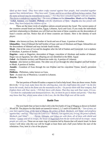*They form a confederacy against You: Check They form a confederacy against You: Check The tents of Edon*<br>
<sup>7</sup> *Gebal, Ammon, and Amalek; Philistia with the inhalthem; They have helped the children of Lot.*<br>
These are read. 3 They<br>eltered ones. lifted up their head. <sup>3</sup> They have taken crafty counsel against Your people, And consulted together against Your sheltered ones. <sup>4</sup> They have said, <u>"Come, and let us cut them off from being a nation, That</u> *the name of Israel may be remembered no more." <sup>5</sup> For they have consulted together with one consent; They form a confederacy against You:*  $\epsilon$  *The tents of Edom and the Ishmaelites; Moab and the Hagrites; <sup>7</sup> Gebal, Ammon, and Amalek; Philistia with the inhabitants of Tyre; <sup>8</sup> Assyria also has joined with them; They have helped the children of Lot.*

er and<br>
wn as Es<br>
s of Ishi Isaac's cousins and kin. Notice that all of these countries are Islamic. Here is the identity of each These are the inner circle of neighbor nations around present day Israel. The current names of the countries around Israel are Jordon, Egypt, Lebanon, Syria and Gaza. If you study the individuals and their relationship to Abraham you will find out that most of these countries are the descendents of player:

**Edom** - also known as Esau, the brother of Jacob and son of Isaac. A portion of Jordon.

**Ishmaelites** - Sons of Ishmael the half brother of Jacob and son of Abraham and Hagar. Ishmaelites are the descendents of Ishmael and may include Saudi Arabia.<br>**Moab** - One of the sons of Lot and his daughter after the fa the descendents of Ishmael and may include Saudi Arabia.

**Moab** - One of the sons of Lot and his daughter after the fall of Sodom and Gomorrah. Lot is nephew of Abraham. A portion of Jordon.

**Hagrites** - same as Hagarites, descendent of Hagar, concubine of Abraham and mother of Ishmael. Hagar was an Egyptian, her other offspring are not identified in the Bible. Egypt

**Gebal** - An Edomite territory and Phoenician trade city. A portion of Lebanon.

**Ammon** - also known as Ben-ammi. The other son of Lot through the other daughter and half brother to Moab. A portion of Jordon.

de city. A portion of Lebanon.<br>
on of Lot through the other daughter and half brother<br>
Eliphaz and his concubine Timna. Israel's persistent **Amalek** - Grandson of Esau through his son Eliphaz and his concubine Timna. Israel's persistent enemy.

**Phillistia** - Philistines, today known as Gaza.

**Tyre** - A costal city of Phoenicia. Located in Lebanon.

**Assyria** - Syria

*frighten them with Your storm. <sup>16</sup> Fill their faces with shame, That they may seek Your name, O LoRD.*<br>
<sup>*17*</sup> *Let them be confounded and dismayed forever; Yes, let them be put to shame and perish, <sup>18</sup> <i>That they m* re are the v<br>pre the v<br>m with The last portion of Psalm 83 makes a request to God to help Israel. Here are those verses. Psalm 83:13-18, *<sup>13</sup> O my God, make them like the whirling dust, Like the chaff before the wind! 14 As the fire burns the woods, And as the flame sets the mountains on fire, 15 So pursue them with Your tempest, And <sup>17</sup> Let them be confounded and dismayed forever; Yes, let them be put to shame and perish, 18 That they may know that You, whose name alone is the LORD, Are the Most High over all the earth.*

#### **Battle Two**

verses I will show why this war will be fought at least three and a half years before the start of the tribulation. First, here is a list of the players: *people are with you.* These are an outer ring of countries led by Russia that will attack Israel. In these The next battle that we have to deal with is the firm<br>38 and 39. The players for this battle are named in verses<br>your face against  $Gog$ , of the land of Magog, the prince<br>against him, <sup>3</sup> and say, 'Thus says the Lord Gop: against him, <sup>3</sup> and say, 'Thus says the Lord Gop: "Behold, I am against you, O Gog, the prince of Rosh, The next battle that we have to deal with is the first battle of Gog of Magog as shown in Ezekiel 38 and 39. The players for this battle are named in verses 2, 3, 5 and 6 of Ezekiel 38, *<sup>2</sup> "Son of man, set your face against Gog, of the land of Magog, the prince of Rosh, Meshech, and Tubal, and prophesy Meshech, and Tubal". . . . <sup>5</sup> Persia, Ethiopia, and Libya are with them, all of them with shield and helmet; <sup>6</sup> Gomer and all its troops; the house of Togarmah from the far north and all its troops—many* tribulation. First, here is a list of the players: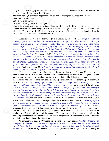and of **Mag**<br>antry for the **Gog**, of the land of **Magog**, the chief prince of Rosh - Rosh is an old name for Russia. So it seems that the lead country for the war will be Russia.

**Meshech**, **Tubal**, **Gomer** and **Togarmah** - are all names of people now located in Turkey.

**Persia** - modern day Iran **Put** - modern day Lybia

**Cush** - modern day Sudan and Ethiopia

 table of nations to the present day country of Iran. **Example 2018**<br> **Persia** - modern day Iran<br> **Put** - modern day Lybia<br> **Cush** - modern day Sudan and Ethiopia<br>
Most of these names are given in the table of nation<br>
Japheth and we find Gomer, Magog, Tubal and Mesh<br>
which li Most of these names are given in the table of nations of Genesis 10. Genesis 10:2 names the sons of Japheth and we find Gomer, Magog, Tubal and Meshech in that group, verse 3 gives the sons of Gomer which lists Togarmah. We find Cush and Put in verse 6 as sons of Ham. There is no direct link from the

ion of this<br>ion of this<br>land, this living things—the fish in the sea, the birds of the sky, the<br>curry along the ground, and all the people on earth—will<br>vill be thrown down; cliffs will crumble; walls will fall to<br>h you and your armies with disease and bloo *prophesy against Gog. Give nim ints message from the Sovereign Eokb. When my people are tiving in* peace in their land, then you will rouse yourself. <sup>*15*</sup> *You will come from your homeland in the distant* north with you A portion of the reason for this war is given in Ezekiel 38:14-16 (NLT), *"Therefore, son of man, prophesy against Gog. Give him this message from the Sovereign LORD: When my people are living in north with your vast cavalry and your mighty army,16 and you will attack my people Israel, covering their land like a cloud. At that time in the distant future, I will bring you against my land as everyone watches, and my holiness will be displayed by what happens to you, Gog. Then all the nations will know that I am the LORD.* Then verses 18-20, *18 But this is what the Sovereign LORD says: When Gog invades the land of Israel, my fury will boil over!19 In my jealousy and blazing anger, I promise a mighty shaking in the land of Israel on that day.20 All living things—the fish in the sea, the birds of the sky, the animals of the field, the small animals that scurry along the ground, and all the people on earth—will quake in terror at my presence. Mountains will be thrown down; cliffs will crumble; walls will fall to the earth*. Finally, read verse 22, *I will punish you and your armies with disease and bloodshed; I will send torrential rain, hailstones, fire, and burning sulfur!*

spears, and they will use them for fuel. There will be<br>sentence. Do you see where it takes seven years to<br>Desolation stands in the temple at the 3 1/2 year poin<br>it takes Israel 7 years to burn up all the weapons. T<br>beginni *helpless.<sup>4</sup> You and your army and your allies will all die on the mountains. I will feed you to the vultures* and wild animals.<sup>*5*</sup> *You will fall in the open fields, for I have spoken, says the Sovereign Lord.<sup>6</sup> <i>An* along with the proof that this war begins prior to the tribulation. The following verses are from chapter 39 of Ezekiel and will continue from the New Living Translation for ease of reading. We begin with verse 1, "Son of That gives us some of what is to happen during the first war of Gog and Magog. However chapter 39 tells us more of the reason for this war and the results pertaining to both Gog and to Israel, 39 of Ezekiel and will continue from the New Living Translation for ease of reading. We begin with verse 1, *"Son of man, prophesy against Gog. Give him this message from the Sovereign LORD: I am your enemy, O Gog, ruler of the nations of Meshech and Tubal.* Then we read in verses 3-6 the following, *3 I will knock the bow from your left hand and the arrows from your right hand, and I will leave you and wild animals.<sup>5</sup> You will fall in the open fields, for I have spoken, says the Sovereign LORD.<sup>6</sup> And I will rain down fire on Magog and on all your allies who live safely on the coasts. Then they will know that I am the LORD.* The next entry will provide to us the reason to state that this battle must begin at least three and a half years before the beginning of the tribulation. Read verse 9, *"Then the people in the towns of Israel will go out and pick up your small and large shields, bows and arrows, javelins and spears, and they will use them for fuel. There will be enough to last them seven years!"* Read that last sentence. Do you see where it takes seven years to burn up all the weapons? The Abomination of Desolation stands in the temple at the 3 1/2 year point of the tribulation and it states in these verses that it takes Israel 7 years to burn up all the weapons. Therefore, this battle must take place prior to the beginning of the tribulation and could even be before this point of 3 1/2 years but must be at least that long before the beginning of the tribulation.

> graveyard for Gog and his hordes in the Valley of the Travelers, east of the Dead Sea. It will block the<br>way of those who travel there, and they will change the name of the place to the Valley of Gog's<br>Hordes." Ezekiel 39: Continuing with chapter 39 we read the outcome of Gog in verse 11, *"And I will make a vast way of those who travel there, and they will change the name of the place to the Valley of Gog's Hordes."* Ezekiel 39:11 (NLT) The next verse, verse 12, shows us how long it takes Israel to bury the

43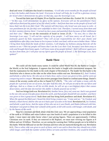13 indicates<br>ies and clear dead and verse 13 indicates that Israel is victorious, *12 It will take seven months for the people of Israel to bury the bodies and cleanse the land.13 Everyone in Israel will help, for it will be a glorious victory for Israel when I demonstrate my glory on that day, says the Sovereign LORD.*

*Sovereign Lord says: "I will end the captivity of my people ; I will have mercy on all Israel, for I jealously guard my holy reputation!<sup>26</sup> They will accept responsibility for their past shame and unfaithfulness after th and their sins."* Then we see the restoration of Israel in verses 25-29, *25 "So now, this is what the* For israel when I demonstrate my give y on that ady, say<br>Toward the latter part of chapter 39 we find the r<br> $\frac{1}{2}$  "In this way, I will demonstrate my glory to the nation<br>inflicted on them and the power of my fist when *know that I am the LORD their God.23 The nations will then know why Israel was sent away to exile—it I bring them home from the lands of their enemies, I will display my holiness among them for all the nations to see.<sup>28</sup> Then my people will know that I am the Lorp their God, because I sent them away to exile and brought* Toward the latter part of chapter 39 we find the reason God does this. Ezekiel 39: 21-24 (NLT), *<sup>21</sup> "In this way, I will demonstrate my glory to the nations. Everyone will see the punishment I have inflicted on them and the power of my fist when I strike.22 And from that time on the people of Israel will was punishment for sin, for they were unfaithful to their God. Therefore, I turned away from them and let their enemies destroy them.24 I turned my face away and punished them because of their defilement jealously guard my holy reputation!26 They will accept responsibility for their past shame and unfaithfulness after they come home to live in peace in their own land, with no one to bother them.27 When nations to see.28 Then my people will know that I am the LORD their God, because I sent them away to exile and brought them home again. I will leave none of my people behind.29 And I will never again turn my face from them, for I will pour out my Spirit upon the people of Israel. I, the Sovereign LORD, have spoken!"*

#### **Battle Three**

*n* to him<br>firm son<br>ill make<br>egious d<br>egious d *and behold, a white horse. He who sat on it had a bow; and a crown was given to him, and he went out* le Three<br>
could be called World War III; the Battle to Conquer<br>
t this battle is fought with conventional weapons. We<br>
apter of Revelation 6. The leader for this battle is the We could call this battle many names: It could be called World War III; the Battle to Conquer the World; or the Seal Judgments. It appears that this battle is fought with conventional weapons. We find the explanation for this battle in the sixth chapter of Revelation 6. The leader for this battle is the Antichrist who is shown as the rider on the white horse within seal one. Revelation 6:2, *And I looked, conquering and to conquer.* We must also review passages from Daniel to confirm some things. Daniel's vision of the seventy weeks tell us this in Daniel 9:27 (NLT), *"The ruler will make a treaty with the people for a period of one set of seven, but after half this time, he will put an end to the sacrifices and offerings. And as a climax to all his terrible deeds, he will set up a sacrilegious object that causes desecration, until the fate decreed for this defiler is finally poured out on him."*

il the fate de<br>brings forth<br>at on it to tak<br>a great swo<br>d the third sea Seal two brings forth war. Revelation 6:4, *Another horse, fiery red, went out. And it was granted to the one who sat on it to take peace from the earth, and that people should kill one another; and there was given to him a great sword.* Seals three and four bring forth pestilence and death. Revelation 6:5, *When He opened the third seal, I heard the third living creature say, "Come and see." So I looked, and behold, a black horse, and he who sat on it had a pair of scales in his hand.* Revelation 6:8, *So I looked, and behold, a pale horse. And the name of him who sat on it was Death, and Hades followed with him. And power was given to them over a fourth of the earth, to kill with sword, with hunger, with death, and by the beasts of the earth.*

this battle. With the fifth seal we see the Christian and Jews who are martyred during this war. Revelation 6:11, Then a white robe was given to each of them; and it was said to them that they should rest a little while l billion and not 10 billion. Therefore, we are seeing the warning that 2 billion people are to be killed in and behold, a pale horse. And the name of him who sat of<br>And power was given to them over a fourth of the earth, to<br>by the beasts of the earth.<br>Stop for a moment and think about what this trul-<br>of the earth at 10 billion a of the earth at 10 billion and verse 8 above says one fourth of earth's population is to be killed in this Stop for a moment and think about what this truly says. We are approaching a total population battle. I must inject one other factor when I start giving figures. There are approximately 2 billion Christians now on earth. If they are removed in the Rapture, we must start viewing our figures at 8 6:11, *Then a white robe was given to each of them; and it was said to them that they should rest a little while longer, until both the number of their fellow servants and their brethren, who would be killed as*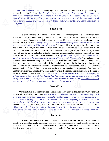Earlinguake, and the sun became black as sacketion of stars of heaven fell to the earth, as a fig tree drops<br>
<sup>14</sup> Then the sky receded as a scroll when it is rolled to fits place. ras completer<br>velation 6:12 *they were, was completed.* The sixth seal brings us to the escalation of this battle to the point that it goes nuclear. Revelation 6:12-14, <sup>*n*</sup> *I* looked when He opened the sixth seal, and behold, there was a great *earthquake; and the sun became black as sackcloth of hair, and the moon became like blood. 13 And the stars of heaven fell to the earth, as a fig tree drops its late figs when it is shaken by a mighty wind. <sup>14</sup> Then the sky receded as a scroll when it is rolled up, and every mountain and island was moved out of its place.*

#### **Battle Four**

the nuc<br>third us<br>of the Eu<br>lation 9<br>e release This is the nuclear portion of the above war and/or the trumpet judgments of Revelation 8 and *silver, brass, stone, and wood, which can neither see nor hear nor walk. <sup>21</sup> And <u>they did not repent of</u> their murders or their sorceries or their sexual immorality or their thefts.*<br>**Battle Five**  *did not repent of the works of their hands, that they should not worship demons, and idols of gold,* stone which came out of their mouths. The total population<br>tles take place and each time a number is given it seems<br>the population at that point in time. At this juncture we<br>f this number killed by the demonic horses. That an additional 1.33 billion killed. There are those places within Revelation that presents a flash forward for the hour<br>this one thin<br>killed. That's<br>st a little furt<br>ed troops and 9. We find one third used repeatedly in these two chapters and we also see the demonic locusts, the four bound angels of the Euphrates and their mounted troops who killed one third of the remaining population of earth. Revelation 9:15, *So the four angels, who had been prepared for the hour and day and month and year, were released to kill a third of mankind.* With the killing of this one third of the remaining population of mankind, an additional 2 billion people have now been killed. That's a total of 4 billion people or one half of the total population of the earth at that time. Go just a little further in chapter 9 and you will find the horses and riders of the two hundred million mounted troops and verse 18 says that these horses kill one third of mankind. Revelation 9:18, *By these three plagues a third of mankind was killed—by the fire and the smoke and the brimstone which came out of their mouths.* The total population of mankind has been decreasing as these battles take place and each time a number is given it seems that we are talking about the remainder of the population at that point in time. At this juncture we started with 4 billion and we have one third of this number killed by the demonic horses. That would be and there are a few that flash backward into history. One such flash forward is given here in the last two verses of chapter 9. Revelation 9:20-21, *<sup>20</sup> But the rest of mankind, who were not killed by these plagues, their murders or their sorceries or their sexual immorality or their thefts.*

#### **Battle Five**

Revelation 12:12 informs us that Satan is thrown of<br>
"Therefore rejoice, O heavens, and you who dwell in<br>
sea! For the devil has come down to you, having grea Fifth battle do<br>the drage and the drage<br>en any longe Our fifth battle does not take place on earth, instead we jump to the Heavenly War. Read with me as we look at Revelation 12:7-9, *And war broke out in heaven: Michael and his angels fought with* the dragon; and the dragon and his angels fought,  $^s$  but they did not prevail, nor was a place found for them in heaven any longer. <sup>9</sup> So the great dragon was cast out, that serpent of old, called the Devil and *Satan, who deceives the whole world; he was cast to the earth, and his angels were cast out with him.* Revelation 12:12 informs us that Satan is thrown out of heaven for the last time and he is furious. *"Therefore rejoice, O heavens, and you who dwell in them! Woe to the inhabitants of the earth and the sea! For the devil has come down to you, having great wrath, because he knows that he has a short time*

#### **Battle Six**

it of hea<br>an overp<br>lestroy<br> been thrown out of heaven, he goes after those who believe in Jesus as the Son of God. He continues to This battle represents the Antichrist's battle against the Saints and the Jews. Since Satan has think that he can overpower God and take away His throne. He knows his time is short and he thinks that if he can destroy the saints and the Jews, he can gain God's throne. We can see some of this in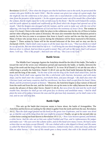we to co<br>to accept actions<br>*M And it*  and her other offspring are the saints (Christians). We must also remember that the tribulation period is she might jty mio the white mess to her place, where she<br>time, from the presence of the serpent.<sup>15</sup> So the serpent s<br>the woman, that he might cause her to be carried away l<br>and the earth opened its mouth and swallowed up *mouth. 17 And the dragon was enraged with the woman, and he went to make war with the rest of her*  $3-17$ , <sup>13</sup> Now<br>ve birth to the Zechariah 13:8-9, *8* And it shall come to pass in all the land, Says the Lorp, "That two-thirds in it shall be cut off and die, But one-third shall be left in it: *'* I will bring the one-third through the fire, Will refi Revelation 12:13-17, *13 Now when the dragon saw that he had been cast to the earth, he persecuted the woman who gave birth to the male Child. 14 But the woman was given two wings of a great eagle, that she might fly into the wilderness to her place, where she is nourished for a time and times and half a time, from the presence of the serpent. 15 So the serpent spewed water out of his mouth like a flood after the woman, that he might cause her to be carried away by the flood. 16 But the earth helped the woman, and the earth opened its mouth and swallowed up the flood which the dragon had spewed out of his offspring, who keep the commandments of God and have the testimony of Jesus Christ.* The woman in verse 13 is Israel, Christ is the male child, her place in the wilderness may be the city of Petra in Jordon mainly for the Jews to come to acceptance that Jesus is Israel's savior and the one that they pierced. Many of those who accept Jesus as savior during the tribulation will be those martyred in Revelation, chapter 7. These actions by Satan will be the second holocaust of the Jews and we may see this in *be cut off and die, But one-third shall be left in it: <sup>9</sup> I will bring the one-third through the fire, Will refine them as silver is refined, And test them as gold is tested. They will call on My name, And I will answer them. I will say, 'This is My people'; And each one will say, 'The LORD is my God.' "*

#### **Battle Seven**

ce of these of<br>*refore he sha*<br>f his palace l<br>will help hin <sup>41</sup> He sl<br>ape from<br>to hear<br>lley bet *king of the North shall come against him like a whirlwind, with chariots, horsemen, and with many* Intichrist should be the title of this battle. The battle is<br>iod and represents the battle, or battles, between the<br>iel 11. In verse 36 of Daniel 11 we see the one who is<br>40-41 sets up this final battle between the king of The Middle East Campaign Against the Antichrist should be the title of this battle. The battle is toward the end of the seven year tribulation period and represents the battle, or battles, between the king of the north and the king of the south in Daniel 11. In verse 36 of Daniel 11 we see the one who is called king is actually the Antichrist. Daniel 11:40-41 sets up this final battle between the king of the north and the king of the south, *"At the time of the end the king of the South shall attack him; and the ships; and he shall enter the countries, overwhelm them, and pass through. <sup>4</sup> He shall also enter the Glorious Land, and many countries shall be overthrown; but these shall escape from his hand: Edom, Moab, and the prominent people of Ammon."* However, the Antichrist begins to hear rumors of discord from the north and from the east, and the Antichrist sets up his tents in the valley between the seas and awaits the advance of these other forces. Daniel 11:44-45, *But news from the east and the north shall trouble him; therefore he shall go out with great fury to destroy and annihilate many. 45 And he shall plant the tents of his palace between the seas and the glorious holy mountain; yet he shall come to his end, and no one will help him.*

#### **Battle Eight**

written that no one knew except Himself. <sup>13</sup> He was clothed with a robe dipped in blood, and His name<br>is called The Word of God. <sup>14</sup> And the armies in heaven, clothed in fine linen, white and clean, followed<br>Him on white *and makes war. 12 His eyes were like a flame of fire, and on His head were many crowns. He had a name* This sets up the battle that everyone seems to<br>Antichrist and his forces are waiting for the others to gathe<br>16:12, Then the sixth angel poured out his bowl on the g<br>up, so that the way of the kings from the east might be *up, so that the way of the kings from the east might be prepared.* Finally, we get to the second rider on This sets up the battle that everyone seems to know about, the battle of Armageddon. The Antichrist and his forces are waiting for the others to gather from the north and from the east. Revelation 16:12, *Then the sixth angel poured out his bowl on the great river Euphrates, and its water was dried* a white horse coming out from heaven in Revelation 19:11-21, *11 Now I saw heaven opened, and behold, a white horse. And He who sat on him was called Faithful and True, and in righteousness He judges is called The Word of God. 14 And the armies in heaven, clothed in fine linen, white and clean, followed Him on white horses. 15 Now out of His mouth goes a sharp sword, that with it He should strike the*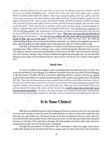*fire* burning with brimstone. <sup>21</sup> And the rest were killed with the sword which proceeded from the mouth of Him who sat on the horse. And all the birds were filled with their flesh. So! With the understanding of these ve *the mark of the beast and those who worshiped his image. These two were cast alive into the lake of* RING OF RINGS AND LORD OF LORDS.<sup>3</sup> Then I s<br>a loud voice, saying to all the birds that fly in the m<br>supper of the great God, <sup>18</sup> that you may eat the flesh<br>men, the flesh of horses and of those who sit on their<br>small and *small and great." 19 And I saw the beast, the kings of the earth, and their armies, gathered together to d*<br>*He Himsel*<br>*nd wrath of nations. And He Himself will rule them with a rod of iron. He Himself treads the winepress of the fierceness and wrath of Almighty God. 16 And He has on His robe and on His thigh a name written: KING OF KINGS AND LORD OF LORDS.17 Then I saw an angel standing in the sun; and he cried with a loud voice, saying to all the birds that fly in the midst of heaven, "Come and gather together for the supper of the great God, 18 that you may eat the flesh of kings, the flesh of captains, the flesh of mighty men, the flesh of horses and of those who sit on them, and the flesh of all people, free and slave, both make war against Him who sat on the horse and against His army. 20 Then the beast was captured, and with him the false prophet who worked signs in his presence, by which he deceived those who received mouth of Him who sat on the horse. And all the birds were filled with their flesh.* So! With the understanding of these verses everyone should know that there is no Battle of Armageddon because all

those who had gathered to fight against Jesus were destroyed with one word from His mouth.<br>With that said and done the Kingdom of God has arrived and Jesus shall rule on earth<br>thousand years. There will be no sickness, pai With that said and done the Kingdom of God has arrived and Jesus shall rule on earth for one thousand years. There will be no sickness, pain, worry or death during that thousand years of peace. The righteous who have overcome the tribulation will be those in the flesh who will enter the thousand years and will have children. They will have children throughout the thousand years. At the end of this thousand years Satan will be released from the abyss and he will deceive the world to rebel against God.

#### **Battle Nine**

ded the cam<sub>p</sub><br>devoured the<br>ast and the f Israel. In this second battle we see Russia gathering the world's armies to go against Jesus. Revelation 20:7-10, *' Now when the thousand years have expired, Satan will be released from his prison ' and will go out to d*  In the first battle of Ezekiel 38-39 we see Russia gathering Moslem countries and they go against Battle Nine<br>this concluding battle that shall take place on earth. This<br>fferent and distinct from the first battle of God of Magog It is easy to establish what happens in this concluding battle that shall take place on earth. This is the second battle of Gog of Magog. It is different and distinct from the first battle of God of Magog. 20:7-10, <sup>*r*</sup> Now when the thousand years have expired, Satan will be released from his prison <sup>*8*</sup> and will *go out to deceive the nations which are in the four corners of the earth, Gog and Magog, to gather them together to battle, whose number is as the sand of the sea. <sup>9</sup> They went up on the breadth of the earth and surrounded the camp of the saints and the beloved city. And fire came down from God out of heaven and devoured them. 10 The devil, who deceived them, was cast into the lake of fire and brimstone where the beast and the false prophet are. And they will be tormented day and night forever and ever.*

## **It Is Your Choice!**

 eternity is in the lake of fire with Satan, the beast, the false prophet and all the other souls who never With this second battle between Gog of Magonetary and spirit can exist. Either you will spend eternity in Jesus and all souls who accepted Jesus as their person occur on earth. Eternity is from this point forward and there are only two places that mankind's soul With this second battle between Gog of Magog and Israel we close out all of the wars that shall and spirit can exist. Either you will spend eternity in the New Jerusalem on the new earth with God, Jesus and all souls who accepted Jesus as their personal savior. Or, the other place that souls will spend accepted Jesus as the Son of God and savior of mankind.

as the S<br>h the p<br>puld see Through the presentation of information that is presented in these few pages every person reading this should see the deception that Satan is using to get us to deny that God is real or that there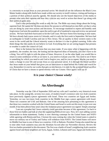accept Jesus<br>
long with At is a necessity to accept Jesus as your personal savior. We should all see the influence the Black Lives Matter leaders along with Antifa have made within our society to instill violence, rioting and looting as a portion of their political anarchy agenda. We should also see the biased objectives of the media to present what suits their opinion and how they criticize any word or action that doesn't go along with their political game plan.

We have already had a snow storm in Colorado, and it is only the first week in September. We have had an earthquake in South Carolina and one in New Jersey. The air quality in three western states is the worst in the world actions. We have had three hurricanes to hit the Gulf coast. We have forest fires burning in nine states. a portion of their pointcar analytical genda. We should<br>present what suits their opinion and how they criticize<br>their political game plan.<br>God is also performing His work as only He can<br>supreme God. He cannot lie! He does supreme God. He cannot lie! He does not desire for anyone to will themselves into Hell, yet that is what God is also performing His work as only He can. The Bible says many things about the living, you are doing by your own actions and decisions. To encourage mankind to repent and humbly seek forgiveness God sent this pandemic upon the earth to get all of mankind to stop and review our personal an earthquake in South Carolina and one in New Jersey. The air quality in three western states is the worst in the world and the Liberal minority wants to declare it is due to global warming. Folks who to weather is under the control of God.

Dependency or and for you to repent. Maybe you need to<br>vour personal savior. It is through the blood sacrifice<br>Intercessor to stand before His Father and vouch for<br>into heaven, it is only by the accepted blood sacrifice<br>wi think things like this surely do not believe in God. Everything that we are seeing happen that pertains to weather is under the control of God.<br>
Here is the bottom line decision that you must make. If you enjoy what is hap Here is the bottom line decision that you must make. If you enjoy what is happening with the pandemic, the weather, the riots, the looting and the deprived ideas of humanity, you don't have to do a thing. You will fit right in with the plans of Satan. However, if, on the other hand, you would like to return to some semblance of life as we knew it, you need to evaluate your life. You need to see if there is something for which you need to ask God to forgive you, and for you to repent. Maybe you need to make a change in your life and accept Jesus as your personal savior. It is through the blood sacrifice that Jesus made on your behalf that gives you an Intercessor to stand before His Father and vouch for you. Remember it is not by our works that gets us into heaven, it is only by the accepted blood sacrifice of Christ that we have a means to spend eternity with our Creator. Once again I will say it!

#### **It is your choice! Choose wisely!**

### **An Afterthought**

y was the 15<br>be young life,<br>signed a pe<br>aw two more Yesterday was the 15th of September 2020 and my wife and I watched a very historical event take place. In the young life, seventy-two years, of modern Israel's existence only two Arab countries have previously signed a peace agreement with Israel. These two countries are Egypt and Jordon. Yesterday, we saw two more Arab countries in the Middle East sign a peace agreement with Israel. These two countries are UAE and Bahrain. One of the amazing facts pertaining to this agreement is that these two countries worked with the United States and Israel to work out this treaty in just over one month. It has been almost forty years since the Jordanian peace agreement was signed. Simply amazing!

e to one<br>countri<br>sented i<br>hose nei its Middle East base to one of these two countries, UAE or Bahrain. President Trump also stated that up that these two countries worked with the United States and<br>month. It has been almost forty years since the Jordanian p<br>I am not a prophet but I most certainly could spe<br>those first two battles and look at what the supporti information to those statements. Turkey is now showing contempt for the United States and NATO I am not a prophet but I most certainly could speculate because of this agreement. Go back to those first two battles and look at what the supporting Biblical text says. Now, let's start adding current while agreeing with Russia and Iran. I foresee the soon coming day when the United states is asked to move our military out of Turkey and Turkey will withdraw from NATO. The United States will move to nine other Arab countries may join the Abraham Accord after our November election. Review the first two battles presented in this document. The first was a battle of Israel's neighboring Arab countries against Israel and those neighbors are Syria, Egypt, Jordon, Lebanon and Gaza. Egypt and Jordon have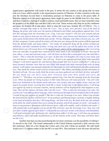*iase foot*<br>*jaws to*<br>*ons.* Go<br>*nt north him this message from the Sovereign LORD: Gog, I am your enemy!<sup>4</sup> I will turn you around and put* Palestine signed on to this peace agreement, there is<br>and there would be a sharing of wealth in science, for<br>the prophecy of the Bible says and that God is not a<br>necessary for Ezekiel 38 to take place. Here is what<br>another necessary for Ezekiel 38 to take place. Here is what the Lord says, Ezekiel 38:1-23 (NLT), *<sup>1</sup> This is* e agreement<br>aza. which a terror at my presence. Mountains will be thrown down<br>will summon the sword against you on all the hills c<br>turn their swords against each other.<sup>22</sup> I will punish y<br>I will send torrential rain, hailstones, fire, and burni<br>a *Gog. Then all the nations will know that I am the Lord.*<sup>*17</sup></sup> <i>This is what the Sovereign Lord asks: Are* you the one I was talking about long ago, when I announced through Israel's prophets that in the future I would br</sup> plunder?'<sup>14</sup> "Therefore, son of man, prophesy against Gog. Give him this message from the Sovereign<br>Lor.D: When my people are living in peace in their land, then you will rouse yourself. <sup>15</sup> You will come<br>from your homel say, 'Israel is an unprotected land filled with unwalled<br>y these people who live in such confidence!<sup>12</sup> I will go to<br>filled with people who have returned from exile in many<br>for the people are rich with livestock and other *now. They think the whole world revolves around them!'13 But Sheba and Dedan and the merchants of from the distant north, and many others.<sup><i>7*</sup> "Get ready; be prepared! Keep all the armies around you mobilized, and take command of them.<sup>*\**</sup> A long time from now you will be called into action. In the distant future yo signed peace agreements with Israel in the past. It seems the one country in this group that we must look at is Gaza, which actually is the representative portion of Palestine. If other countries in the area join the Abraham Accord there is tremendous pressure on Palestine to come to the peace table. If Palestine signed on to this peace agreement, there might be peace in the Middle East for a few years and there would be a sharing of wealth in science, food and health issues. But we must remember what the prophecy of the Bible says and that God is not a liar. These actions only help set up the conditions *another message that came to me from the LORD:<sup>2</sup> "Son of man, turn and face Gog of the land of Magog, the prince who rules over the nations of Meshech and Tubal, and prophesy against him.<sup>3</sup> Give hooks in your jaws to lead you out with your whole army—your horses and charioteers in full armor and a great horde armed with shields and swords.<sup>5</sup> Persia, Ethiopia, and Libya will join you, too, with all their weapons.<sup>6</sup> Gomer and all its armies will also join you, along with the armies of Beth-togarmah* mobilized, and take command of them.<sup>*8*</sup> A long time from now you will be called into action. In the *distant future you will swoop down on the land of Israel, which will be enjoying peace after recovering from war and after its people have returned from many lands to the mountains of Israel.<sup>9</sup> You and all your allies—a vast and awesome army—will roll down on them like a storm and cover the land like a cloud.10 "This is what the Sovereign LORD says: At that time evil thoughts will come to your mind, and you will devise a wicked scheme.11 You will say, 'Israel is an unprotected land filled with unwalled villages! I will march against her and destroy these people who live in such confidence!12 I will go to those formerly desolate cities that are now filled with people who have returned from exile in many nations. I will capture vast amounts of plunder, for the people are rich with livestock and other possessions Tarshish will ask, 'Do you really think the armies you have gathered can rob them of silver and gold? Do you think you can drive away their livestock and seize their goods and carry off LORD: When my people are living in peace in their land, then you will rouse yourself. 15 You will come from your homeland in the distant north with your vast cavalry and your mighty army,16 and you will attack my people Israel, covering their land like a cloud. At that time in the distant future, I will bring you against my land as everyone watches, and my holiness will be displayed by what happens to you, you the one I was talking about long ago, when I announced through Israel's prophets that in the future I would bring you against my people?18 But this is what the Sovereign LORD says: When Gog invades the land of Israel, my fury will boil over!19 In my jealousy and blazing anger, I promise a mighty shaking in the land of Israel on that day.20 All living things—the fish in the sea, the birds of the sky, the animals of the field, the small animals that scurry along the ground, and all the people on earth—will quake in terror at my presence. Mountains will be thrown down; cliffs will crumble; walls will fall to the earth.21 I will summon the sword against you on all the hills of Israel, says the Sovereign LORD. Your men will turn their swords against each other.22 I will punish you and your armies with disease and bloodshed; I will send torrential rain, hailstones, fire, and burning sulfur!23 In this way, I will show my greatness and holiness, and I will make myself known to all the nations of the world. Then they will know that I am the LORD.*

> he UAE<br>Here an<br>5 fighte Another item that was discussed during this two hour ceremony was the possibility of selling F-35 aircraft to the UAE. The Israeli ambassador to the United Nations expressed a little concern over this statement. Here are a few things that I know and a few that I think are possible. We sold Saudi Arabia our F-15 fighters either in the late 80's or early 90's. That airframe is now 40 years old and has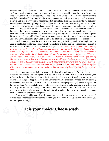down completely so that you couldn't even start them up if things turned ugly. As long as there is peace help defend Israel at all cost. Stop and think for a mome<br>is only a matter of a few years, if not months, that tech<br>phones, tablets and desk top computers can all track you<br>They can also be turned on, updated and turned of They can also be turned on, updated and turned off remotely. Incorporate that technology into all the y F-22s or F-<br>b countries been replaced by F-22s or F-35s in our own aircraft inventory. If the United States sold the F-35 to the UAE, other Arab countries would also want to have the same capability and buy them for their air force. Now, the question is the security of Israel. The United States has made a sound commitment to help defend Israel at all cost. Stop and think for a moment. Technology is moving at such a rate that it is only a matter of a few years, if not months, that technology doubles. I personally know that smart phones, tablets and desk top computers can all track your location and can listen to your conversations. other technology of the F-35 and we would have a fighter jet that could be controlled from satellites if they entered the wrong air space at the wrong time. We might even have the capability to shut them things work as they should. Allow things to escalate into a warfare footing and either technology or God Himself will come into play. Look at verses 21-22 in the above passage to see if this isn't so.

boot that<br>ey shou<br>come in<br>esty, I pi I betray and hate each other.<sup>11</sup> And many false prophets<br>vill be rampant everywhere, and the love of many will<br>vill be saved.<sup>14</sup> And the Good News about the Kingdom<br>o that all nations will hear it; and then the end will<br> manner that He has and for this reprieve to allow mankind to go forward for a little longer. Remember<br>what Jesus said in Matthew 24. Matthew 24:6-14 (NLT), *• And you will hear of wars and threats of*<br>wars, but don't panic In all honesty, I praise the actions of President Trump, I thank my God for leading him in the what Jesus said in Matthew 24. Matthew 24:6-14 (NLT), *<sup>6</sup> And you will hear of wars and threats of wars, but don't panic. Yes, these things must take place, but the end won't follow immediately.<sup>7</sup> Nation will go to war against nation, and kingdom against kingdom. There will be famines and earthquakes in many parts of the world.<sup>8</sup> But all this is only the first of the birth pains, with more to come.<sup>9</sup> "Then you will be arrested, persecuted, and killed. You will be hated all over the world because you are my followers. <sup>10</sup> And many will turn away from me and betray and hate each other.<sup>11</sup> And many false prophets will appear and will deceive many people.<sup>12</sup> Sin will be rampant everywhere, and the love of many will grow cold.<sup>13</sup> But the one who endures to the end will be saved.<sup>14</sup> And the Good News about the Kingdom will be preached throughout the whole world, so that all nations will hear it; and then the end will come.*

of God as shown in the Abraham Accord. Police agencies all across America will arrest those who are causing these things to happen. Mayors and Governors will be chastised by those they are serving.<br>Remember those in electe I have one more speculation to make. All this rioting and looting in America that is called protesting will come to a screaming halt. By God's grace this action in America would match the grace causing these things to happen. Mayors and Governors will be chastised by those they are serving. Remember those in elected office in this nation are servants of the people who put them in the positions they are holding. They are not elevated royalty who make all the rules and everything is to be their way or no way. We will return to being a God fearing, lawful nation with a moral backbone. That is still down the road with a different viewpoint.

freedom, but with the original idea that the majority rules, and not the rule of every quack that comes down the road with a different viewpoint.<br>Even with the addition of this information the fact still comes down to one Even with the addition of this information the fact still comes down to one of two choices. I have stressed what those two choices are and that you alone must make up your mind on where you desire to spend eternity.

# It is your choice! C **It is your choice! Choose wisely!**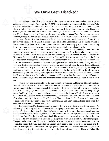## **We Have Been Hijacked!**

and ben<br>lee His b<br>the sact<br>laims to<br>day-to-c how He acted and behaved in His day-to-day activities while on planet Earth. We have the stories of At the beginning of this work we placed the<br>and report on except one: Where was the WHO? In t<br>is that we need to study and see what that entity has<br>whore of Babylon has pushed truth to the sideline. C is that we need to study and see what that entity has done to the followers of Jesus and how the great At the beginning of this work we placed the important words for any good reporter to gather and report on except one: Where was the WHO? In the first section we have alluded to whom the Who whore of Babylon has pushed truth to the sideline. Our knowledge of Jesus comes from the Gospels of Matthew, Mark, Luke and John. From these four books, we have to determine what Jesus said, did and His birth, we see His baptism by His cousin John in the Jordan River, and we learn that our salvation is only through the sacrifice that Jesus made for all citizens of earth, past, present and future. Every person who claims to be a Christian needs to understand that Jesus represents the model we are to follow in out day-to-day life to be the representative of Christ before a pagan, unsaved world. Along the way we must look at statements Jesus said that we need to know and agree with.

 that He doesn't know what He is talking about and that Friday is a day, Saturday is a day and Sunday is Biote says. For an example tet stake the death of sessional flook at it for a moment. Sessions the Boot of God and if the Bible says that God cannot lie that also means that Jesus will not lie. Jesus spoke on four occasion be accounted for. Do you accept that this is a true statement? Okay, why is it that you accept the represents tr<br>a pagan, uns<br>nd agree wit<br>bur knowled<br>ey do not tak<br>done do not Most Christians do not follow the example left by Jesus for our knowledge, they follow the example of the traditions the church they attend presents to them. They do not take the time to study what the Bible says and will not question why particular things that are done do not agree with what the Bible says. For an example let's take the death of Jesus and look at it for a moment. Jesus is the Son of occasions that He must spend three days and three nights in the tomb as Jonah spent in the great fish. If Jesus said this then He must know what He was saying and that a full three days and three nights must traditions established by men and follow tradition that Friday at 3:00 PM in the afternoon to approximately 6:00 AM Sunday morning is three days and three nights. You just called Jesus a liar and a day. That's three days! Tradition says this is the correct interpretation and we celebrate Easter every year.

pointed a po<br>s pride, ego,<br>er to this evi<br>grace he too<br>nes today cla<br>tt would also and we defined<br>and taughter is a list<br>respectively This is only one example of how the church has been hijacked and taught a different theology. Every since the introduction of Satan in the Garden, we have seen that he is a liar and a murderer. He was once appointed a position that equaled the position of Michael or Gabriel, or maybe even above them. But his pride, ego, envy and self-centeredness led to his change from a glorious being of light named Lucifer to this evil entity that believes he can take over the throne of God. We also know that in his fall from grace he took one third of the heavenly hosts (angels) with him. We also know that many of the churches today claim to be a New Testament Church and that the Old Testament does not apply to them. That would also include the Ten Commandments and God's ordained feast days since they were both established in the Old Testament.

ech that<br>e grace a<br>en that false gods and traditions. God knew from the fall of Adam and Eve that He would have to send His Son It is through the Old Testament that we learn<br>see the days of blessing and we see the sins of God<br>people. We also see the interaction that God's peop<br>them and how they call for a king, worship an idol or<br>the dictation from them and how they call for a king, worship an idol or fail to follow God's prescribed laws. Moses took It is through the Old Testament that we learn of the ways of God and of His chosen people. We see the days of blessing and we see the sins of God's people that cause God to react and correct His people. We also see the interaction that God's people have with the other lands and peoples around the dictation from God directly on Mount Sinai. The prophets gave the people the words and direction for them to follow, but the people accepted the temptation from Satan to follow after other people's to heal the breech that Satan caused in the Garden. That leads us back to the New Testament and the results of all the grace and failures that God's people had gone through. Please recall the brief explanation that I have given that illustrates the split between the House of Israel and the House of Judah. The

51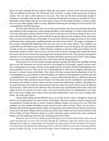Horaham, or secondly, they are the co-heirs of heaven<br>Remember, these peoples are not Jews, but many of the<br>how you view these people, either way they should be f<br>Commandments and His feast days.<br>We must also view the fact represent the<br>d in my boo House of Israel represent the ten northern tribes that were given a divorce from God and scattered. They are defined in my book, *The Thirteenth Tribe of Israel*, as many of the present day European nations. You can look at these nations in two ways. First, they are the direct descendant people of Abraham, or secondly, they are the co-heirs of heaven through their salvation by the blood of Christ. Remember, these peoples are not Jews, but many of them are descendant Israelites. It doesn't matter how you view these people, either way they should be following the teachings of God toward the Ten Commandments and His feast days.

the discounts<br>the 25th<br>various<br>rated th of this has taken place and how much of what we do as Christians is not in the teachings of Jesus. Let's the sun god celebrated the beginning of the new sun cycle on the winter solstice. The pagan worshippers of the sun god celebrated the beginning of the new sun cycle on the winter solstice. This tradition was carried down t We must also view the facts that even as divorced Israelites, they have also picked up the habits and traditions of the peoples they reside among and follow a false theology. It is time to look at how all start with the birth of Jesus. How in the world did we get the idea from the traditions of the church that Jesus was born on the 25th day of December. If you go back and look at pagan feast days of the Greeks and Romans that various gods or goddesses birth was on the winter solstice. The pagan worshippers of carried down to the fourth century when Constantine called the Council of Nicaea in 325 and ruled that worship of this new religious sect called Christian would be on the day of the sun (Sunday) and all businesses would be closed. These two facts are part of the carryover of pagan idol worship that Satan has used to deceive the church into bypassing what God instructed us to do. I have already attempted to introduce you to this question pertaining to Christmas and Easter and shown how Easter's date changes from year to year depending upon the cycle of the moon and the Spring Equinox.

origin of these two women. In some circles, it has been said that these two handmaidens were slave<br>girls of the sister's father, and in other circles that these handmaidens were even, much younger, half-<br>sisters. We really as established by our constitution. Once again, we must understand that there is a difference between<br>the divorced ten tribes and those who are Jewish. One thing that must be understood is the birthing of<br>the twelve male c The moon and the Spring Equinox.<br>
t that had crept into the church that anything referring<br>
b be accepted by Christianity. I guess, in some ways,<br>
eople who do not accept the Ten Commandments as a<br>
mmandments as some sort There seems to be an anti-Semitic thought that had crept into the church that anything referring back to the Old Testament was Jewish and not to be accepted by Christianity. I guess, in some ways, this is still going on even today. We have many people who do not accept the Ten Commandments as a moral guideline to live by. They see the Ten Commandments as some sort of religious document just because it is found written in the Bible. They cling to the false concept that the placement of the Ten Commandments in a government or school building is in violation of the separation of church and state the divorced ten tribes and those who are Jewish. One thing that must be understood is the birthing of the twelve male children of Jacob. There were four women who birthed these children. The Bible even recorded that there were different characteristics between sisters that surely had to count for different facial features. Add to that fact the other fact that each sister had a handmaiden and we don't know the girls of the sister's father, and in other circles that these handmaidens were even, much younger, halfsisters. We really don't know.

adoption, we have another bloodline to enter into the ty<br>Hebrew father and an Egyptian mother. Again, we are go<br>of the rest of the male children. However, they are all the<br>Twelve Tribes of Israel. The fact is there are a t Going further along with the Biblical story, we see that Jacob's name is changed to Israel and that his son Joseph became the chief overseer of all Egypt. When the Israelites moved to Egypt Israel was greeted by Joseph and prior to Israel's death he adopted Joseph's two sons as his own. With this adoption, we have another bloodline to enter into the twelve tribes of Israel. These two sons have a Hebrew father and an Egyptian mother. Again, we are going to have different facial features from those of the rest of the male children. However, they are all the male children of Israel and are labeled as the Twelve Tribes of Israel. The fact is there are a total of fourteen males involved, but in the counting of things Levi and Joseph are removed, thus making up the twelve tribes.

flaming fire by night. It is interesting to me that there are many people who do not believe in the grace of God and don't see the need for believing in Him, or His Son. Did you notice how God protected this group of peopl When this race of over two million people left Egypt in the Exodus led by Moses, they were all under the protection of God as He led them through the wilderness under the cloud by day and the of God and don't see the need for believing in Him, or His Son. Did you notice how God protected this group of people. By day, as they traveled through a desert wilderness, the temperature could exceed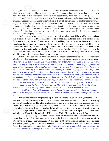and God planet 100 degrees and God placed a cloud over the Israelites to cool and protect they from the heat. By night, when the temperature could drop to near freezing, God placed a flaming fire over them to give them heat. But, that's just another story, a myth, to many people today. They don't see God's grace.

 how He wanted His people to act. Through the Old Testament, we learn of these<br>of rebellion against God including what God did to<br>they were slaves. God continued to correct them and<br>His people and to be His representatives upon the ea<br>all the pagan, sinful His people and to be His representatives upon the earth acting as God fearing righteous people before Through the Old Testament, we learn of these people and their periods of grace and their periods of rebellion against God including what God did to them. There were periods of other captivity where they were slaves. God continued to correct them and teach them that all He wanted was for them to be all the pagan, sinful nations on earth. Be obedient to 10 rules and 7 feast days was all God really asked of them. But, that didn't work too well either. So, it became time to send His Son to be the model of

We have already previewed the birth of Jesus and the only thing I'd like to add to what has been<br>ncerns the Star of Bethlehem. This had to be an angel that had shape shifted into this star to lead<br>e men to the location of can change its shape and two it must be able to shine brightly. I say this because of several Bible verses.<br>Lucifer, our adversary's name means, light bearer, and he was called the morning star. There is the<br>finger that wr said concerns the Star of Bethlehem. This had to be an angel that had shape shifted into this star to lead the wise men to the location of Jesus' birth. The glorified body must have two attributes with it. One, it Lucifer, our adversary's name means, light bearer, and he was called the morning star. There is the finger that writes on the palace wall at King Nebuchadnezzar's palace. There is the fourth person in the fiery furnace in Babylon and we see the Transfiguration of Jesus and the many times of His appearing after His resurrection in rooms that the door is closed.

ho heard<br>nazed; a<br>sought Y<br>now that<br>le spoke ry in Luke about Jesus at the age of twelve. Luke 2:41-52,<br>at the Feast of the Passover.  $42$ And when He was twelve<br>ng to the custom of the feast.  $43$ When they had finished the<br>l behind in Jerusalem. And Joseph and His m *know it; 44but supposing Him to have been in the company, they went a day's journey, and sought Him* When Jesus was a boy, we find a story that gives us some of the modeling we need to understand what being a Christian means. Look at the story in Luke about Jesus at the age of twelve. Luke 2:41-52, *41His parents went to Jerusalem every year at the Feast of the Passover. 42And when He was twelve years old, they went up to Jerusalem according to the custom of the feast. 43When they had finished the days, as they returned, the Boy Jesus lingered behind in Jerusalem. And Joseph and His mother did not among their relatives and acquaintances. 45So when they did not find Him, they returned to Jerusalem, seeking Him. 46Now so it was that after three days they found Him in the temple, sitting in the midst of the teachers, both listening to them and asking them questions. 47And all who heard Him were astonished at His understanding and answers. 48So when they saw Him, they were amazed; and His mother said to Him, "Son, why have You done this to us? Look, Your father and I have sought You anxiously."*

*49And He said to them, "Why did you seek Me? Did you not know that I must be about My Father's business?" 50But they did not understand the statement which He spoke to them.*

*51Then He went down with them and came to Nazareth, and was subject to them, but His mother these things in her heart.* <sup>52</sup>*And Jesus increased in wisdom and stature, and in favor with Godn.*<br>Then He went down with them *kept all these things in her heart. 52And Jesus increased in wisdom and stature, and in favor with God and men.*

shown to the world for His earthly parents. 3) Jesus<br>Shown to me this means Jesus had reached the age of<br>to take on the representation of His Father's essence.<br>and subjected Himself to the authority of His parents<br>The Gosp Notice four things in this passage: 1) His parents went to Jerusalem every year at the Feast of Passover. This verse means that God's ordained feast days were followed by Jesus and His earthly parents. 2) Joseph, His earthly father is identified. Meaning to me that there was a respect that Jesus shown to the world for His earthly parents. 3) Jesus said He had to be about His Father's business. Shown to me this means Jesus had reached the age of accountability and He knew it was time for Him to take on the representation of His Father's essence. 4) Jesus was mindful of a parent and child respect and subjected Himself to the authority of His parents. Notice He grew in favor with God.

The most important point that we need to understand from this encounter was the last statement made.<br>Notice the wording in the verse, Luke 4:13, <sup>13</sup>Now when the devil had ended every temptation, he<br>departed from Him until The Gospel of Luke goes further in chapter 4 and we find the temptation of Jesus after John, His cousin, had baptized Him. Satan approached Jesus in the desert and tempted Jesus with three questions. We know from text that Jesus was hungry. We also know that Satan understands and can quote scriptures. Notice the wording in the verse, Luke 4:13, *13Now when the devil had ended every temptation, he departed from Him until an opportune time.*Luke 4:13 (NKJV) Notice what it says, that Satan left Jesus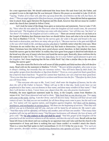saying, Famer, if it is four will, take this cup away from<br>done." <sup>43</sup>Then an angel appeared to Him from heaven, stre<br>time to attack Jesus again between His baptism and His<br>attack the church that claimed to follow Christ. tune time.  $V_1$  to the night for a mor opportune time. We should understand that Jesus knew His task from God, the Father, and accepted it even to the night that He was betrayed. Observe His prayer as recorded in Luke 22:42-43, *42saying, "Father, if it is Your will, take this cup away from Me; nevertheless not My will, but Yours, be done." 43Then an angel appeared to Him from heaven, strengthening Him.* Satan did not find an opportune time to attack Jesus again between His baptism and His death, however that did not mean he couldn't attack the church that claimed to follow Christ.

thew the<br>ew 7:13<br>*uction*, *e*<br>*eads to 'See there!' For indeed, the kingdom of God is within you."* There are several verses we can look at in Let's look for some of the things Jesus gave as instruction and statements. Turn to Luke 17:20 *is the way which leads to life, and there are few who find it.* Carefully notice what this verse says. Most Christians do not realize they are on the broad way that leads to destruction. I say this for a reason. Many Chri 21, *20Now when He was asked by the Pharisees when the kingdom of God would come, He answered them and said, "The kingdom of God does not come with observation; 21nor will they say, 'See here!' or* the Gospel of Matthew that illustrate more how we should follow Jesus and what to be on the lookout for. Turn to Matthew 7:13-14, *13"Enter by the narrow gate; for wide is the gate and broad is the way that leads to destruction, and there are many who go in by it. 14Because narrow is the gate and difficult* Christians do not realize they are on the broad way that leads to destruction. I say this for a reason. Many Christians have this belief that once saved always saved, therefore, in their mindset they have found the narrow gate by their belief. In reallity they have gone from pagan to deceived individuals on the broad way (the way of many) who have not found the narrow gate. Basically, Jesus confirms this by His statment in Luke 12:32, <sup>32</sup>Do not fear, little flock, for it is your Father's good pleasure to give you the kingdom. Isn't Jesus implying that He has a little flock? Isn't that a similar idea to the one about finding the narrow gate?

little flock? Isn't that a similar idea to the one about<br>e of false prophets and false teachers who will deceive<br>:15-23, <sup>15</sup>"Beware of false prophets, who come to you<br>ous wolves. <sup>16</sup>You will know them by their fruits. D Jesus also warns His flock to be well aware of false prophets and false teachers who will deceive many. Read with me the statement in Matthew 7:15-23, *15"Beware of false prophets, who come to you in sheep's clothing, but inwardly they are ravenous wolves. 16You will know them by their fruits. Do men gather grapes from thornbushes or figs from thistles? 17Even so, every good tree bears good fruit, but a bad tree bears bad fruit. 18A good tree cannot bear bad fruit, nor can a bad tree bear good fruit. you will know them.*

<sup>19</sup>Every tree that does not bear good fruit is cut down and thrown into the fire. <sup>20</sup>Therefore by their fruits<br>you will know them.<br><sup>21</sup> "Not everyone who says to Me, 'Lord, Lord,' shall enter the kingdom of heaven, but h *21"Not everyone who says to Me, 'Lord, Lord,' shall enter the kingdom of heaven, but he who does the will of My Father in heaven. 22Many will say to Me in that day, 'Lord, Lord, have we not prophesied in Your name, cast out demons in Your name, and done many wonders in Your name?' 23And*

representative of Jesus and there is nothing that says Satan couldn't or wouldn't attack the church.<br>There is a verse that Paul spoke in 2nd Corennethians 11:13-15 I'd like for you to see. <sup>13</sup>For such are false apostles, pestilences, and earthquakes in various places.  ${}^8$ All these<br>deliver you up to tribulation and kill you, and you will<br> ${}^{10}$ And then many will be offended, will betray one another<br>prophets will rise up and deceive many *then I will declare to them, 'I never knew you; depart from Me, you who practice lawlessness!'*<br>**Probably, the most significant statement made by Jesus, in the Gospels, comes from Matther<br>verses 4-14, <sup>4</sup>And Jesus answere** Probably, the most significant statement made by Jesus, in the Gospels, comes from Matthew 24, verses 4-14, *<sup>4</sup> And Jesus answered and said to them: "Take heed that no one deceives you. 5 For many will come in My name, saying, 'I am the Christ,' and will deceive many. 6 And you will hear of wars and rumors of wars. See that you are not troubled; for all these things must come to pass, but the end is not yet. 7 For nation will rise against nation, and kingdom against kingdom. And there will be famines, pestilences, and earthquakes in various places. 8 All these are the beginning of sorrows. 9 Then they will deliver you up to tribulation and kill you, and you will be hated by all nations for My name's sake. 10And then many will be offended, will betray one another, and will hate one another. 11Then* many false prophets will rise up and deceive many. *12And because lawlessness will abound, the love of many will grow cold. 13But he who endures to the end shall be saved. 14And this gospel of the kingdom will be preached in all the world as a witness to all the nations, and then the end will come.* Recall with me that Satan left Jesus in the desert and was waiting for an opporture time and I also said that the church is the There is a verse that Paul spoke in 2nd Corennethians 11:13-15 I'd like for you to see. *13For such are false apostles, deceitful workers, transforming themselves into apostles of Christ. 14And no wonder!*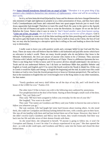# **Example 15**<br>**Example 15**<br>**So transform** *For Satan himself transforms himself into an angel of light. 15Therefore it is no great thing if his ministers also transform themselves into ministers of righteousness, whose end will be according to their works.*

calling for His people to come out of all the false teaching and the false preaching and to seek and find<br>the narrow gate that leads to the true Christ. We may have a faith in Jesus as the Christ, the Son of God<br>but, we ma *"Come out of her, my people, lest you share in her sins, and lest you receive of her plagues.* God is So it is, we have been deceived (hijacked) by S<br>into ministers of light and righteous to present to us<br>God's Commandments and feasts and converted th<br>Jesus, apparently had enough! Therefore to warn H<br>John on the Isle of Pa Jesus, apparently had enough! Therefore to warn His small flock He came in the spirit to the Apostle So it is, we have been deceived (hijacked) by Satan and his demons who have changed themselves into ministers of light and righteous to present to us a false presentation of Jesus, and they have taken God's Commandments and feasts and converted them into quazi-pagan festivals just to mock God. John on the Isle of Patmos and spoke to him to write the Revelation. In chapter 18 we see the fall of Babylon the Great. Notice what it says in verse 4, *<sup>4</sup> And I heard another voice from heaven saying,* the narrow gate that leads to the true Christ. We may have a faith in Jesus as the Christ, the Son of God but, we may also be listening to a deceptive spirit that is telling us lies and leading us down the broad way to destruction.

ollowers of Christ. There is a difference between the two.<br>
f I'm correct all Jews should understand. I do not have a<br>
do have an Interlinear Bible that parallels Hebrew and<br>
rect the fourth word in the Torah is Aleph Tav. belief in our<br>belief in our<br>and just tells<br>do not believ I really want to leave you with positive words and a stronger belief in our God and His Son, Jesus. There are many who still believe that the Bible is old fashioned and just tells stories which have no relevance in today's world. There are many Jewish people who do not believe that Jesus is the Messiah. Furthermore, the Jews are unsure of anyone who claims to be a Christian. They associate Christian with Catholic and Evangelicals as followers of Christ. There is a difference between the two. There is one thing that I'd like to know and if I'm correct all Jews should understand. I do not have a Torah and do not understand Hebrew, but I do have an Interlinear Bible that parallels Hebrew and English or Greek and English and if I'm correct the fourth word in the Torah is Aleph Tav. If this was in Greek it would be Alpha and Omega, in English the beginning and the end. In some ways this could be taken as God (a view from the Jewish perspective) or Jesus (a Christian perspective). The sad fact is that in the translation to English this isn't even brought over to the King James or any other translation, for that matter.

 $V$  life, and "Surely goodness and mercy shall follow me all the days of my life, and I will dwell in the house of the LORD for ever." Psalms 23:6

The other item I'd like to leave you with is the following story authored by anonymous.<br>Two people knocked on the door of her home. Staring at them through a small crack of the<br>ed, "Yes, can I help you?"<br>They said, "We hav Two people knocked on the door of her home. Staring at them through a small crack of the door, she asked, "Yes, can I help you?"

They said, "We have been assigned to follow you everyday for the rest of your life."

She laughed, "You want to do what?"

They said, "Our names are Goodness and Mercy and your Father in heaven has sent us here to follow you wherever you go."

follow you wherever you go."<br>She was cautious. Life had taught her some<br>there, she could see Corruption and Dismay lurking b<br>She was all too familiar with them and had just kick<br>she didn't receive God's Goodness and Mercy She was cautious. Life had taught her some hard lessons about trusting others. As she stood there, she could see Corruption and Dismay lurking behind the trees, with a sneaky grin on their faces. She was all too familiar with them and had just kicked them out of her house. However, they knew if she didn't receive God's Goodness and Mercy into her home, they would eventually find their way back into her life and take seven of their demon friends with them.

> Corruption and Dismay. It won't be what I've always experienced in my past." She then opened the door—as wide as she could open, and Goodness and Mercy came into her home and closed the door behind them. As she stood there, she whispered to herself, "If anyone is going to follow me, it won't be door—as wide as she could open, and Goodness and Mercy came into her home and closed the door behind them.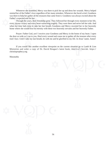er she stume<br>e Father's lo Whenever she stumbled, Mercy was there to pick her up and dress her wounds. Mercy helped remind her of the Father's love regardless of her many mistakes. Whenever she faced a trial, Goodness was there to help her gather all the treasures that came from it. Goodness was always excited about the Father's expected end for her.

was ulter to help her gamer an the treasures that came in<br>Father's expected end for her.<br>Through the years, their friendship grew. They f<br>every joyous victory and every heart-wrenching tragedy<br>when her time had come to tak when her time had come to take her last breath, Goodness and Mercy escorted her to her heavenly Through the years, their friendship grew. They followed her through every moment in her life, every joyous victory and every heart-wrenching tragedy. They were there and never left her side. And home where she would live for eternity with these two heavenly servants and her heavenly Father.

the door as wide as I can to you. Heal every wound and cause me to gather all the treasure after every trial I face. Until I take my last breath, be with me and be glorified in my life. In Jesus' name. Amen! Prayer: Father God, yes! I receive your Goodness and Mercy in the home of my heart. I open trial I face. Until I take my last breath, be with me and be glorified in my life. In Jesus' name. Amen!

uation go to<br>*merica's St* If you would like another excellent viewpoint on the current situation go to Lamb & Lion Ministries and order a copy of Dr. David Reagan's latest book, *America's Suicide*. https:// christinprophecy.org

Maranatha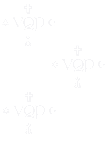